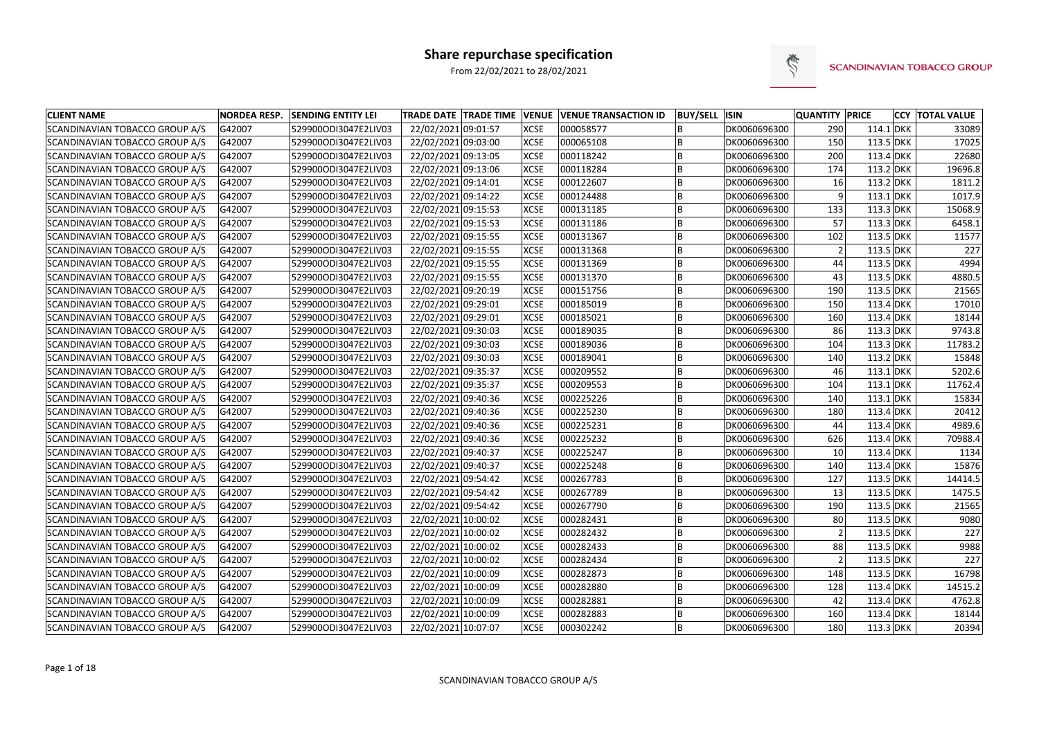

| <b>CLIENT NAME</b>                    | <b>NORDEA RESP.</b> | <b>SENDING ENTITY LEI</b> |                     |             | TRADE DATE TRADE TIME VENUE VENUE TRANSACTION ID | <b>BUY/SELL ISIN</b> |              | <b>QUANTITY PRICE</b> |             | <b>CCY TOTAL VALUE</b> |
|---------------------------------------|---------------------|---------------------------|---------------------|-------------|--------------------------------------------------|----------------------|--------------|-----------------------|-------------|------------------------|
| SCANDINAVIAN TOBACCO GROUP A/S        | G42007              | 529900ODI3047E2LIV03      | 22/02/2021 09:01:57 | <b>XCSE</b> | 000058577                                        |                      | DK0060696300 | 290                   | $114.1$ DKK | 33089                  |
| SCANDINAVIAN TOBACCO GROUP A/S        | G42007              | 529900ODI3047E2LIV03      | 22/02/2021 09:03:00 | <b>XCSE</b> | 000065108                                        |                      | DK0060696300 | 150                   | 113.5 DKK   | 17025                  |
| SCANDINAVIAN TOBACCO GROUP A/S        | G42007              | 529900ODI3047E2LIV03      | 22/02/2021 09:13:05 | <b>XCSE</b> | 000118242                                        |                      | DK0060696300 | 200                   | 113.4 DKK   | 22680                  |
| SCANDINAVIAN TOBACCO GROUP A/S        | G42007              | 529900ODI3047E2LIV03      | 22/02/2021 09:13:06 | <b>XCSE</b> | 000118284                                        | B                    | DK0060696300 | 174                   | $113.2$ DKK | 19696.8                |
| SCANDINAVIAN TOBACCO GROUP A/S        | G42007              | 529900ODI3047E2LIV03      | 22/02/2021 09:14:01 | <b>XCSE</b> | 000122607                                        |                      | DK0060696300 | 16                    | $113.2$ DKK | 1811.2                 |
| SCANDINAVIAN TOBACCO GROUP A/S        | G42007              | 529900ODI3047E2LIV03      | 22/02/2021 09:14:22 | <b>XCSE</b> | 000124488                                        |                      | DK0060696300 | 9                     | $113.1$ DKK | 1017.9                 |
| SCANDINAVIAN TOBACCO GROUP A/S        | G42007              | 529900ODI3047E2LIV03      | 22/02/2021 09:15:53 | <b>XCSE</b> | 000131185                                        | B                    | DK0060696300 | 133                   | 113.3 DKK   | 15068.9                |
| <b>SCANDINAVIAN TOBACCO GROUP A/S</b> | G42007              | 529900ODI3047E2LIV03      | 22/02/2021 09:15:53 | <b>XCSE</b> | 000131186                                        |                      | DK0060696300 | 57                    | 113.3 DKK   | 6458.1                 |
| SCANDINAVIAN TOBACCO GROUP A/S        | G42007              | 529900ODI3047E2LIV03      | 22/02/2021 09:15:55 | <b>XCSE</b> | 000131367                                        |                      | DK0060696300 | 102                   | 113.5 DKK   | 11577                  |
| SCANDINAVIAN TOBACCO GROUP A/S        | G42007              | 529900ODI3047E2LIV03      | 22/02/2021 09:15:55 | <b>XCSE</b> | 000131368                                        |                      | DK0060696300 | $\overline{2}$        | 113.5 DKK   | 227                    |
| SCANDINAVIAN TOBACCO GROUP A/S        | G42007              | 529900ODI3047E2LIV03      | 22/02/2021 09:15:55 | <b>XCSE</b> | 000131369                                        |                      | DK0060696300 | 44                    | 113.5 DKK   | 4994                   |
| SCANDINAVIAN TOBACCO GROUP A/S        | G42007              | 529900ODI3047E2LIV03      | 22/02/2021 09:15:55 | <b>XCSE</b> | 000131370                                        | B                    | DK0060696300 | 43                    | 113.5 DKK   | 4880.5                 |
| SCANDINAVIAN TOBACCO GROUP A/S        | G42007              | 529900ODI3047E2LIV03      | 22/02/2021 09:20:19 | <b>XCSE</b> | 000151756                                        | B                    | DK0060696300 | 190                   | 113.5 DKK   | 21565                  |
| SCANDINAVIAN TOBACCO GROUP A/S        | G42007              | 529900ODI3047E2LIV03      | 22/02/2021 09:29:01 | <b>XCSE</b> | 000185019                                        | B                    | DK0060696300 | 150                   | 113.4 DKK   | 17010                  |
| SCANDINAVIAN TOBACCO GROUP A/S        | G42007              | 529900ODI3047E2LIV03      | 22/02/2021 09:29:01 | <b>XCSE</b> | 000185021                                        |                      | DK0060696300 | 160                   | 113.4 DKK   | 18144                  |
| SCANDINAVIAN TOBACCO GROUP A/S        | G42007              | 529900ODI3047E2LIV03      | 22/02/2021 09:30:03 | <b>XCSE</b> | 000189035                                        | B                    | DK0060696300 | 86                    | 113.3 DKK   | 9743.8                 |
| SCANDINAVIAN TOBACCO GROUP A/S        | G42007              | 529900ODI3047E2LIV03      | 22/02/2021 09:30:03 | <b>XCSE</b> | 000189036                                        | B                    | DK0060696300 | 104                   | 113.3 DKK   | 11783.2                |
| SCANDINAVIAN TOBACCO GROUP A/S        | G42007              | 529900ODI3047E2LIV03      | 22/02/2021 09:30:03 | <b>XCSE</b> | 000189041                                        | B                    | DK0060696300 | 140                   | $113.2$ DKK | 15848                  |
| SCANDINAVIAN TOBACCO GROUP A/S        | G42007              | 529900ODI3047E2LIV03      | 22/02/2021 09:35:37 | <b>XCSE</b> | 000209552                                        |                      | DK0060696300 | 46                    | $113.1$ DKK | 5202.6                 |
| SCANDINAVIAN TOBACCO GROUP A/S        | G42007              | 529900ODI3047E2LIV03      | 22/02/2021 09:35:37 | <b>XCSE</b> | 000209553                                        |                      | DK0060696300 | 104                   | $113.1$ DKK | 11762.4                |
| SCANDINAVIAN TOBACCO GROUP A/S        | G42007              | 529900ODI3047E2LIV03      | 22/02/2021 09:40:36 | <b>XCSE</b> | 000225226                                        | B                    | DK0060696300 | 140                   | $113.1$ DKK | 15834                  |
| SCANDINAVIAN TOBACCO GROUP A/S        | G42007              | 529900ODI3047E2LIV03      | 22/02/2021 09:40:36 | <b>XCSE</b> | 000225230                                        |                      | DK0060696300 | 180                   | 113.4 DKK   | 20412                  |
| SCANDINAVIAN TOBACCO GROUP A/S        | G42007              | 529900ODI3047E2LIV03      | 22/02/2021 09:40:36 | <b>XCSE</b> | 000225231                                        |                      | DK0060696300 | 44                    | 113.4 DKK   | 4989.6                 |
| SCANDINAVIAN TOBACCO GROUP A/S        | G42007              | 529900ODI3047E2LIV03      | 22/02/2021 09:40:36 | <b>XCSE</b> | 000225232                                        |                      | DK0060696300 | 626                   | 113.4 DKK   | 70988.4                |
| SCANDINAVIAN TOBACCO GROUP A/S        | G42007              | 529900ODI3047E2LIV03      | 22/02/2021 09:40:37 | <b>XCSE</b> | 000225247                                        | B                    | DK0060696300 | 10                    | 113.4 DKK   | 1134                   |
| SCANDINAVIAN TOBACCO GROUP A/S        | G42007              | 529900ODI3047E2LIV03      | 22/02/2021 09:40:37 | <b>XCSE</b> | 000225248                                        | B                    | DK0060696300 | 140                   | 113.4 DKK   | 15876                  |
| SCANDINAVIAN TOBACCO GROUP A/S        | G42007              | 529900ODI3047E2LIV03      | 22/02/2021 09:54:42 | <b>XCSE</b> | 000267783                                        | B                    | DK0060696300 | 127                   | 113.5 DKK   | 14414.5                |
| SCANDINAVIAN TOBACCO GROUP A/S        | G42007              | 529900ODI3047E2LIV03      | 22/02/2021 09:54:42 | <b>XCSE</b> | 000267789                                        | B                    | DK0060696300 | 13                    | 113.5 DKK   | 1475.5                 |
| SCANDINAVIAN TOBACCO GROUP A/S        | G42007              | 529900ODI3047E2LIV03      | 22/02/2021 09:54:42 | <b>XCSE</b> | 000267790                                        |                      | DK0060696300 | 190                   | 113.5 DKK   | 21565                  |
| SCANDINAVIAN TOBACCO GROUP A/S        | G42007              | 529900ODI3047E2LIV03      | 22/02/2021 10:00:02 | <b>XCSE</b> | 000282431                                        |                      | DK0060696300 | 80                    | 113.5 DKK   | 9080                   |
| SCANDINAVIAN TOBACCO GROUP A/S        | G42007              | 529900ODI3047E2LIV03      | 22/02/2021 10:00:02 | <b>XCSE</b> | 000282432                                        | B                    | DK0060696300 | 2 <sup>1</sup>        | 113.5 DKK   | 227                    |
| SCANDINAVIAN TOBACCO GROUP A/S        | G42007              | 529900ODI3047E2LIV03      | 22/02/2021 10:00:02 | <b>XCSE</b> | 000282433                                        | B                    | DK0060696300 | 88                    | 113.5 DKK   | 9988                   |
| SCANDINAVIAN TOBACCO GROUP A/S        | G42007              | 529900ODI3047E2LIV03      | 22/02/2021 10:00:02 | <b>XCSE</b> | 000282434                                        | B                    | DK0060696300 |                       | 113.5 DKK   | 227                    |
| SCANDINAVIAN TOBACCO GROUP A/S        | G42007              | 529900ODI3047E2LIV03      | 22/02/2021 10:00:09 | <b>XCSE</b> | 000282873                                        | B                    | DK0060696300 | 148                   | 113.5 DKK   | 16798                  |
| SCANDINAVIAN TOBACCO GROUP A/S        | G42007              | 529900ODI3047E2LIV03      | 22/02/2021 10:00:09 | <b>XCSE</b> | 000282880                                        | B                    | DK0060696300 | 128                   | 113.4 DKK   | 14515.2                |
| SCANDINAVIAN TOBACCO GROUP A/S        | G42007              | 529900ODI3047E2LIV03      | 22/02/2021 10:00:09 | <b>XCSE</b> | 000282881                                        | B                    | DK0060696300 | 42                    | 113.4 DKK   | 4762.8                 |
| SCANDINAVIAN TOBACCO GROUP A/S        | G42007              | 529900ODI3047E2LIV03      | 22/02/2021 10:00:09 | <b>XCSE</b> | 000282883                                        | B                    | DK0060696300 | 160                   | 113.4 DKK   | 18144                  |
| SCANDINAVIAN TOBACCO GROUP A/S        | G42007              | 529900ODI3047E2LIV03      | 22/02/2021 10:07:07 | <b>XCSE</b> | 000302242                                        | B.                   | DK0060696300 | 180                   | $113.3$ DKK | 20394                  |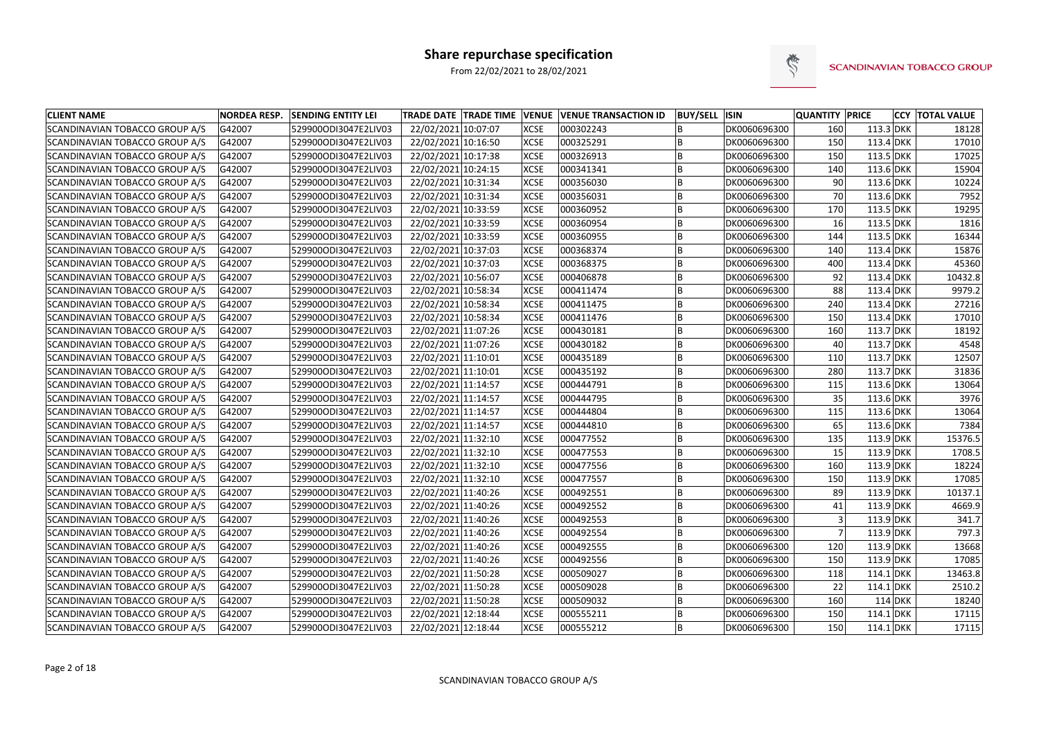

| <b>CLIENT NAME</b>             | <b>NORDEA RESP.</b> | <b>SENDING ENTITY LEI</b> | <b>TRADE DATE TRADE TIME VENUE VENUE TRANSACTION ID</b> |             |           | <b>BUY/SELL ISIN</b> |              | <b>QUANTITY PRICE</b> |             |           | <b>CCY TOTAL VALUE</b> |
|--------------------------------|---------------------|---------------------------|---------------------------------------------------------|-------------|-----------|----------------------|--------------|-----------------------|-------------|-----------|------------------------|
| SCANDINAVIAN TOBACCO GROUP A/S | G42007              | 529900ODI3047E2LIV03      | 22/02/2021 10:07:07                                     | <b>XCSE</b> | 000302243 |                      | DK0060696300 | 160                   | $113.3$ DKK |           | 18128                  |
| SCANDINAVIAN TOBACCO GROUP A/S | G42007              | 529900ODI3047E2LIV03      | 22/02/2021 10:16:50                                     | <b>XCSE</b> | 000325291 |                      | DK0060696300 | 150                   | 113.4 DKK   |           | 17010                  |
| SCANDINAVIAN TOBACCO GROUP A/S | G42007              | 529900ODI3047E2LIV03      | 22/02/2021 10:17:38                                     | <b>XCSE</b> | 000326913 |                      | DK0060696300 | 150                   | $113.5$ DKK |           | 17025                  |
| SCANDINAVIAN TOBACCO GROUP A/S | G42007              | 529900ODI3047E2LIV03      | 22/02/2021 10:24:15                                     | <b>XCSE</b> | 000341341 | B                    | DK0060696300 | 140                   | 113.6 DKK   |           | 15904                  |
| SCANDINAVIAN TOBACCO GROUP A/S | G42007              | 529900ODI3047E2LIV03      | 22/02/2021 10:31:34                                     | <b>XCSE</b> | 000356030 |                      | DK0060696300 | 90                    | $113.6$ DKK |           | 10224                  |
| SCANDINAVIAN TOBACCO GROUP A/S | G42007              | 529900ODI3047E2LIV03      | 22/02/2021 10:31:34                                     | <b>XCSE</b> | 000356031 | B                    | DK0060696300 | 70                    | 113.6 DKK   |           | 7952                   |
| SCANDINAVIAN TOBACCO GROUP A/S | G42007              | 529900ODI3047E2LIV03      | 22/02/2021 10:33:59                                     | <b>XCSE</b> | 000360952 | B                    | DK0060696300 | 170                   | 113.5 DKK   |           | 19295                  |
| SCANDINAVIAN TOBACCO GROUP A/S | G42007              | 529900ODI3047E2LIV03      | 22/02/2021 10:33:59                                     | <b>XCSE</b> | 000360954 | B                    | DK0060696300 | 16                    | 113.5 DKK   |           | 1816                   |
| SCANDINAVIAN TOBACCO GROUP A/S | G42007              | 529900ODI3047E2LIV03      | 22/02/2021 10:33:59                                     | <b>XCSE</b> | 000360955 | B                    | DK0060696300 | 144                   | 113.5 DKK   |           | 16344                  |
| SCANDINAVIAN TOBACCO GROUP A/S | G42007              | 529900ODI3047E2LIV03      | 22/02/2021 10:37:03                                     | <b>XCSE</b> | 000368374 |                      | DK0060696300 | 140                   | $113.4$ DKK |           | 15876                  |
| SCANDINAVIAN TOBACCO GROUP A/S | G42007              | 529900ODI3047E2LIV03      | 22/02/2021 10:37:03                                     | <b>XCSE</b> | 000368375 | B                    | DK0060696300 | 400                   | 113.4 DKK   |           | 45360                  |
| SCANDINAVIAN TOBACCO GROUP A/S | G42007              | 529900ODI3047E2LIV03      | 22/02/2021 10:56:07                                     | <b>XCSE</b> | 000406878 | B                    | DK0060696300 | 92                    | $113.4$ DKK |           | 10432.8                |
| SCANDINAVIAN TOBACCO GROUP A/S | G42007              | 529900ODI3047E2LIV03      | 22/02/2021 10:58:34                                     | <b>XCSE</b> | 000411474 | B                    | DK0060696300 | 88                    | $113.4$ DKK |           | 9979.2                 |
| SCANDINAVIAN TOBACCO GROUP A/S | G42007              | 529900ODI3047E2LIV03      | 22/02/2021 10:58:34                                     | <b>XCSE</b> | 000411475 | B                    | DK0060696300 | 240                   | $113.4$ DKK |           | 27216                  |
| SCANDINAVIAN TOBACCO GROUP A/S | G42007              | 529900ODI3047E2LIV03      | 22/02/2021 10:58:34                                     | <b>XCSE</b> | 000411476 |                      | DK0060696300 | 150                   | $113.4$ DKK |           | 17010                  |
| SCANDINAVIAN TOBACCO GROUP A/S | G42007              | 529900ODI3047E2LIV03      | 22/02/2021 11:07:26                                     | <b>XCSE</b> | 000430181 | B                    | DK0060696300 | 160                   | 113.7 DKK   |           | 18192                  |
| SCANDINAVIAN TOBACCO GROUP A/S | G42007              | 529900ODI3047E2LIV03      | 22/02/2021 11:07:26                                     | <b>XCSE</b> | 000430182 | B                    | DK0060696300 | 40                    | 113.7 DKK   |           | 4548                   |
| SCANDINAVIAN TOBACCO GROUP A/S | G42007              | 529900ODI3047E2LIV03      | 22/02/2021 11:10:01                                     | <b>XCSE</b> | 000435189 | B                    | DK0060696300 | 110                   | 113.7 DKK   |           | 12507                  |
| SCANDINAVIAN TOBACCO GROUP A/S | G42007              | 529900ODI3047E2LIV03      | 22/02/2021 11:10:01                                     | <b>XCSE</b> | 000435192 |                      | DK0060696300 | 280                   | $113.7$ DKK |           | 31836                  |
| SCANDINAVIAN TOBACCO GROUP A/S | G42007              | 529900ODI3047E2LIV03      | 22/02/2021 11:14:57                                     | <b>XCSE</b> | 000444791 | B                    | DK0060696300 | 115                   | $113.6$ DKK |           | 13064                  |
| SCANDINAVIAN TOBACCO GROUP A/S | G42007              | 529900ODI3047E2LIV03      | 22/02/2021 11:14:57                                     | <b>XCSE</b> | 000444795 | B                    | DK0060696300 | 35                    | 113.6 DKK   |           | 3976                   |
| SCANDINAVIAN TOBACCO GROUP A/S | G42007              | 529900ODI3047E2LIV03      | 22/02/2021 11:14:57                                     | <b>XCSE</b> | 000444804 |                      | DK0060696300 | 115                   | 113.6 DKK   |           | 13064                  |
| SCANDINAVIAN TOBACCO GROUP A/S | G42007              | 529900ODI3047E2LIV03      | 22/02/2021 11:14:57                                     | <b>XCSE</b> | 000444810 | B                    | DK0060696300 | 65                    | 113.6 DKK   |           | 7384                   |
| SCANDINAVIAN TOBACCO GROUP A/S | G42007              | 529900ODI3047E2LIV03      | 22/02/2021 11:32:10                                     | <b>XCSE</b> | 000477552 | <b>B</b>             | DK0060696300 | 135                   | $113.9$ DKK |           | 15376.5                |
| SCANDINAVIAN TOBACCO GROUP A/S | G42007              | 529900ODI3047E2LIV03      | 22/02/2021 11:32:10                                     | <b>XCSE</b> | 000477553 | B                    | DK0060696300 | 15                    | $113.9$ DKK |           | 1708.5                 |
| SCANDINAVIAN TOBACCO GROUP A/S | G42007              | 529900ODI3047E2LIV03      | 22/02/2021 11:32:10                                     | <b>XCSE</b> | 000477556 | B                    | DK0060696300 | 160                   | $113.9$ DKK |           | 18224                  |
| SCANDINAVIAN TOBACCO GROUP A/S | G42007              | 529900ODI3047E2LIV03      | 22/02/2021 11:32:10                                     | <b>XCSE</b> | 000477557 | B                    | DK0060696300 | 150                   | $113.9$ DKK |           | 17085                  |
| SCANDINAVIAN TOBACCO GROUP A/S | G42007              | 529900ODI3047E2LIV03      | 22/02/2021 11:40:26                                     | <b>XCSE</b> | 000492551 |                      | DK0060696300 | 89                    | $113.9$ DKK |           | 10137.1                |
| SCANDINAVIAN TOBACCO GROUP A/S | G42007              | 529900ODI3047E2LIV03      | 22/02/2021 11:40:26                                     | <b>XCSE</b> | 000492552 |                      | DK0060696300 | 41                    | $113.9$ DKK |           | 4669.9                 |
| SCANDINAVIAN TOBACCO GROUP A/S | G42007              | 529900ODI3047E2LIV03      | 22/02/2021 11:40:26                                     | <b>XCSE</b> | 000492553 |                      | DK0060696300 | $\vert$ 3             | 113.9 DKK   |           | 341.7                  |
| SCANDINAVIAN TOBACCO GROUP A/S | G42007              | 529900ODI3047E2LIV03      | 22/02/2021 11:40:26                                     | <b>XCSE</b> | 000492554 | B                    | DK0060696300 | $\overline{7}$        | 113.9 DKK   |           | 797.3                  |
| SCANDINAVIAN TOBACCO GROUP A/S | G42007              | 529900ODI3047E2LIV03      | 22/02/2021 11:40:26                                     | <b>XCSE</b> | 000492555 | B                    | DK0060696300 | 120                   | $113.9$ DKK |           | 13668                  |
| SCANDINAVIAN TOBACCO GROUP A/S | G42007              | 529900ODI3047E2LIV03      | 22/02/2021 11:40:26                                     | <b>XCSE</b> | 000492556 | B                    | DK0060696300 | 150                   | $113.9$ DKK |           | 17085                  |
| SCANDINAVIAN TOBACCO GROUP A/S | G42007              | 529900ODI3047E2LIV03      | 22/02/2021 11:50:28                                     | <b>XCSE</b> | 000509027 | B                    | DK0060696300 | 118                   | $114.1$ DKK |           | 13463.8                |
| SCANDINAVIAN TOBACCO GROUP A/S | G42007              | 529900ODI3047E2LIV03      | 22/02/2021 11:50:28                                     | <b>XCSE</b> | 000509028 | B                    | DK0060696300 | 22                    | $114.1$ DKK |           | 2510.2                 |
| SCANDINAVIAN TOBACCO GROUP A/S | G42007              | 529900ODI3047E2LIV03      | 22/02/2021 11:50:28                                     | <b>XCSE</b> | 000509032 | B                    | DK0060696300 | 160                   |             | $114$ DKK | 18240                  |
| SCANDINAVIAN TOBACCO GROUP A/S | G42007              | 529900ODI3047E2LIV03      | 22/02/2021 12:18:44                                     | <b>XCSE</b> | 000555211 | B                    | DK0060696300 | 150                   | $114.1$ DKK |           | 17115                  |
| SCANDINAVIAN TOBACCO GROUP A/S | G42007              | 529900ODI3047E2LIV03      | 22/02/2021 12:18:44                                     | <b>XCSE</b> | 000555212 | İΒ.                  | DK0060696300 | 150                   | $114.1$ DKK |           | 17115                  |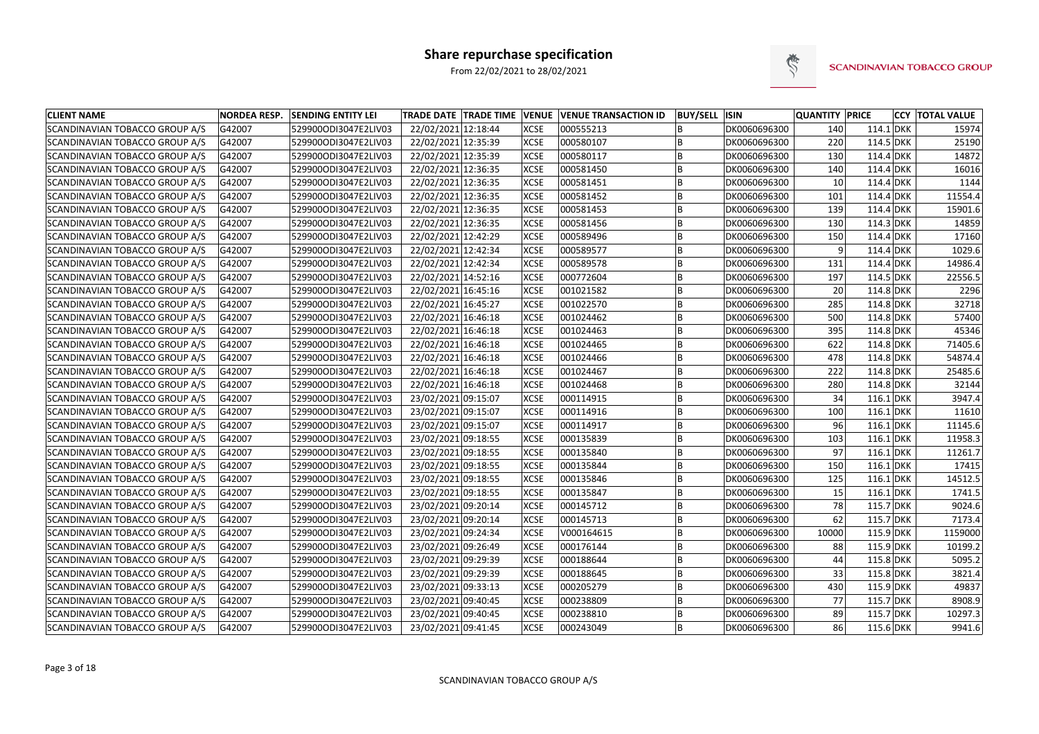

| <b>CLIENT NAME</b>             | <b>NORDEA RESP.</b> | <b>SENDING ENTITY LEI</b> | TRADE DATE   TRADE TIME   VENUE   VENUE TRANSACTION ID |             |            | <b>BUY/SELL ISIN</b> |              | <b>QUANTITY PRICE</b> |             | <b>CCY TOTAL VALUE</b> |
|--------------------------------|---------------------|---------------------------|--------------------------------------------------------|-------------|------------|----------------------|--------------|-----------------------|-------------|------------------------|
| SCANDINAVIAN TOBACCO GROUP A/S | G42007              | 529900ODI3047E2LIV03      | 22/02/2021 12:18:44                                    | <b>XCSE</b> | 000555213  |                      | DK0060696300 | 140                   | $114.1$ DKK | 15974                  |
| SCANDINAVIAN TOBACCO GROUP A/S | G42007              | 529900ODI3047E2LIV03      | 22/02/2021 12:35:39                                    | <b>XCSE</b> | 000580107  |                      | DK0060696300 | 220                   | 114.5 DKK   | 25190                  |
| SCANDINAVIAN TOBACCO GROUP A/S | G42007              | 529900ODI3047E2LIV03      | 22/02/2021 12:35:39                                    | <b>XCSE</b> | 000580117  |                      | DK0060696300 | 130                   | 114.4 DKK   | 14872                  |
| SCANDINAVIAN TOBACCO GROUP A/S | G42007              | 529900ODI3047E2LIV03      | 22/02/2021 12:36:35                                    | <b>XCSE</b> | 000581450  |                      | DK0060696300 | 140                   | 114.4 DKK   | 16016                  |
| SCANDINAVIAN TOBACCO GROUP A/S | G42007              | 529900ODI3047E2LIV03      | 22/02/2021 12:36:35                                    | <b>XCSE</b> | 000581451  | B                    | DK0060696300 | 10 <sup>1</sup>       | 114.4 DKK   | 1144                   |
| SCANDINAVIAN TOBACCO GROUP A/S | G42007              | 529900ODI3047E2LIV03      | 22/02/2021 12:36:35                                    | <b>XCSE</b> | 000581452  |                      | DK0060696300 | 101                   | 114.4 DKK   | 11554.4                |
| SCANDINAVIAN TOBACCO GROUP A/S | G42007              | 529900ODI3047E2LIV03      | 22/02/2021 12:36:35                                    | <b>XCSE</b> | 000581453  | B                    | DK0060696300 | 139                   | 114.4 DKK   | 15901.6                |
| SCANDINAVIAN TOBACCO GROUP A/S | G42007              | 529900ODI3047E2LIV03      | 22/02/2021 12:36:35                                    | <b>XCSE</b> | 000581456  |                      | DK0060696300 | 130                   | $114.3$ DKK | 14859                  |
| SCANDINAVIAN TOBACCO GROUP A/S | G42007              | 529900ODI3047E2LIV03      | 22/02/2021 12:42:29                                    | <b>XCSE</b> | 000589496  |                      | DK0060696300 | 150                   | 114.4 DKK   | 17160                  |
| SCANDINAVIAN TOBACCO GROUP A/S | G42007              | 529900ODI3047E2LIV03      | 22/02/2021 12:42:34                                    | <b>XCSE</b> | 000589577  |                      | DK0060696300 | q                     | 114.4 DKK   | 1029.6                 |
| SCANDINAVIAN TOBACCO GROUP A/S | G42007              | 529900ODI3047E2LIV03      | 22/02/2021 12:42:34                                    | <b>XCSE</b> | 000589578  |                      | DK0060696300 | 131                   | 114.4 DKK   | 14986.4                |
| SCANDINAVIAN TOBACCO GROUP A/S | G42007              | 529900ODI3047E2LIV03      | 22/02/2021 14:52:16                                    | <b>XCSE</b> | 000772604  | B                    | DK0060696300 | 197                   | 114.5 DKK   | 22556.5                |
| SCANDINAVIAN TOBACCO GROUP A/S | G42007              | 529900ODI3047E2LIV03      | 22/02/2021 16:45:16                                    | <b>XCSE</b> | 001021582  |                      | DK0060696300 | 20                    | 114.8 DKK   | 2296                   |
| SCANDINAVIAN TOBACCO GROUP A/S | G42007              | 529900ODI3047E2LIV03      | 22/02/2021 16:45:27                                    | <b>XCSE</b> | 001022570  |                      | DK0060696300 | 285                   | 114.8 DKK   | 32718                  |
| SCANDINAVIAN TOBACCO GROUP A/S | G42007              | 529900ODI3047E2LIV03      | 22/02/2021 16:46:18                                    | <b>XCSE</b> | 001024462  |                      | DK0060696300 | 500                   | 114.8 DKK   | 57400                  |
| SCANDINAVIAN TOBACCO GROUP A/S | G42007              | 529900ODI3047E2LIV03      | 22/02/2021 16:46:18                                    | <b>XCSE</b> | 001024463  |                      | DK0060696300 | 395                   | $114.8$ DKK | 45346                  |
| SCANDINAVIAN TOBACCO GROUP A/S | G42007              | 529900ODI3047E2LIV03      | 22/02/2021 16:46:18                                    | <b>XCSE</b> | 001024465  | B                    | DK0060696300 | 622                   | 114.8 DKK   | 71405.6                |
| SCANDINAVIAN TOBACCO GROUP A/S | G42007              | 529900ODI3047E2LIV03      | 22/02/2021 16:46:18                                    | <b>XCSE</b> | 001024466  |                      | DK0060696300 | 478                   | 114.8 DKK   | 54874.4                |
| SCANDINAVIAN TOBACCO GROUP A/S | G42007              | 529900ODI3047E2LIV03      | 22/02/2021 16:46:18                                    | <b>XCSE</b> | 001024467  | B                    | DK0060696300 | 222                   | 114.8 DKK   | 25485.6                |
| SCANDINAVIAN TOBACCO GROUP A/S | G42007              | 529900ODI3047E2LIV03      | 22/02/2021 16:46:18                                    | <b>XCSE</b> | 001024468  |                      | DK0060696300 | 280                   | 114.8 DKK   | 32144                  |
| SCANDINAVIAN TOBACCO GROUP A/S | G42007              | 529900ODI3047E2LIV03      | 23/02/2021 09:15:07                                    | <b>XCSE</b> | 000114915  |                      | DK0060696300 | 34                    | $116.1$ DKK | 3947.4                 |
| SCANDINAVIAN TOBACCO GROUP A/S | G42007              | 529900ODI3047E2LIV03      | 23/02/2021 09:15:07                                    | <b>XCSE</b> | 000114916  |                      | DK0060696300 | 100                   | $116.1$ DKK | 11610                  |
| SCANDINAVIAN TOBACCO GROUP A/S | G42007              | 529900ODI3047E2LIV03      | 23/02/2021 09:15:07                                    | <b>XCSE</b> | 000114917  |                      | DK0060696300 | 96                    | $116.1$ DKK | 11145.6                |
| SCANDINAVIAN TOBACCO GROUP A/S | G42007              | 529900ODI3047E2LIV03      | 23/02/2021 09:18:55                                    | <b>XCSE</b> | 000135839  |                      | DK0060696300 | 103                   | $116.1$ DKK | 11958.3                |
| SCANDINAVIAN TOBACCO GROUP A/S | G42007              | 529900ODI3047E2LIV03      | 23/02/2021 09:18:55                                    | <b>XCSE</b> | 000135840  | B                    | DK0060696300 | 97                    | $116.1$ DKK | 11261.7                |
| SCANDINAVIAN TOBACCO GROUP A/S | G42007              | 529900ODI3047E2LIV03      | 23/02/2021 09:18:55                                    | <b>XCSE</b> | 000135844  | B                    | DK0060696300 | 150                   | $116.1$ DKK | 17415                  |
| SCANDINAVIAN TOBACCO GROUP A/S | G42007              | 529900ODI3047E2LIV03      | 23/02/2021 09:18:55                                    | <b>XCSE</b> | 000135846  |                      | DK0060696300 | 125                   | $116.1$ DKK | 14512.5                |
| SCANDINAVIAN TOBACCO GROUP A/S | G42007              | 529900ODI3047E2LIV03      | 23/02/2021 09:18:55                                    | <b>XCSE</b> | 000135847  | B                    | DK0060696300 | 15                    | $116.1$ DKK | 1741.5                 |
| SCANDINAVIAN TOBACCO GROUP A/S | G42007              | 529900ODI3047E2LIV03      | 23/02/2021 09:20:14                                    | <b>XCSE</b> | 000145712  |                      | DK0060696300 | 78                    | 115.7 DKK   | 9024.6                 |
| SCANDINAVIAN TOBACCO GROUP A/S | G42007              | 529900ODI3047E2LIV03      | 23/02/2021 09:20:14                                    | <b>XCSE</b> | 000145713  |                      | DK0060696300 | 62                    | 115.7 DKK   | 7173.4                 |
| SCANDINAVIAN TOBACCO GROUP A/S | G42007              | 529900ODI3047E2LIV03      | 23/02/2021 09:24:34                                    | <b>XCSE</b> | V000164615 | B                    | DK0060696300 | 10000                 | 115.9 DKK   | 1159000                |
| SCANDINAVIAN TOBACCO GROUP A/S | G42007              | 529900ODI3047E2LIV03      | 23/02/2021 09:26:49                                    | <b>XCSE</b> | 000176144  | B                    | DK0060696300 | 88                    | 115.9 DKK   | 10199.2                |
| SCANDINAVIAN TOBACCO GROUP A/S | G42007              | 529900ODI3047E2LIV03      | 23/02/2021 09:29:39                                    | <b>XCSE</b> | 000188644  | B                    | DK0060696300 | 44                    | 115.8 DKK   | 5095.2                 |
| SCANDINAVIAN TOBACCO GROUP A/S | G42007              | 529900ODI3047E2LIV03      | 23/02/2021 09:29:39                                    | <b>XCSE</b> | 000188645  | B                    | DK0060696300 | 33                    | 115.8 DKK   | 3821.4                 |
| SCANDINAVIAN TOBACCO GROUP A/S | G42007              | 529900ODI3047E2LIV03      | 23/02/2021 09:33:13                                    | <b>XCSE</b> | 000205279  | B                    | DK0060696300 | 430                   | 115.9 DKK   | 49837                  |
| SCANDINAVIAN TOBACCO GROUP A/S | G42007              | 529900ODI3047E2LIV03      | 23/02/2021 09:40:45                                    | <b>XCSE</b> | 000238809  | B                    | DK0060696300 | 77                    | 115.7 DKK   | 8908.9                 |
| SCANDINAVIAN TOBACCO GROUP A/S | G42007              | 529900ODI3047E2LIV03      | 23/02/2021 09:40:45                                    | <b>XCSE</b> | 000238810  | B                    | DK0060696300 | 89                    | 115.7 DKK   | 10297.3                |
| SCANDINAVIAN TOBACCO GROUP A/S | G42007              | 529900ODI3047E2LIV03      | 23/02/2021 09:41:45                                    | <b>XCSE</b> | 000243049  | B                    | DK0060696300 | 86                    | 115.6 DKK   | 9941.6                 |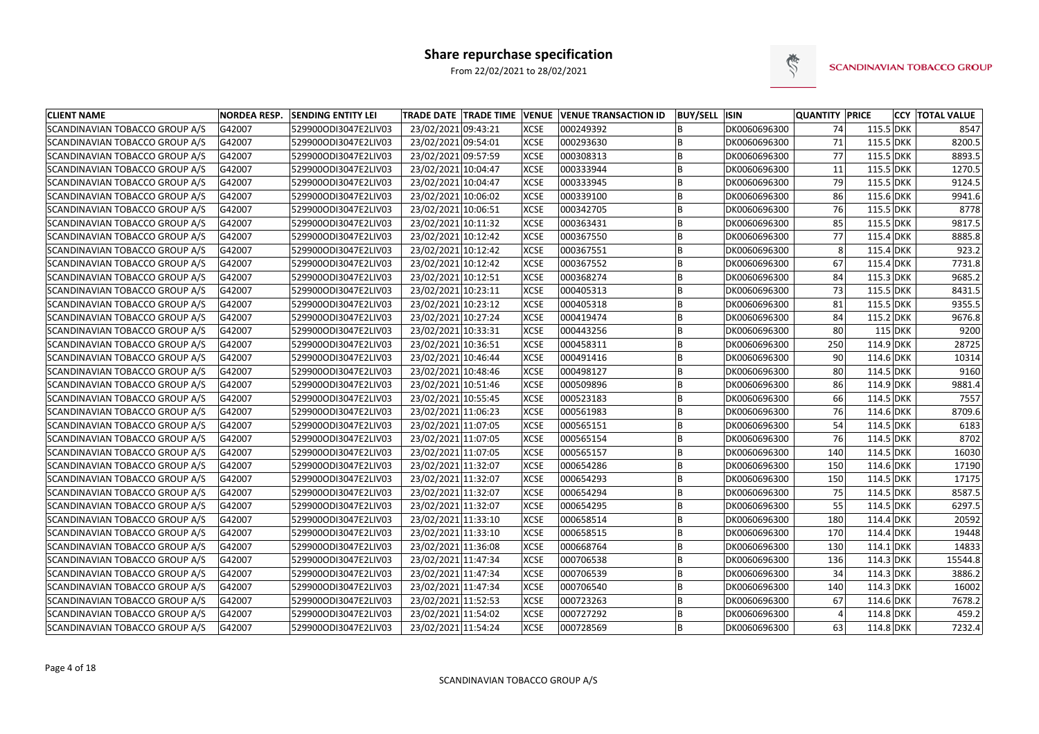

| <b>CLIENT NAME</b>                    | <b>NORDEA RESP.</b> | <b>SENDING ENTITY LEI</b> |                     |             | TRADE DATE TRADE TIME VENUE VENUE TRANSACTION ID | <b>BUY/SELL ISIN</b> |              | <b>QUANTITY PRICE</b> |             | <b>CCY TOTAL VALUE</b> |
|---------------------------------------|---------------------|---------------------------|---------------------|-------------|--------------------------------------------------|----------------------|--------------|-----------------------|-------------|------------------------|
| SCANDINAVIAN TOBACCO GROUP A/S        | G42007              | 529900ODI3047E2LIV03      | 23/02/2021 09:43:21 | <b>XCSE</b> | 000249392                                        |                      | DK0060696300 | 74                    | 115.5 DKK   | 8547                   |
| SCANDINAVIAN TOBACCO GROUP A/S        | G42007              | 529900ODI3047E2LIV03      | 23/02/2021 09:54:01 | <b>XCSE</b> | 000293630                                        |                      | DK0060696300 | 71                    | 115.5 DKK   | 8200.5                 |
| SCANDINAVIAN TOBACCO GROUP A/S        | G42007              | 529900ODI3047E2LIV03      | 23/02/2021 09:57:59 | <b>XCSE</b> | 000308313                                        |                      | DK0060696300 | 77                    | 115.5 DKK   | 8893.5                 |
| SCANDINAVIAN TOBACCO GROUP A/S        | G42007              | 529900ODI3047E2LIV03      | 23/02/2021 10:04:47 | <b>XCSE</b> | 000333944                                        |                      | DK0060696300 | 11                    | 115.5 DKK   | 1270.5                 |
| SCANDINAVIAN TOBACCO GROUP A/S        | G42007              | 529900ODI3047E2LIV03      | 23/02/2021 10:04:47 | <b>XCSE</b> | 000333945                                        | B                    | DK0060696300 | 79                    | 115.5 DKK   | 9124.5                 |
| SCANDINAVIAN TOBACCO GROUP A/S        | G42007              | 529900ODI3047E2LIV03      | 23/02/2021 10:06:02 | <b>XCSE</b> | 000339100                                        |                      | DK0060696300 | 86                    | 115.6 DKK   | 9941.6                 |
| SCANDINAVIAN TOBACCO GROUP A/S        | G42007              | 529900ODI3047E2LIV03      | 23/02/2021 10:06:51 | <b>XCSE</b> | 000342705                                        | B                    | DK0060696300 | 76                    | 115.5 DKK   | 8778                   |
| SCANDINAVIAN TOBACCO GROUP A/S        | G42007              | 529900ODI3047E2LIV03      | 23/02/2021 10:11:32 | <b>XCSE</b> | 000363431                                        |                      | DK0060696300 | 85                    | 115.5 DKK   | 9817.5                 |
| SCANDINAVIAN TOBACCO GROUP A/S        | G42007              | 529900ODI3047E2LIV03      | 23/02/2021 10:12:42 | <b>XCSE</b> | 000367550                                        |                      | DK0060696300 | 77                    | 115.4 DKK   | 8885.8                 |
| SCANDINAVIAN TOBACCO GROUP A/S        | G42007              | 529900ODI3047E2LIV03      | 23/02/2021 10:12:42 | <b>XCSE</b> | 000367551                                        |                      | DK0060696300 | 8                     | 115.4 DKK   | 923.2                  |
| SCANDINAVIAN TOBACCO GROUP A/S        | G42007              | 529900ODI3047E2LIV03      | 23/02/2021 10:12:42 | <b>XCSE</b> | 000367552                                        |                      | DK0060696300 | 67                    | 115.4 DKK   | 7731.8                 |
| SCANDINAVIAN TOBACCO GROUP A/S        | G42007              | 529900ODI3047E2LIV03      | 23/02/2021 10:12:51 | <b>XCSE</b> | 000368274                                        | B                    | DK0060696300 | 84                    | 115.3 DKK   | 9685.2                 |
| <b>SCANDINAVIAN TOBACCO GROUP A/S</b> | G42007              | 529900ODI3047E2LIV03      | 23/02/2021 10:23:11 | <b>XCSE</b> | 000405313                                        |                      | DK0060696300 | 73                    | 115.5 DKK   | 8431.5                 |
| SCANDINAVIAN TOBACCO GROUP A/S        | G42007              | 529900ODI3047E2LIV03      | 23/02/2021 10:23:12 | <b>XCSE</b> | 000405318                                        | B                    | DK0060696300 | 81                    | 115.5 DKK   | 9355.5                 |
| SCANDINAVIAN TOBACCO GROUP A/S        | G42007              | 529900ODI3047E2LIV03      | 23/02/2021 10:27:24 | <b>XCSE</b> | 000419474                                        |                      | DK0060696300 | 84                    | $115.2$ DKK | 9676.8                 |
| SCANDINAVIAN TOBACCO GROUP A/S        | G42007              | 529900ODI3047E2LIV03      | 23/02/2021 10:33:31 | <b>XCSE</b> | 000443256                                        |                      | DK0060696300 | 80                    | $115$ DKK   | 9200                   |
| SCANDINAVIAN TOBACCO GROUP A/S        | G42007              | 529900ODI3047E2LIV03      | 23/02/2021 10:36:51 | <b>XCSE</b> | 000458311                                        |                      | DK0060696300 | 250                   | $114.9$ DKK | 28725                  |
| SCANDINAVIAN TOBACCO GROUP A/S        | G42007              | 529900ODI3047E2LIV03      | 23/02/2021 10:46:44 | <b>XCSE</b> | 000491416                                        |                      | DK0060696300 | 90                    | 114.6 DKK   | 10314                  |
| SCANDINAVIAN TOBACCO GROUP A/S        | G42007              | 529900ODI3047E2LIV03      | 23/02/2021 10:48:46 | <b>XCSE</b> | 000498127                                        | B                    | DK0060696300 | 80                    | 114.5 DKK   | 9160                   |
| SCANDINAVIAN TOBACCO GROUP A/S        | G42007              | 529900ODI3047E2LIV03      | 23/02/2021 10:51:46 | <b>XCSE</b> | 000509896                                        |                      | DK0060696300 | 86                    | $114.9$ DKK | 9881.4                 |
| SCANDINAVIAN TOBACCO GROUP A/S        | G42007              | 529900ODI3047E2LIV03      | 23/02/2021 10:55:45 | <b>XCSE</b> | 000523183                                        |                      | DK0060696300 | 66                    | 114.5 DKK   | 7557                   |
| SCANDINAVIAN TOBACCO GROUP A/S        | G42007              | 529900ODI3047E2LIV03      | 23/02/2021 11:06:23 | <b>XCSE</b> | 000561983                                        |                      | DK0060696300 | 76                    | 114.6 DKK   | 8709.6                 |
| SCANDINAVIAN TOBACCO GROUP A/S        | G42007              | 529900ODI3047E2LIV03      | 23/02/2021 11:07:05 | <b>XCSE</b> | 000565151                                        |                      | DK0060696300 | 54                    | 114.5 DKK   | 6183                   |
| SCANDINAVIAN TOBACCO GROUP A/S        | G42007              | 529900ODI3047E2LIV03      | 23/02/2021 11:07:05 | <b>XCSE</b> | 000565154                                        |                      | DK0060696300 | 76                    | 114.5 DKK   | 8702                   |
| SCANDINAVIAN TOBACCO GROUP A/S        | G42007              | 529900ODI3047E2LIV03      | 23/02/2021 11:07:05 | <b>XCSE</b> | 000565157                                        |                      | DK0060696300 | 140                   | 114.5 DKK   | 16030                  |
| SCANDINAVIAN TOBACCO GROUP A/S        | G42007              | 529900ODI3047E2LIV03      | 23/02/2021 11:32:07 | <b>XCSE</b> | 000654286                                        | B                    | DK0060696300 | 150                   | 114.6 DKK   | 17190                  |
| SCANDINAVIAN TOBACCO GROUP A/S        | G42007              | 529900ODI3047E2LIV03      | 23/02/2021 11:32:07 | <b>XCSE</b> | 000654293                                        |                      | DK0060696300 | 150                   | 114.5 DKK   | 17175                  |
| <b>SCANDINAVIAN TOBACCO GROUP A/S</b> | G42007              | 529900ODI3047E2LIV03      | 23/02/2021 11:32:07 | <b>XCSE</b> | 000654294                                        | B                    | DK0060696300 | 75                    | 114.5 DKK   | 8587.5                 |
| SCANDINAVIAN TOBACCO GROUP A/S        | G42007              | 529900ODI3047E2LIV03      | 23/02/2021 11:32:07 | <b>XCSE</b> | 000654295                                        |                      | DK0060696300 | 55                    | 114.5 DKK   | 6297.5                 |
| SCANDINAVIAN TOBACCO GROUP A/S        | G42007              | 529900ODI3047E2LIV03      | 23/02/2021 11:33:10 | <b>XCSE</b> | 000658514                                        |                      | DK0060696300 | 180                   | 114.4 DKK   | 20592                  |
| SCANDINAVIAN TOBACCO GROUP A/S        | G42007              | 529900ODI3047E2LIV03      | 23/02/2021 11:33:10 | <b>XCSE</b> | 000658515                                        | B                    | DK0060696300 | 170                   | 114.4 DKK   | 19448                  |
| SCANDINAVIAN TOBACCO GROUP A/S        | G42007              | 529900ODI3047E2LIV03      | 23/02/2021 11:36:08 | <b>XCSE</b> | 000668764                                        | B                    | DK0060696300 | 130                   | $114.1$ DKK | 14833                  |
| <b>SCANDINAVIAN TOBACCO GROUP A/S</b> | G42007              | 529900ODI3047E2LIV03      | 23/02/2021 11:47:34 | <b>XCSE</b> | 000706538                                        | B                    | DK0060696300 | 136                   | 114.3 DKK   | 15544.8                |
| SCANDINAVIAN TOBACCO GROUP A/S        | G42007              | 529900ODI3047E2LIV03      | 23/02/2021 11:47:34 | <b>XCSE</b> | 000706539                                        | B                    | DK0060696300 | 34                    | 114.3 DKK   | 3886.2                 |
| SCANDINAVIAN TOBACCO GROUP A/S        | G42007              | 529900ODI3047E2LIV03      | 23/02/2021 11:47:34 | <b>XCSE</b> | 000706540                                        | B                    | DK0060696300 | 140                   | 114.3 DKK   | 16002                  |
| SCANDINAVIAN TOBACCO GROUP A/S        | G42007              | 529900ODI3047E2LIV03      | 23/02/2021 11:52:53 | <b>XCSE</b> | 000723263                                        | B                    | DK0060696300 | 67                    | 114.6 DKK   | 7678.2                 |
| SCANDINAVIAN TOBACCO GROUP A/S        | G42007              | 529900ODI3047E2LIV03      | 23/02/2021 11:54:02 | <b>XCSE</b> | 000727292                                        | B                    | DK0060696300 |                       | $114.8$ DKK | 459.2                  |
| SCANDINAVIAN TOBACCO GROUP A/S        | G42007              | 529900ODI3047E2LIV03      | 23/02/2021 11:54:24 | <b>XCSE</b> | 000728569                                        | B                    | DK0060696300 | 63                    | 114.8 DKK   | 7232.4                 |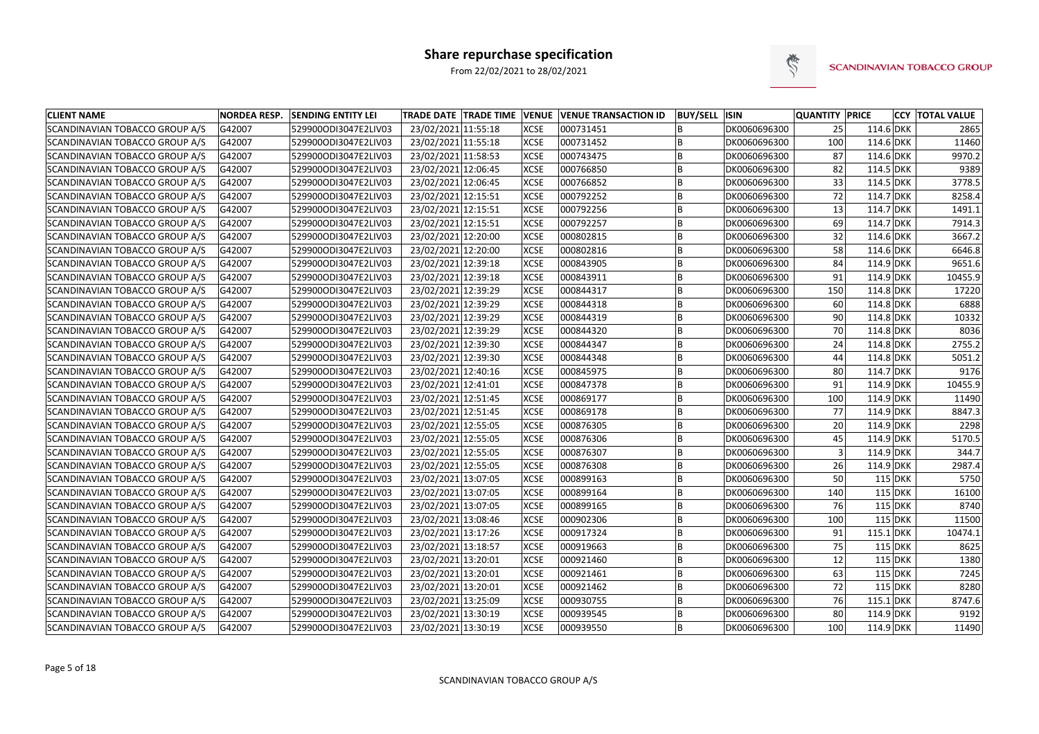

| <b>CLIENT NAME</b>                    | <b>NORDEA RESP.</b> | <b>SENDING ENTITY LEI</b> | TRADE DATE TRADE TIME VENUE VENUE TRANSACTION ID |             |           | <b>BUY/SELL ISIN</b> |              | <b>QUANTITY PRICE</b> |             | <b>CCY TOTAL VALUE</b> |
|---------------------------------------|---------------------|---------------------------|--------------------------------------------------|-------------|-----------|----------------------|--------------|-----------------------|-------------|------------------------|
| SCANDINAVIAN TOBACCO GROUP A/S        | G42007              | 529900ODI3047E2LIV03      | 23/02/2021 11:55:18                              | <b>XCSE</b> | 000731451 |                      | DK0060696300 | 25                    | 114.6 DKK   | 2865                   |
| SCANDINAVIAN TOBACCO GROUP A/S        | G42007              | 529900ODI3047E2LIV03      | 23/02/2021 11:55:18                              | <b>XCSE</b> | 000731452 | ΙB                   | DK0060696300 | 100                   | 114.6 DKK   | 11460                  |
| SCANDINAVIAN TOBACCO GROUP A/S        | G42007              | 529900ODI3047E2LIV03      | 23/02/2021 11:58:53                              | <b>XCSE</b> | 000743475 | B                    | DK0060696300 | 87                    | 114.6 DKK   | 9970.2                 |
| SCANDINAVIAN TOBACCO GROUP A/S        | G42007              | 529900ODI3047E2LIV03      | 23/02/2021 12:06:45                              | <b>XCSE</b> | 000766850 | B                    | DK0060696300 | 82                    | 114.5 DKK   | 9389                   |
| SCANDINAVIAN TOBACCO GROUP A/S        | G42007              | 529900ODI3047E2LIV03      | 23/02/2021 12:06:45                              | <b>XCSE</b> | 000766852 | lB                   | DK0060696300 | 33                    | 114.5 DKK   | 3778.5                 |
| SCANDINAVIAN TOBACCO GROUP A/S        | G42007              | 529900ODI3047E2LIV03      | 23/02/2021 12:15:51                              | <b>XCSE</b> | 000792252 | B                    | DK0060696300 | 72                    | 114.7 DKK   | 8258.4                 |
| SCANDINAVIAN TOBACCO GROUP A/S        | G42007              | 529900ODI3047E2LIV03      | 23/02/2021 12:15:51                              | <b>XCSE</b> | 000792256 | ΙB                   | DK0060696300 | 13                    | 114.7 DKK   | 1491.1                 |
| SCANDINAVIAN TOBACCO GROUP A/S        | G42007              | 529900ODI3047E2LIV03      | 23/02/2021 12:15:51                              | <b>XCSE</b> | 000792257 | B                    | DK0060696300 | 69                    | 114.7 DKK   | 7914.3                 |
| SCANDINAVIAN TOBACCO GROUP A/S        | G42007              | 529900ODI3047E2LIV03      | 23/02/2021 12:20:00                              | <b>XCSE</b> | 000802815 | B                    | DK0060696300 | 32                    | 114.6 DKK   | 3667.2                 |
| SCANDINAVIAN TOBACCO GROUP A/S        | G42007              | 529900ODI3047E2LIV03      | 23/02/2021 12:20:00                              | <b>XCSE</b> | 000802816 |                      | DK0060696300 | 58                    | 114.6 DKK   | 6646.8                 |
| SCANDINAVIAN TOBACCO GROUP A/S        | G42007              | 529900ODI3047E2LIV03      | 23/02/2021 12:39:18                              | <b>XCSE</b> | 000843905 | ΙB                   | DK0060696300 | 84                    | $114.9$ DKK | 9651.6                 |
| SCANDINAVIAN TOBACCO GROUP A/S        | G42007              | 529900ODI3047E2LIV03      | 23/02/2021 12:39:18                              | <b>XCSE</b> | 000843911 | lB                   | DK0060696300 | 91                    | 114.9 DKK   | 10455.9                |
| SCANDINAVIAN TOBACCO GROUP A/S        | G42007              | 529900ODI3047E2LIV03      | 23/02/2021 12:39:29                              | <b>XCSE</b> | 000844317 | lB                   | DK0060696300 | 150                   | $114.8$ DKK | 17220                  |
| SCANDINAVIAN TOBACCO GROUP A/S        | G42007              | 529900ODI3047E2LIV03      | 23/02/2021 12:39:29                              | <b>XCSE</b> | 000844318 | B                    | DK0060696300 | 60                    | $114.8$ DKK | 6888                   |
| SCANDINAVIAN TOBACCO GROUP A/S        | G42007              | 529900ODI3047E2LIV03      | 23/02/2021 12:39:29                              | <b>XCSE</b> | 000844319 | B                    | DK0060696300 | 90                    | $114.8$ DKK | 10332                  |
| SCANDINAVIAN TOBACCO GROUP A/S        | G42007              | 529900ODI3047E2LIV03      | 23/02/2021 12:39:29                              | <b>XCSE</b> | 000844320 | ΙB                   | DK0060696300 | 70                    | $114.8$ DKK | 8036                   |
| SCANDINAVIAN TOBACCO GROUP A/S        | G42007              | 529900ODI3047E2LIV03      | 23/02/2021 12:39:30                              | <b>XCSE</b> | 000844347 | B                    | DK0060696300 | 24                    | $114.8$ DKK | 2755.2                 |
| SCANDINAVIAN TOBACCO GROUP A/S        | G42007              | 529900ODI3047E2LIV03      | 23/02/2021 12:39:30                              | <b>XCSE</b> | 000844348 | ΙB                   | DK0060696300 | 44                    | $114.8$ DKK | 5051.2                 |
| SCANDINAVIAN TOBACCO GROUP A/S        | G42007              | 529900ODI3047E2LIV03      | 23/02/2021 12:40:16                              | <b>XCSE</b> | 000845975 | lB                   | DK0060696300 | 80                    | 114.7 DKK   | 9176                   |
| SCANDINAVIAN TOBACCO GROUP A/S        | G42007              | 529900ODI3047E2LIV03      | 23/02/2021 12:41:01                              | <b>XCSE</b> | 000847378 | B                    | DK0060696300 | 91                    | 114.9 DKK   | 10455.9                |
| SCANDINAVIAN TOBACCO GROUP A/S        | G42007              | 529900ODI3047E2LIV03      | 23/02/2021 12:51:45                              | <b>XCSE</b> | 000869177 | ΙB                   | DK0060696300 | 100                   | $114.9$ DKK | 11490                  |
| SCANDINAVIAN TOBACCO GROUP A/S        | G42007              | 529900ODI3047E2LIV03      | 23/02/2021 12:51:45                              | <b>XCSE</b> | 000869178 | B                    | DK0060696300 | 77                    | $114.9$ DKK | 8847.3                 |
| SCANDINAVIAN TOBACCO GROUP A/S        | G42007              | 529900ODI3047E2LIV03      | 23/02/2021 12:55:05                              | <b>XCSE</b> | 000876305 | B                    | DK0060696300 | 20                    | $114.9$ DKK | 2298                   |
| SCANDINAVIAN TOBACCO GROUP A/S        | G42007              | 529900ODI3047E2LIV03      | 23/02/2021 12:55:05                              | <b>XCSE</b> | 000876306 |                      | DK0060696300 | 45                    | $114.9$ DKK | 5170.5                 |
| SCANDINAVIAN TOBACCO GROUP A/S        | G42007              | 529900ODI3047E2LIV03      | 23/02/2021 12:55:05                              | <b>XCSE</b> | 000876307 | ΙB                   | DK0060696300 |                       | $114.9$ DKK | 344.7                  |
| SCANDINAVIAN TOBACCO GROUP A/S        | G42007              | 529900ODI3047E2LIV03      | 23/02/2021 12:55:05                              | <b>XCSE</b> | 000876308 | lB                   | DK0060696300 | 26                    | $114.9$ DKK | 2987.4                 |
| SCANDINAVIAN TOBACCO GROUP A/S        | G42007              | 529900ODI3047E2LIV03      | 23/02/2021 13:07:05                              | <b>XCSE</b> | 000899163 | B                    | DK0060696300 | 50                    | $115$ DKK   | 5750                   |
| SCANDINAVIAN TOBACCO GROUP A/S        | G42007              | 529900ODI3047E2LIV03      | 23/02/2021 13:07:05                              | <b>XCSE</b> | 000899164 | ΙB                   | DK0060696300 | 140                   | $115$ DKK   | 16100                  |
| SCANDINAVIAN TOBACCO GROUP A/S        | G42007              | 529900ODI3047E2LIV03      | 23/02/2021 13:07:05                              | <b>XCSE</b> | 000899165 |                      | DK0060696300 | 76                    | $115$ DKK   | 8740                   |
| SCANDINAVIAN TOBACCO GROUP A/S        | G42007              | 529900ODI3047E2LIV03      | 23/02/2021 13:08:46                              | <b>XCSE</b> | 000902306 | lB                   | DK0060696300 | 100                   | $115$ DKK   | 11500                  |
| SCANDINAVIAN TOBACCO GROUP A/S        | G42007              | 529900ODI3047E2LIV03      | 23/02/2021 13:17:26                              | <b>XCSE</b> | 000917324 | lB                   | DK0060696300 | 91                    | $115.1$ DKK | 10474.1                |
| <b>SCANDINAVIAN TOBACCO GROUP A/S</b> | G42007              | 529900ODI3047E2LIV03      | 23/02/2021 13:18:57                              | <b>XCSE</b> | 000919663 | B                    | DK0060696300 | 75                    | $115$ DKK   | 8625                   |
| SCANDINAVIAN TOBACCO GROUP A/S        | G42007              | 529900ODI3047E2LIV03      | 23/02/2021 13:20:01                              | <b>XCSE</b> | 000921460 | B                    | DK0060696300 | 12                    | $115$ DKK   | 1380                   |
| SCANDINAVIAN TOBACCO GROUP A/S        | G42007              | 529900ODI3047E2LIV03      | 23/02/2021 13:20:01                              | <b>XCSE</b> | 000921461 | B                    | DK0060696300 | 63                    | $115$ DKK   | 7245                   |
| <b>SCANDINAVIAN TOBACCO GROUP A/S</b> | G42007              | 529900ODI3047E2LIV03      | 23/02/2021 13:20:01                              | <b>XCSE</b> | 000921462 | B                    | DK0060696300 | 72                    | $115$ DKK   | 8280                   |
| SCANDINAVIAN TOBACCO GROUP A/S        | G42007              | 529900ODI3047E2LIV03      | 23/02/2021 13:25:09                              | <b>XCSE</b> | 000930755 | lΒ                   | DK0060696300 | 76                    | $115.1$ DKK | 8747.6                 |
| SCANDINAVIAN TOBACCO GROUP A/S        | G42007              | 529900ODI3047E2LIV03      | 23/02/2021 13:30:19                              | <b>XCSE</b> | 000939545 | B                    | DK0060696300 | 80                    | $114.9$ DKK | 9192                   |
| SCANDINAVIAN TOBACCO GROUP A/S        | G42007              | 529900ODI3047E2LIV03      | 23/02/2021 13:30:19                              | <b>XCSE</b> | 000939550 | B                    | DK0060696300 | 100                   | 114.9 DKK   | 11490                  |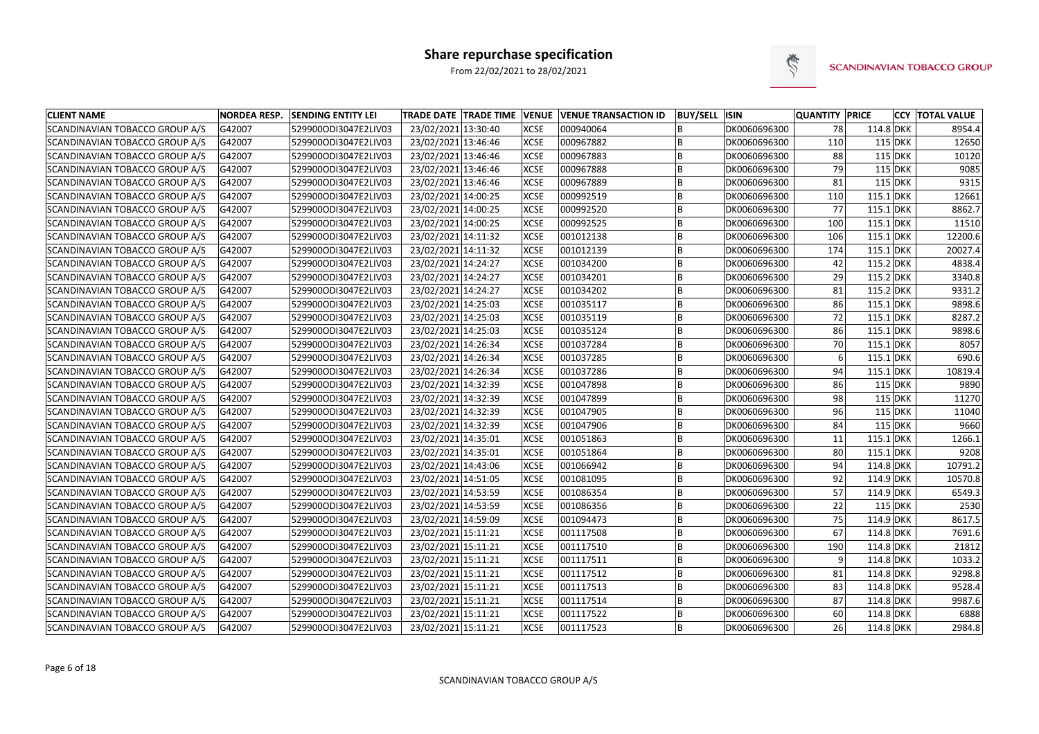

| <b>CLIENT NAME</b>                    | <b>NORDEA RESP.</b> | <b>SENDING ENTITY LEI</b> |                     |             | TRADE DATE TRADE TIME VENUE VENUE TRANSACTION ID | <b>BUY/SELL ISIN</b> |              | <b>QUANTITY PRICE</b> |             | <b>CCY TOTAL VALUE</b> |
|---------------------------------------|---------------------|---------------------------|---------------------|-------------|--------------------------------------------------|----------------------|--------------|-----------------------|-------------|------------------------|
| SCANDINAVIAN TOBACCO GROUP A/S        | G42007              | 529900ODI3047E2LIV03      | 23/02/2021 13:30:40 | <b>XCSE</b> | 000940064                                        |                      | DK0060696300 | 78                    | $114.8$ DKK | 8954.4                 |
| SCANDINAVIAN TOBACCO GROUP A/S        | G42007              | 529900ODI3047E2LIV03      | 23/02/2021 13:46:46 | <b>XCSE</b> | 000967882                                        |                      | DK0060696300 | 110                   | $115$ DKK   | 12650                  |
| SCANDINAVIAN TOBACCO GROUP A/S        | G42007              | 529900ODI3047E2LIV03      | 23/02/2021 13:46:46 | <b>XCSE</b> | 000967883                                        |                      | DK0060696300 | 88                    | 115 DKK     | 10120                  |
| <b>SCANDINAVIAN TOBACCO GROUP A/S</b> | G42007              | 529900ODI3047E2LIV03      | 23/02/2021 13:46:46 | <b>XCSE</b> | 000967888                                        |                      | DK0060696300 | 79                    | $115$ DKK   | 9085                   |
| SCANDINAVIAN TOBACCO GROUP A/S        | G42007              | 529900ODI3047E2LIV03      | 23/02/2021 13:46:46 | <b>XCSE</b> | 000967889                                        |                      | DK0060696300 | 81                    | $115$ DKK   | 9315                   |
| SCANDINAVIAN TOBACCO GROUP A/S        | G42007              | 529900ODI3047E2LIV03      | 23/02/2021 14:00:25 | <b>XCSE</b> | 000992519                                        |                      | DK0060696300 | 110                   | 115.1 DKK   | 12661                  |
| SCANDINAVIAN TOBACCO GROUP A/S        | G42007              | 529900ODI3047E2LIV03      | 23/02/2021 14:00:25 | <b>XCSE</b> | 000992520                                        |                      | DK0060696300 | 77                    | $115.1$ DKK | 8862.7                 |
| SCANDINAVIAN TOBACCO GROUP A/S        | G42007              | 529900ODI3047E2LIV03      | 23/02/2021 14:00:25 | <b>XCSE</b> | 000992525                                        |                      | DK0060696300 | 100                   | $115.1$ DKK | 11510                  |
| SCANDINAVIAN TOBACCO GROUP A/S        | G42007              | 529900ODI3047E2LIV03      | 23/02/2021 14:11:32 | <b>XCSE</b> | 001012138                                        |                      | DK0060696300 | 106                   | $115.1$ DKK | 12200.6                |
| SCANDINAVIAN TOBACCO GROUP A/S        | G42007              | 529900ODI3047E2LIV03      | 23/02/2021 14:11:32 | <b>XCSE</b> | 001012139                                        |                      | DK0060696300 | 174                   | $115.1$ DKK | 20027.4                |
| SCANDINAVIAN TOBACCO GROUP A/S        | G42007              | 529900ODI3047E2LIV03      | 23/02/2021 14:24:27 | <b>XCSE</b> | 001034200                                        |                      | DK0060696300 | 42                    | 115.2 DKK   | 4838.4                 |
| SCANDINAVIAN TOBACCO GROUP A/S        | G42007              | 529900ODI3047E2LIV03      | 23/02/2021 14:24:27 | <b>XCSE</b> | 001034201                                        | B                    | DK0060696300 | 29                    | 115.2 DKK   | 3340.8                 |
| SCANDINAVIAN TOBACCO GROUP A/S        | G42007              | 529900ODI3047E2LIV03      | 23/02/2021 14:24:27 | <b>XCSE</b> | 001034202                                        |                      | DK0060696300 | 81                    | 115.2 DKK   | 9331.2                 |
| SCANDINAVIAN TOBACCO GROUP A/S        | G42007              | 529900ODI3047E2LIV03      | 23/02/2021 14:25:03 | <b>XCSE</b> | 001035117                                        |                      | DK0060696300 | 86                    | 115.1 DKK   | 9898.6                 |
| SCANDINAVIAN TOBACCO GROUP A/S        | G42007              | 529900ODI3047E2LIV03      | 23/02/2021 14:25:03 | <b>XCSE</b> | 001035119                                        |                      | DK0060696300 | 72                    | 115.1 DKK   | 8287.2                 |
| SCANDINAVIAN TOBACCO GROUP A/S        | G42007              | 529900ODI3047E2LIV03      | 23/02/2021 14:25:03 | <b>XCSE</b> | 001035124                                        |                      | DK0060696300 | 86                    | $115.1$ DKK | 9898.6                 |
| SCANDINAVIAN TOBACCO GROUP A/S        | G42007              | 529900ODI3047E2LIV03      | 23/02/2021 14:26:34 | <b>XCSE</b> | 001037284                                        |                      | DK0060696300 | 70                    | $115.1$ DKK | 8057                   |
| SCANDINAVIAN TOBACCO GROUP A/S        | G42007              | 529900ODI3047E2LIV03      | 23/02/2021 14:26:34 | <b>XCSE</b> | 001037285                                        |                      | DK0060696300 | 61                    | 115.1 DKK   | 690.6                  |
| SCANDINAVIAN TOBACCO GROUP A/S        | G42007              | 529900ODI3047E2LIV03      | 23/02/2021 14:26:34 | <b>XCSE</b> | 001037286                                        |                      | DK0060696300 | 94                    | 115.1 DKK   | 10819.4                |
| SCANDINAVIAN TOBACCO GROUP A/S        | G42007              | 529900ODI3047E2LIV03      | 23/02/2021 14:32:39 | <b>XCSE</b> | 001047898                                        |                      | DK0060696300 | 86                    | $115$ DKK   | 9890                   |
| SCANDINAVIAN TOBACCO GROUP A/S        | G42007              | 529900ODI3047E2LIV03      | 23/02/2021 14:32:39 | <b>XCSE</b> | 001047899                                        |                      | DK0060696300 | 98                    | $115$ DKK   | 11270                  |
| SCANDINAVIAN TOBACCO GROUP A/S        | G42007              | 529900ODI3047E2LIV03      | 23/02/2021 14:32:39 | <b>XCSE</b> | 001047905                                        |                      | DK0060696300 | 96                    | $115$ DKK   | 11040                  |
| SCANDINAVIAN TOBACCO GROUP A/S        | G42007              | 529900ODI3047E2LIV03      | 23/02/2021 14:32:39 | <b>XCSE</b> | 001047906                                        |                      | DK0060696300 | 84                    | $115$ DKK   | 9660                   |
| SCANDINAVIAN TOBACCO GROUP A/S        | G42007              | 529900ODI3047E2LIV03      | 23/02/2021 14:35:01 | <b>XCSE</b> | 001051863                                        |                      | DK0060696300 | 11                    | $115.1$ DKK | 1266.1                 |
| SCANDINAVIAN TOBACCO GROUP A/S        | G42007              | 529900ODI3047E2LIV03      | 23/02/2021 14:35:01 | <b>XCSE</b> | 001051864                                        |                      | DK0060696300 | -80                   | 115.1 DKK   | 9208                   |
| SCANDINAVIAN TOBACCO GROUP A/S        | G42007              | 529900ODI3047E2LIV03      | 23/02/2021 14:43:06 | <b>XCSE</b> | 001066942                                        | B                    | DK0060696300 | 94                    | 114.8 DKK   | 10791.2                |
| SCANDINAVIAN TOBACCO GROUP A/S        | G42007              | 529900ODI3047E2LIV03      | 23/02/2021 14:51:05 | <b>XCSE</b> | 001081095                                        |                      | DK0060696300 | 92                    | 114.9 DKK   | 10570.8                |
| <b>SCANDINAVIAN TOBACCO GROUP A/S</b> | G42007              | 529900ODI3047E2LIV03      | 23/02/2021 14:53:59 | <b>XCSE</b> | 001086354                                        |                      | DK0060696300 | 57                    | 114.9 DKK   | 6549.3                 |
| SCANDINAVIAN TOBACCO GROUP A/S        | G42007              | 529900ODI3047E2LIV03      | 23/02/2021 14:53:59 | <b>XCSE</b> | 001086356                                        |                      | DK0060696300 | 22                    | 115 DKK     | 2530                   |
| SCANDINAVIAN TOBACCO GROUP A/S        | G42007              | 529900ODI3047E2LIV03      | 23/02/2021 14:59:09 | <b>XCSE</b> | 001094473                                        |                      | DK0060696300 | 75                    | 114.9 DKK   | 8617.5                 |
| SCANDINAVIAN TOBACCO GROUP A/S        | G42007              | 529900ODI3047E2LIV03      | 23/02/2021 15:11:21 | <b>XCSE</b> | 001117508                                        | l B                  | DK0060696300 | 67                    | $114.8$ DKK | 7691.6                 |
| SCANDINAVIAN TOBACCO GROUP A/S        | G42007              | 529900ODI3047E2LIV03      | 23/02/2021 15:11:21 | <b>XCSE</b> | 001117510                                        |                      | DK0060696300 | 190                   | $114.8$ DKK | 21812                  |
| SCANDINAVIAN TOBACCO GROUP A/S        | G42007              | 529900ODI3047E2LIV03      | 23/02/2021 15:11:21 | <b>XCSE</b> | 001117511                                        | B                    | DK0060696300 | 9                     | 114.8 DKK   | 1033.2                 |
| SCANDINAVIAN TOBACCO GROUP A/S        | G42007              | 529900ODI3047E2LIV03      | 23/02/2021 15:11:21 | <b>XCSE</b> | 001117512                                        | B                    | DK0060696300 | 81                    | 114.8 DKK   | 9298.8                 |
| SCANDINAVIAN TOBACCO GROUP A/S        | G42007              | 529900ODI3047E2LIV03      | 23/02/2021 15:11:21 | <b>XCSE</b> | 001117513                                        | B                    | DK0060696300 | 83                    | 114.8 DKK   | 9528.4                 |
| SCANDINAVIAN TOBACCO GROUP A/S        | G42007              | 529900ODI3047E2LIV03      | 23/02/2021 15:11:21 | <b>XCSE</b> | 001117514                                        | B                    | DK0060696300 | 87                    | 114.8 DKK   | 9987.6                 |
| SCANDINAVIAN TOBACCO GROUP A/S        | G42007              | 529900ODI3047E2LIV03      | 23/02/2021 15:11:21 | <b>XCSE</b> | 001117522                                        | ΙB                   | DK0060696300 | 60                    | $114.8$ DKK | 6888                   |
| SCANDINAVIAN TOBACCO GROUP A/S        | G42007              | 529900ODI3047E2LIV03      | 23/02/2021 15:11:21 | <b>XCSE</b> | 001117523                                        | ΙB                   | DK0060696300 | 26                    | 114.8 DKK   | 2984.8                 |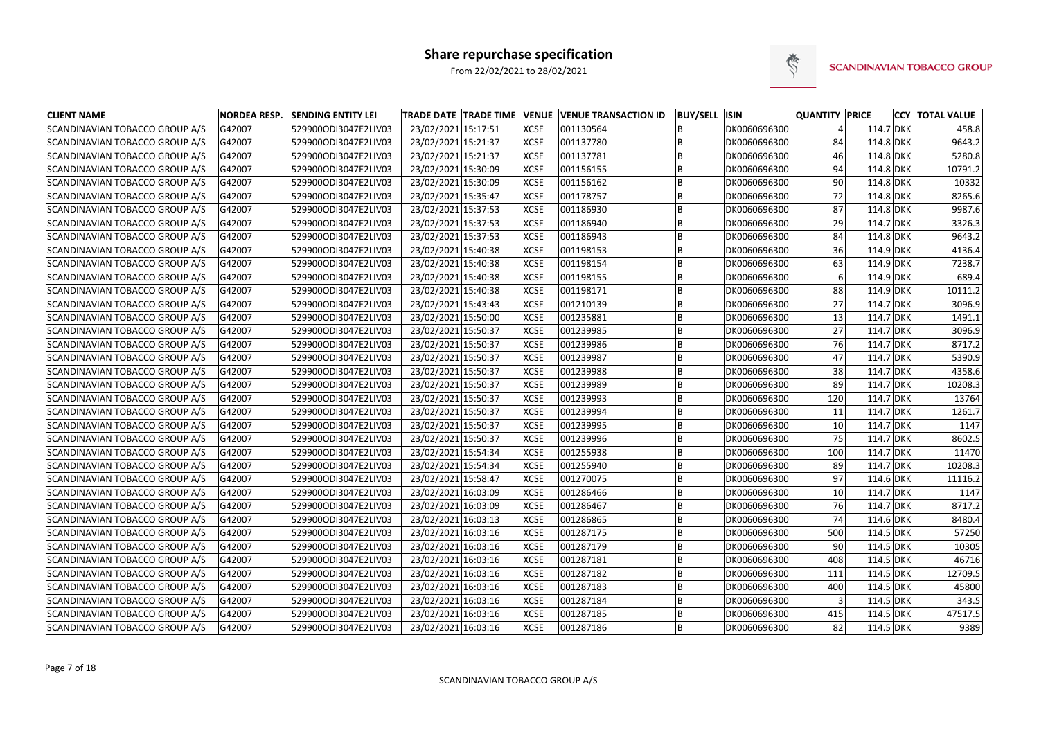

| <b>CLIENT NAME</b>                    | <b>NORDEA RESP.</b> | <b>SENDING ENTITY LEI</b> | TRADE DATE TRADE TIME VENUE VENUE TRANSACTION ID |             |           | <b>BUY/SELL ISIN</b> |              | <b>QUANTITY PRICE</b> |             | <b>CCY  TOTAL VALUE</b> |
|---------------------------------------|---------------------|---------------------------|--------------------------------------------------|-------------|-----------|----------------------|--------------|-----------------------|-------------|-------------------------|
| SCANDINAVIAN TOBACCO GROUP A/S        | G42007              | 529900ODI3047E2LIV03      | 23/02/2021 15:17:51                              | <b>XCSE</b> | 001130564 |                      | DK0060696300 |                       | 114.7 DKK   | 458.8                   |
| SCANDINAVIAN TOBACCO GROUP A/S        | G42007              | 529900ODI3047E2LIV03      | 23/02/2021 15:21:37                              | <b>XCSE</b> | 001137780 |                      | DK0060696300 | 84                    | 114.8 DKK   | 9643.2                  |
| SCANDINAVIAN TOBACCO GROUP A/S        | G42007              | 529900ODI3047E2LIV03      | 23/02/2021 15:21:37                              | <b>XCSE</b> | 001137781 |                      | DK0060696300 | 46                    | 114.8 DKK   | 5280.8                  |
| SCANDINAVIAN TOBACCO GROUP A/S        | G42007              | 529900ODI3047E2LIV03      | 23/02/2021 15:30:09                              | <b>XCSE</b> | 001156155 |                      | DK0060696300 | 94                    | 114.8 DKK   | 10791.2                 |
| SCANDINAVIAN TOBACCO GROUP A/S        | G42007              | 529900ODI3047E2LIV03      | 23/02/2021 15:30:09                              | <b>XCSE</b> | 001156162 |                      | DK0060696300 | 90                    | 114.8 DKK   | 10332                   |
| SCANDINAVIAN TOBACCO GROUP A/S        | G42007              | 529900ODI3047E2LIV03      | 23/02/2021 15:35:47                              | <b>XCSE</b> | 001178757 |                      | DK0060696300 | 72                    | 114.8 DKK   | 8265.6                  |
| SCANDINAVIAN TOBACCO GROUP A/S        | G42007              | 529900ODI3047E2LIV03      | 23/02/2021 15:37:53                              | <b>XCSE</b> | 001186930 |                      | DK0060696300 | 87                    | 114.8 DKK   | 9987.6                  |
| SCANDINAVIAN TOBACCO GROUP A/S        | G42007              | 529900ODI3047E2LIV03      | 23/02/2021 15:37:53                              | <b>XCSE</b> | 001186940 |                      | DK0060696300 | 29                    | 114.7 DKK   | 3326.3                  |
| SCANDINAVIAN TOBACCO GROUP A/S        | G42007              | 529900ODI3047E2LIV03      | 23/02/2021 15:37:53                              | <b>XCSE</b> | 001186943 |                      | DK0060696300 | 84                    | 114.8 DKK   | 9643.2                  |
| SCANDINAVIAN TOBACCO GROUP A/S        | G42007              | 529900ODI3047E2LIV03      | 23/02/2021 15:40:38                              | <b>XCSE</b> | 001198153 |                      | DK0060696300 | 36                    | 114.9 DKK   | 4136.4                  |
| SCANDINAVIAN TOBACCO GROUP A/S        | G42007              | 529900ODI3047E2LIV03      | 23/02/2021 15:40:38                              | <b>XCSE</b> | 001198154 |                      | DK0060696300 | 63                    | $114.9$ DKK | 7238.7                  |
| SCANDINAVIAN TOBACCO GROUP A/S        | G42007              | 529900ODI3047E2LIV03      | 23/02/2021 15:40:38                              | <b>XCSE</b> | 001198155 | B                    | DK0060696300 | 6                     | 114.9 DKK   | 689.4                   |
| SCANDINAVIAN TOBACCO GROUP A/S        | G42007              | 529900ODI3047E2LIV03      | 23/02/2021 15:40:38                              | <b>XCSE</b> | 001198171 | B                    | DK0060696300 | 88                    | 114.9 DKK   | 10111.2                 |
| SCANDINAVIAN TOBACCO GROUP A/S        | G42007              | 529900ODI3047E2LIV03      | 23/02/2021 15:43:43                              | <b>XCSE</b> | 001210139 |                      | DK0060696300 | 27                    | 114.7 DKK   | 3096.9                  |
| SCANDINAVIAN TOBACCO GROUP A/S        | G42007              | 529900ODI3047E2LIV03      | 23/02/2021 15:50:00                              | <b>XCSE</b> | 001235881 |                      | DK0060696300 | 13                    | 114.7 DKK   | 1491.1                  |
| SCANDINAVIAN TOBACCO GROUP A/S        | G42007              | 529900ODI3047E2LIV03      | 23/02/2021 15:50:37                              | <b>XCSE</b> | 001239985 |                      | DK0060696300 | 27                    | 114.7 DKK   | 3096.9                  |
| SCANDINAVIAN TOBACCO GROUP A/S        | G42007              | 529900ODI3047E2LIV03      | 23/02/2021 15:50:37                              | <b>XCSE</b> | 001239986 |                      | DK0060696300 | 76                    | 114.7 DKK   | 8717.2                  |
| SCANDINAVIAN TOBACCO GROUP A/S        | G42007              | 529900ODI3047E2LIV03      | 23/02/2021 15:50:37                              | <b>XCSE</b> | 001239987 |                      | DK0060696300 | 47                    | 114.7 DKK   | 5390.9                  |
| SCANDINAVIAN TOBACCO GROUP A/S        | G42007              | 529900ODI3047E2LIV03      | 23/02/2021 15:50:37                              | <b>XCSE</b> | 001239988 | B                    | DK0060696300 | 38                    | 114.7 DKK   | 4358.6                  |
| SCANDINAVIAN TOBACCO GROUP A/S        | G42007              | 529900ODI3047E2LIV03      | 23/02/2021 15:50:37                              | <b>XCSE</b> | 001239989 |                      | DK0060696300 | 89                    | 114.7 DKK   | 10208.3                 |
| SCANDINAVIAN TOBACCO GROUP A/S        | G42007              | 529900ODI3047E2LIV03      | 23/02/2021 15:50:37                              | <b>XCSE</b> | 001239993 |                      | DK0060696300 | 120                   | 114.7 DKK   | 13764                   |
| SCANDINAVIAN TOBACCO GROUP A/S        | G42007              | 529900ODI3047E2LIV03      | 23/02/2021 15:50:37                              | <b>XCSE</b> | 001239994 |                      | DK0060696300 | 11                    | 114.7 DKK   | 1261.7                  |
| SCANDINAVIAN TOBACCO GROUP A/S        | G42007              | 529900ODI3047E2LIV03      | 23/02/2021 15:50:37                              | <b>XCSE</b> | 001239995 |                      | DK0060696300 | 10                    | 114.7 DKK   | 1147                    |
| SCANDINAVIAN TOBACCO GROUP A/S        | G42007              | 529900ODI3047E2LIV03      | 23/02/2021 15:50:37                              | <b>XCSE</b> | 001239996 |                      | DK0060696300 | 75                    | 114.7 DKK   | 8602.5                  |
| SCANDINAVIAN TOBACCO GROUP A/S        | G42007              | 529900ODI3047E2LIV03      | 23/02/2021 15:54:34                              | <b>XCSE</b> | 001255938 |                      | DK0060696300 | 100                   | 114.7 DKK   | 11470                   |
| SCANDINAVIAN TOBACCO GROUP A/S        | G42007              | 529900ODI3047E2LIV03      | 23/02/2021 15:54:34                              | <b>XCSE</b> | 001255940 | B                    | DK0060696300 | 89                    | 114.7 DKK   | 10208.3                 |
| SCANDINAVIAN TOBACCO GROUP A/S        | G42007              | 529900ODI3047E2LIV03      | 23/02/2021 15:58:47                              | <b>XCSE</b> | 001270075 | B                    | DK0060696300 | 97                    | 114.6 DKK   | 11116.2                 |
| <b>SCANDINAVIAN TOBACCO GROUP A/S</b> | G42007              | 529900ODI3047E2LIV03      | 23/02/2021 16:03:09                              | <b>XCSE</b> | 001286466 |                      | DK0060696300 | 10 <sup>1</sup>       | 114.7 DKK   | 1147                    |
| SCANDINAVIAN TOBACCO GROUP A/S        | G42007              | 529900ODI3047E2LIV03      | 23/02/2021 16:03:09                              | <b>XCSE</b> | 001286467 |                      | DK0060696300 | 76                    | 114.7 DKK   | 8717.2                  |
| SCANDINAVIAN TOBACCO GROUP A/S        | G42007              | 529900ODI3047E2LIV03      | 23/02/2021 16:03:13                              | <b>XCSE</b> | 001286865 |                      | DK0060696300 | 74                    | 114.6 DKK   | 8480.4                  |
| SCANDINAVIAN TOBACCO GROUP A/S        | G42007              | 529900ODI3047E2LIV03      | 23/02/2021 16:03:16                              | <b>XCSE</b> | 001287175 | B                    | DK0060696300 | 500                   | 114.5 DKK   | 57250                   |
| SCANDINAVIAN TOBACCO GROUP A/S        | G42007              | 529900ODI3047E2LIV03      | 23/02/2021 16:03:16                              | <b>XCSE</b> | 001287179 |                      | DK0060696300 | -90                   | 114.5 DKK   | 10305                   |
| SCANDINAVIAN TOBACCO GROUP A/S        | G42007              | 529900ODI3047E2LIV03      | 23/02/2021 16:03:16                              | <b>XCSE</b> | 001287181 | B                    | DK0060696300 | 408                   | 114.5 DKK   | 46716                   |
| SCANDINAVIAN TOBACCO GROUP A/S        | G42007              | 529900ODI3047E2LIV03      | 23/02/2021 16:03:16                              | <b>XCSE</b> | 001287182 | B                    | DK0060696300 | 111                   | 114.5 DKK   | 12709.5                 |
| SCANDINAVIAN TOBACCO GROUP A/S        | G42007              | 529900ODI3047E2LIV03      | 23/02/2021 16:03:16                              | <b>XCSE</b> | 001287183 | B                    | DK0060696300 | 400                   | 114.5 DKK   | 45800                   |
| SCANDINAVIAN TOBACCO GROUP A/S        | G42007              | 529900ODI3047E2LIV03      | 23/02/2021 16:03:16                              | <b>XCSE</b> | 001287184 | B                    | DK0060696300 |                       | 114.5 DKK   | 343.5                   |
| SCANDINAVIAN TOBACCO GROUP A/S        | G42007              | 529900ODI3047E2LIV03      | 23/02/2021 16:03:16                              | <b>XCSE</b> | 001287185 | ΙB.                  | DK0060696300 | 415                   | 114.5 DKK   | 47517.5                 |
| SCANDINAVIAN TOBACCO GROUP A/S        | G42007              | 529900ODI3047E2LIV03      | 23/02/2021 16:03:16                              | <b>XCSE</b> | 001287186 | ΙB.                  | DK0060696300 | 82                    | 114.5 DKK   | 9389                    |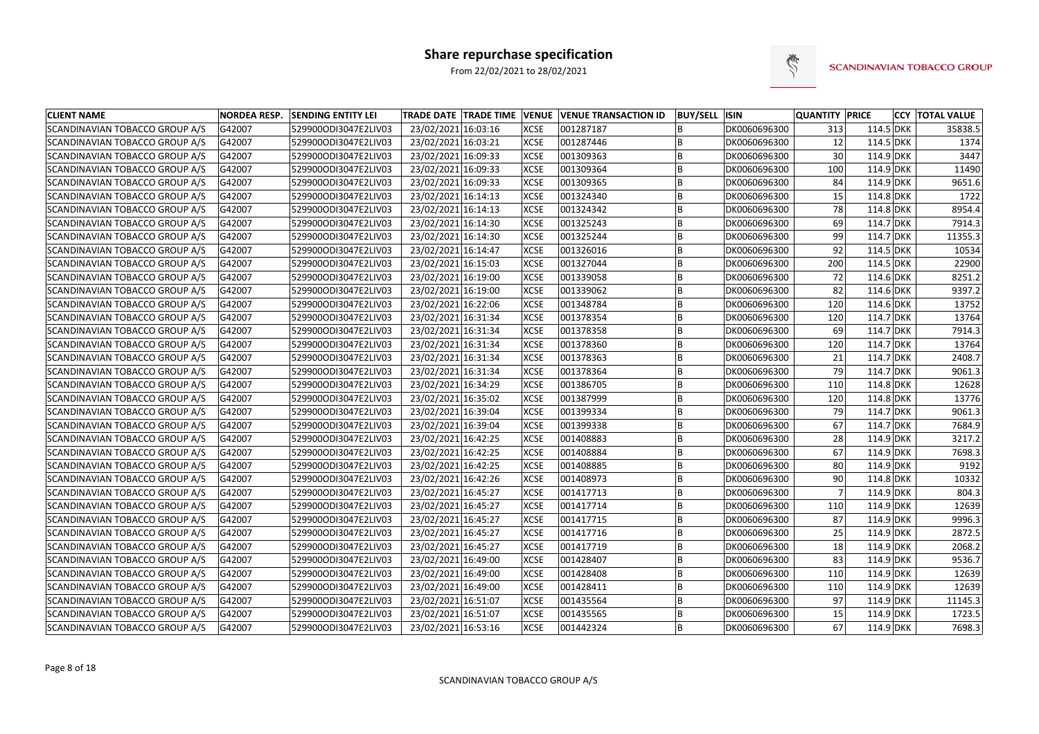

| <b>CLIENT NAME</b>             | <b>NORDEA RESP.</b> | <b>SENDING ENTITY LEI</b> | <b>TRADE DATE TRADE TIME VENUE</b> |             | <b>VENUE TRANSACTION ID</b> | <b>BUY/SELL ISIN</b> |              | <b>QUANTITY PRICE</b> |             | <b>CCY TOTAL VALUE</b> |
|--------------------------------|---------------------|---------------------------|------------------------------------|-------------|-----------------------------|----------------------|--------------|-----------------------|-------------|------------------------|
| SCANDINAVIAN TOBACCO GROUP A/S | G42007              | 529900ODI3047E2LIV03      | 23/02/2021 16:03:16                | <b>XCSE</b> | 001287187                   |                      | DK0060696300 | 313                   | 114.5 DKK   | 35838.5                |
| SCANDINAVIAN TOBACCO GROUP A/S | G42007              | 529900ODI3047E2LIV03      | 23/02/2021 16:03:21                | <b>XCSE</b> | 001287446                   |                      | DK0060696300 | 12                    | 114.5 DKK   | 1374                   |
| SCANDINAVIAN TOBACCO GROUP A/S | G42007              | 529900ODI3047E2LIV03      | 23/02/2021 16:09:33                | <b>XCSE</b> | 001309363                   | B                    | DK0060696300 | 30                    | 114.9 DKK   | 3447                   |
| SCANDINAVIAN TOBACCO GROUP A/S | G42007              | 529900ODI3047E2LIV03      | 23/02/2021 16:09:33                | <b>XCSE</b> | 001309364                   | B                    | DK0060696300 | 100                   | 114.9 DKK   | 11490                  |
| SCANDINAVIAN TOBACCO GROUP A/S | G42007              | 529900ODI3047E2LIV03      | 23/02/2021 16:09:33                | <b>XCSE</b> | 001309365                   | B                    | DK0060696300 | 84                    | $114.9$ DKK | 9651.6                 |
| SCANDINAVIAN TOBACCO GROUP A/S | G42007              | 529900ODI3047E2LIV03      | 23/02/2021 16:14:13                | <b>XCSE</b> | 001324340                   | B                    | DK0060696300 | 15                    | 114.8 DKK   | 1722                   |
| SCANDINAVIAN TOBACCO GROUP A/S | G42007              | 529900ODI3047E2LIV03      | 23/02/2021 16:14:13                | <b>XCSE</b> | 001324342                   | B                    | DK0060696300 | 78                    | 114.8 DKK   | 8954.4                 |
| SCANDINAVIAN TOBACCO GROUP A/S | G42007              | 529900ODI3047E2LIV03      | 23/02/2021 16:14:30                | <b>XCSE</b> | 001325243                   | B                    | DK0060696300 | 69                    | 114.7 DKK   | 7914.3                 |
| SCANDINAVIAN TOBACCO GROUP A/S | G42007              | 529900ODI3047E2LIV03      | 23/02/2021 16:14:30                | <b>XCSE</b> | 001325244                   | B                    | DK0060696300 | 99                    | 114.7 DKK   | 11355.3                |
| SCANDINAVIAN TOBACCO GROUP A/S | G42007              | 529900ODI3047E2LIV03      | 23/02/2021 16:14:47                | <b>XCSE</b> | 001326016                   |                      | DK0060696300 | 92                    | 114.5 DKK   | 10534                  |
| SCANDINAVIAN TOBACCO GROUP A/S | G42007              | 529900ODI3047E2LIV03      | 23/02/2021 16:15:03                | <b>XCSE</b> | 001327044                   | B                    | DK0060696300 | 200                   | 114.5 DKK   | 22900                  |
| SCANDINAVIAN TOBACCO GROUP A/S | G42007              | 529900ODI3047E2LIV03      | 23/02/2021 16:19:00                | <b>XCSE</b> | 001339058                   | l B                  | DK0060696300 | 72                    | 114.6 DKK   | 8251.2                 |
| SCANDINAVIAN TOBACCO GROUP A/S | G42007              | 529900ODI3047E2LIV03      | 23/02/2021 16:19:00                | <b>XCSE</b> | 001339062                   | B                    | DK0060696300 | 82                    | 114.6 DKK   | 9397.2                 |
| SCANDINAVIAN TOBACCO GROUP A/S | G42007              | 529900ODI3047E2LIV03      | 23/02/2021 16:22:06                | <b>XCSE</b> | 001348784                   | B                    | DK0060696300 | 120                   | 114.6 DKK   | 13752                  |
| SCANDINAVIAN TOBACCO GROUP A/S | G42007              | 529900ODI3047E2LIV03      | 23/02/2021 16:31:34                | <b>XCSE</b> | 001378354                   | B                    | DK0060696300 | 120                   | 114.7 DKK   | 13764                  |
| SCANDINAVIAN TOBACCO GROUP A/S | G42007              | 529900ODI3047E2LIV03      | 23/02/2021 16:31:34                | <b>XCSE</b> | 001378358                   | B                    | DK0060696300 | 69                    | 114.7 DKK   | 7914.3                 |
| SCANDINAVIAN TOBACCO GROUP A/S | G42007              | 529900ODI3047E2LIV03      | 23/02/2021 16:31:34                | <b>XCSE</b> | 001378360                   | B                    | DK0060696300 | 120                   | $114.7$ DKK | 13764                  |
| SCANDINAVIAN TOBACCO GROUP A/S | G42007              | 529900ODI3047E2LIV03      | 23/02/2021 16:31:34                | <b>XCSE</b> | 001378363                   | B                    | DK0060696300 | 21                    | 114.7 DKK   | 2408.7                 |
| SCANDINAVIAN TOBACCO GROUP A/S | G42007              | 529900ODI3047E2LIV03      | 23/02/2021 16:31:34                | <b>XCSE</b> | 001378364                   | B                    | DK0060696300 | 79                    | $114.7$ DKK | 9061.3                 |
| SCANDINAVIAN TOBACCO GROUP A/S | G42007              | 529900ODI3047E2LIV03      | 23/02/2021 16:34:29                | <b>XCSE</b> | 001386705                   | B                    | DK0060696300 | 110                   | 114.8 DKK   | 12628                  |
| SCANDINAVIAN TOBACCO GROUP A/S | G42007              | 529900ODI3047E2LIV03      | 23/02/2021 16:35:02                | <b>XCSE</b> | 001387999                   | B                    | DK0060696300 | 120                   | 114.8 DKK   | 13776                  |
| SCANDINAVIAN TOBACCO GROUP A/S | G42007              | 529900ODI3047E2LIV03      | 23/02/2021 16:39:04                | <b>XCSE</b> | 001399334                   | B                    | DK0060696300 | 79                    | 114.7 DKK   | 9061.3                 |
| SCANDINAVIAN TOBACCO GROUP A/S | G42007              | 529900ODI3047E2LIV03      | 23/02/2021 16:39:04                | <b>XCSE</b> | 001399338                   | B                    | DK0060696300 | 67                    | 114.7 DKK   | 7684.9                 |
| SCANDINAVIAN TOBACCO GROUP A/S | G42007              | 529900ODI3047E2LIV03      | 23/02/2021 16:42:25                | <b>XCSE</b> | 001408883                   |                      | DK0060696300 | 28                    | $114.9$ DKK | 3217.2                 |
| SCANDINAVIAN TOBACCO GROUP A/S | G42007              | 529900ODI3047E2LIV03      | 23/02/2021 16:42:25                | <b>XCSE</b> | 001408884                   | B                    | DK0060696300 | 67                    | $114.9$ DKK | 7698.3                 |
| SCANDINAVIAN TOBACCO GROUP A/S | G42007              | 529900ODI3047E2LIV03      | 23/02/2021 16:42:25                | <b>XCSE</b> | 001408885                   | İΒ                   | DK0060696300 | 80                    | $114.9$ DKK | 9192                   |
| SCANDINAVIAN TOBACCO GROUP A/S | G42007              | 529900ODI3047E2LIV03      | 23/02/2021 16:42:26                | <b>XCSE</b> | 001408973                   | B                    | DK0060696300 | 90                    | $114.8$ DKK | 10332                  |
| SCANDINAVIAN TOBACCO GROUP A/S | G42007              | 529900ODI3047E2LIV03      | 23/02/2021 16:45:27                | <b>XCSE</b> | 001417713                   | B                    | DK0060696300 |                       | $114.9$ DKK | 804.3                  |
| SCANDINAVIAN TOBACCO GROUP A/S | G42007              | 529900ODI3047E2LIV03      | 23/02/2021 16:45:27                | <b>XCSE</b> | 001417714                   | B                    | DK0060696300 | 110                   | $114.9$ DKK | 12639                  |
| SCANDINAVIAN TOBACCO GROUP A/S | G42007              | 529900ODI3047E2LIV03      | 23/02/2021 16:45:27                | <b>XCSE</b> | 001417715                   |                      | DK0060696300 | 87                    | 114.9 DKK   | 9996.3                 |
| SCANDINAVIAN TOBACCO GROUP A/S | G42007              | 529900ODI3047E2LIV03      | 23/02/2021 16:45:27                | <b>XCSE</b> | 001417716                   | B                    | DK0060696300 | 25                    | $114.9$ DKK | 2872.5                 |
| SCANDINAVIAN TOBACCO GROUP A/S | G42007              | 529900ODI3047E2LIV03      | 23/02/2021 16:45:27                | <b>XCSE</b> | 001417719                   | ΙB                   | DK0060696300 | 18                    | $114.9$ DKK | 2068.2                 |
| SCANDINAVIAN TOBACCO GROUP A/S | G42007              | 529900ODI3047E2LIV03      | 23/02/2021 16:49:00                | <b>XCSE</b> | 001428407                   | B                    | DK0060696300 | 83                    | $114.9$ DKK | 9536.7                 |
| SCANDINAVIAN TOBACCO GROUP A/S | G42007              | 529900ODI3047E2LIV03      | 23/02/2021 16:49:00                | <b>XCSE</b> | 001428408                   | B                    | DK0060696300 | 110                   | 114.9 DKK   | 12639                  |
| SCANDINAVIAN TOBACCO GROUP A/S | G42007              | 529900ODI3047E2LIV03      | 23/02/2021 16:49:00                | <b>XCSE</b> | 001428411                   | B                    | DK0060696300 | 110                   | 114.9 DKK   | 12639                  |
| SCANDINAVIAN TOBACCO GROUP A/S | G42007              | 529900ODI3047E2LIV03      | 23/02/2021 16:51:07                | <b>XCSE</b> | 001435564                   | B                    | DK0060696300 | 97                    | 114.9 DKK   | 11145.3                |
| SCANDINAVIAN TOBACCO GROUP A/S | G42007              | 529900ODI3047E2LIV03      | 23/02/2021 16:51:07                | <b>XCSE</b> | 001435565                   | B                    | DK0060696300 | 15                    | $114.9$ DKK | 1723.5                 |
| SCANDINAVIAN TOBACCO GROUP A/S | G42007              | 529900ODI3047E2LIV03      | 23/02/2021 16:53:16                | <b>XCSE</b> | 001442324                   | B.                   | DK0060696300 | 67                    | 114.9 DKK   | 7698.3                 |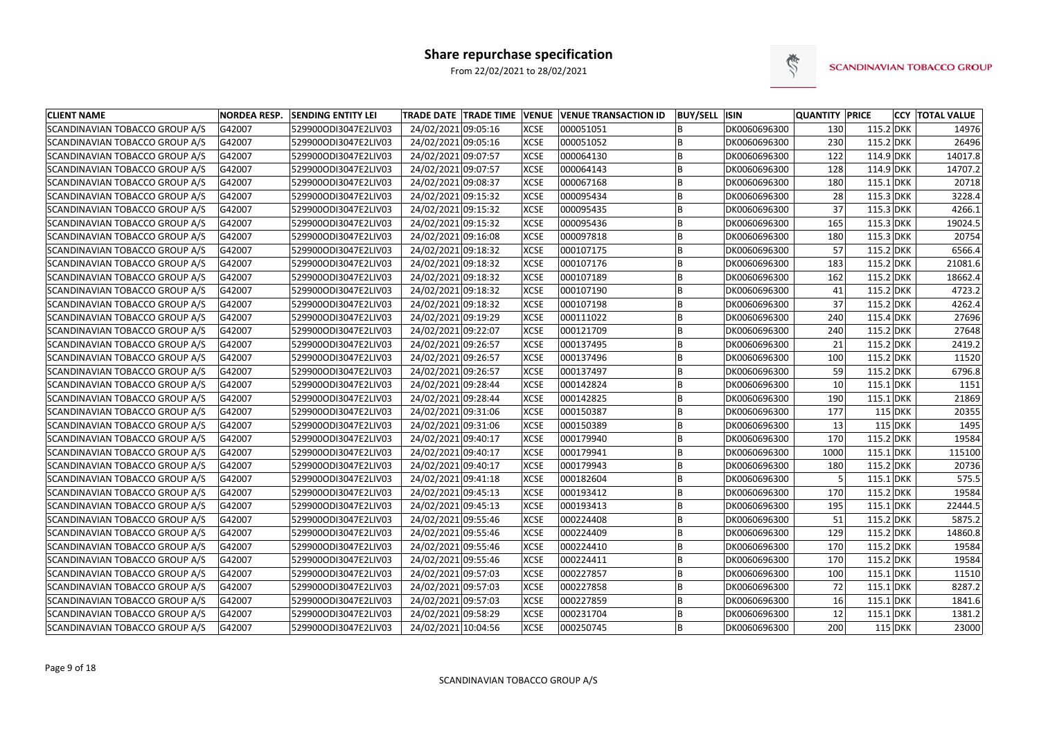

| <b>CLIENT NAME</b>                    | <b>NORDEA RESP.</b> | <b>SENDING ENTITY LEI</b> | TRADE DATE TRADE TIME VENUE VENUE TRANSACTION ID |             |           | <b>BUY/SELL ISIN</b> |              | <b>QUANTITY PRICE</b> |             |           | <b>CCY TOTAL VALUE</b> |
|---------------------------------------|---------------------|---------------------------|--------------------------------------------------|-------------|-----------|----------------------|--------------|-----------------------|-------------|-----------|------------------------|
| SCANDINAVIAN TOBACCO GROUP A/S        | G42007              | 529900ODI3047E2LIV03      | 24/02/2021 09:05:16                              | <b>XCSE</b> | 000051051 |                      | DK0060696300 | 130                   | $115.2$ DKK |           | 14976                  |
| SCANDINAVIAN TOBACCO GROUP A/S        | G42007              | 529900ODI3047E2LIV03      | 24/02/2021 09:05:16                              | <b>XCSE</b> | 000051052 |                      | DK0060696300 | 230                   | $115.2$ DKK |           | 26496                  |
| SCANDINAVIAN TOBACCO GROUP A/S        | G42007              | 529900ODI3047E2LIV03      | 24/02/2021 09:07:57                              | <b>XCSE</b> | 000064130 |                      | DK0060696300 | 122                   | $114.9$ DKK |           | 14017.8                |
| SCANDINAVIAN TOBACCO GROUP A/S        | G42007              | 529900ODI3047E2LIV03      | 24/02/2021 09:07:57                              | <b>XCSE</b> | 000064143 | ΙB                   | DK0060696300 | 128                   | $114.9$ DKK |           | 14707.2                |
| SCANDINAVIAN TOBACCO GROUP A/S        | G42007              | 529900ODI3047E2LIV03      | 24/02/2021 09:08:37                              | <b>XCSE</b> | 000067168 | ΙB                   | DK0060696300 | 180                   | $115.1$ DKK |           | 20718                  |
| SCANDINAVIAN TOBACCO GROUP A/S        | G42007              | 529900ODI3047E2LIV03      | 24/02/2021 09:15:32                              | <b>XCSE</b> | 000095434 |                      | DK0060696300 | 28                    | $115.3$ DKK |           | 3228.4                 |
| <b>SCANDINAVIAN TOBACCO GROUP A/S</b> | G42007              | 529900ODI3047E2LIV03      | 24/02/2021 09:15:32                              | <b>XCSE</b> | 000095435 | lΒ                   | DK0060696300 | 37                    | 115.3 DKK   |           | 4266.1                 |
| SCANDINAVIAN TOBACCO GROUP A/S        | G42007              | 529900ODI3047E2LIV03      | 24/02/2021 09:15:32                              | <b>XCSE</b> | 000095436 |                      | DK0060696300 | 165                   | 115.3 DKK   |           | 19024.5                |
| SCANDINAVIAN TOBACCO GROUP A/S        | G42007              | 529900ODI3047E2LIV03      | 24/02/2021 09:16:08                              | <b>XCSE</b> | 000097818 | ΙB                   | DK0060696300 | 180                   | $115.3$ DKK |           | 20754                  |
| SCANDINAVIAN TOBACCO GROUP A/S        | G42007              | 529900ODI3047E2LIV03      | 24/02/2021 09:18:32                              | <b>XCSE</b> | 000107175 |                      | DK0060696300 | 57                    | $115.2$ DKK |           | 6566.4                 |
| SCANDINAVIAN TOBACCO GROUP A/S        | G42007              | 529900ODI3047E2LIV03      | 24/02/2021 09:18:32                              | <b>XCSE</b> | 000107176 | ΙB                   | DK0060696300 | 183                   | $115.2$ DKK |           | 21081.6                |
| SCANDINAVIAN TOBACCO GROUP A/S        | G42007              | 529900ODI3047E2LIV03      | 24/02/2021 09:18:32                              | <b>XCSE</b> | 000107189 | ΙB                   | DK0060696300 | 162                   | 115.2 DKK   |           | 18662.4                |
| SCANDINAVIAN TOBACCO GROUP A/S        | G42007              | 529900ODI3047E2LIV03      | 24/02/2021 09:18:32                              | <b>XCSE</b> | 000107190 | lΒ                   | DK0060696300 | 41                    | 115.2 DKK   |           | 4723.2                 |
| SCANDINAVIAN TOBACCO GROUP A/S        | G42007              | 529900ODI3047E2LIV03      | 24/02/2021 09:18:32                              | <b>XCSE</b> | 000107198 | lΒ                   | DK0060696300 | 37                    | $115.2$ DKK |           | 4262.4                 |
| <b>SCANDINAVIAN TOBACCO GROUP A/S</b> | G42007              | 529900ODI3047E2LIV03      | 24/02/2021 09:19:29                              | <b>XCSE</b> | 000111022 | B                    | DK0060696300 | 240                   | $115.4$ DKK |           | 27696                  |
| SCANDINAVIAN TOBACCO GROUP A/S        | G42007              | 529900ODI3047E2LIV03      | 24/02/2021 09:22:07                              | <b>XCSE</b> | 000121709 | lΒ                   | DK0060696300 | 240                   | $115.2$ DKK |           | 27648                  |
| <b>SCANDINAVIAN TOBACCO GROUP A/S</b> | G42007              | 529900ODI3047E2LIV03      | 24/02/2021 09:26:57                              | <b>XCSE</b> | 000137495 |                      | DK0060696300 | 21                    | $115.2$ DKK |           | 2419.2                 |
| SCANDINAVIAN TOBACCO GROUP A/S        | G42007              | 529900ODI3047E2LIV03      | 24/02/2021 09:26:57                              | <b>XCSE</b> | 000137496 | lΒ                   | DK0060696300 | 100                   | $115.2$ DKK |           | 11520                  |
| SCANDINAVIAN TOBACCO GROUP A/S        | G42007              | 529900ODI3047E2LIV03      | 24/02/2021 09:26:57                              | <b>XCSE</b> | 000137497 | lΒ                   | DK0060696300 | 59                    | $115.2$ DKK |           | 6796.8                 |
| SCANDINAVIAN TOBACCO GROUP A/S        | G42007              | 529900ODI3047E2LIV03      | 24/02/2021 09:28:44                              | <b>XCSE</b> | 000142824 | B                    | DK0060696300 | 10                    | $115.1$ DKK |           | 1151                   |
| SCANDINAVIAN TOBACCO GROUP A/S        | G42007              | 529900ODI3047E2LIV03      | 24/02/2021 09:28:44                              | <b>XCSE</b> | 000142825 | ΙB                   | DK0060696300 | 190                   | $115.1$ DKK |           | 21869                  |
| SCANDINAVIAN TOBACCO GROUP A/S        | G42007              | 529900ODI3047E2LIV03      | 24/02/2021 09:31:06                              | <b>XCSE</b> | 000150387 | lΒ                   | DK0060696300 | 177                   |             | 115 DKK   | 20355                  |
| SCANDINAVIAN TOBACCO GROUP A/S        | G42007              | 529900ODI3047E2LIV03      | 24/02/2021 09:31:06                              | <b>XCSE</b> | 000150389 | ΙB                   | DK0060696300 | 13                    |             | $115$ DKK | 1495                   |
| SCANDINAVIAN TOBACCO GROUP A/S        | G42007              | 529900ODI3047E2LIV03      | 24/02/2021 09:40:17                              | <b>XCSE</b> | 000179940 |                      | DK0060696300 | 170                   | $115.2$ DKK |           | 19584                  |
| SCANDINAVIAN TOBACCO GROUP A/S        | G42007              | 529900ODI3047E2LIV03      | 24/02/2021 09:40:17                              | <b>XCSE</b> | 000179941 | ΙB                   | DK0060696300 | 1000                  | $115.1$ DKK |           | 115100                 |
| SCANDINAVIAN TOBACCO GROUP A/S        | G42007              | 529900ODI3047E2LIV03      | 24/02/2021 09:40:17                              | <b>XCSE</b> | 000179943 | ΙB                   | DK0060696300 | 180                   | $115.2$ DKK |           | 20736                  |
| <b>SCANDINAVIAN TOBACCO GROUP A/S</b> | G42007              | 529900ODI3047E2LIV03      | 24/02/2021 09:41:18                              | <b>XCSE</b> | 000182604 | B                    | DK0060696300 |                       | 115.1 DKK   |           | 575.5                  |
| SCANDINAVIAN TOBACCO GROUP A/S        | G42007              | 529900ODI3047E2LIV03      | 24/02/2021 09:45:13                              | <b>XCSE</b> | 000193412 | ΙB                   | DK0060696300 | 170                   | 115.2 DKK   |           | 19584                  |
| SCANDINAVIAN TOBACCO GROUP A/S        | G42007              | 529900ODI3047E2LIV03      | 24/02/2021 09:45:13                              | <b>XCSE</b> | 000193413 |                      | DK0060696300 | 195                   | $115.1$ DKK |           | 22444.5                |
| SCANDINAVIAN TOBACCO GROUP A/S        | G42007              | 529900ODI3047E2LIV03      | 24/02/2021 09:55:46                              | <b>XCSE</b> | 000224408 |                      | DK0060696300 | 51                    | $115.2$ DKK |           | 5875.2                 |
| SCANDINAVIAN TOBACCO GROUP A/S        | G42007              | 529900ODI3047E2LIV03      | 24/02/2021 09:55:46                              | <b>XCSE</b> | 000224409 | lΒ                   | DK0060696300 | 129                   | $115.2$ DKK |           | 14860.8                |
| SCANDINAVIAN TOBACCO GROUP A/S        | G42007              | 529900ODI3047E2LIV03      | 24/02/2021 09:55:46                              | <b>XCSE</b> | 000224410 | ΙB                   | DK0060696300 | 170                   | $115.2$ DKK |           | 19584                  |
| SCANDINAVIAN TOBACCO GROUP A/S        | G42007              | 529900ODI3047E2LIV03      | 24/02/2021 09:55:46                              | <b>XCSE</b> | 000224411 | ΙB.                  | DK0060696300 | 170                   | $115.2$ DKK |           | 19584                  |
| SCANDINAVIAN TOBACCO GROUP A/S        | G42007              | 529900ODI3047E2LIV03      | 24/02/2021 09:57:03                              | <b>XCSE</b> | 000227857 | ΙB                   | DK0060696300 | 100                   | $115.1$ DKK |           | 11510                  |
| SCANDINAVIAN TOBACCO GROUP A/S        | G42007              | 529900ODI3047E2LIV03      | 24/02/2021 09:57:03                              | <b>XCSE</b> | 000227858 | IB.                  | DK0060696300 | 72                    | $115.1$ DKK |           | 8287.2                 |
| SCANDINAVIAN TOBACCO GROUP A/S        | G42007              | 529900ODI3047E2LIV03      | 24/02/2021 09:57:03                              | <b>XCSE</b> | 000227859 | ΙB                   | DK0060696300 | 16                    | $115.1$ DKK |           | 1841.6                 |
| SCANDINAVIAN TOBACCO GROUP A/S        | G42007              | 529900ODI3047E2LIV03      | 24/02/2021 09:58:29                              | <b>XCSE</b> | 000231704 | İΒ                   | DK0060696300 | 12                    | $115.1$ DKK |           | 1381.2                 |
| SCANDINAVIAN TOBACCO GROUP A/S        | G42007              | 529900ODI3047E2LIV03      | 24/02/2021 10:04:56                              | <b>XCSE</b> | 000250745 | B                    | DK0060696300 | 200                   |             | $115$ DKK | 23000                  |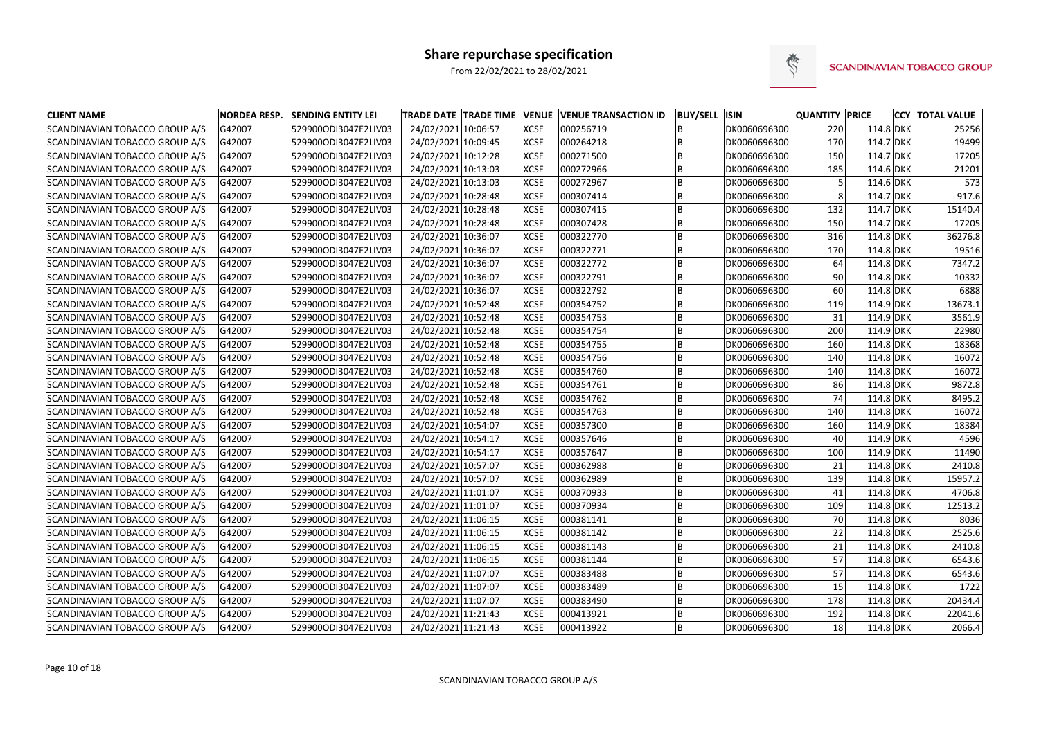

| <b>CLIENT NAME</b>                    | <b>NORDEA RESP.</b> | <b>SENDING ENTITY LEI</b> | <b>TRADE DATE TRADE TIME VENUE VENUE TRANSACTION ID</b> |             |           | <b>BUY/SELL ISIN</b> |              | <b>QUANTITY PRICE</b> |             | <b>CCY TOTAL VALUE</b> |
|---------------------------------------|---------------------|---------------------------|---------------------------------------------------------|-------------|-----------|----------------------|--------------|-----------------------|-------------|------------------------|
| SCANDINAVIAN TOBACCO GROUP A/S        | G42007              | 529900ODI3047E2LIV03      | 24/02/2021 10:06:57                                     | <b>XCSE</b> | 000256719 |                      | DK0060696300 | 220                   | $114.8$ DKK | 25256                  |
| SCANDINAVIAN TOBACCO GROUP A/S        | G42007              | 529900ODI3047E2LIV03      | 24/02/2021 10:09:45                                     | <b>XCSE</b> | 000264218 |                      | DK0060696300 | 170                   | 114.7 DKK   | 19499                  |
| SCANDINAVIAN TOBACCO GROUP A/S        | G42007              | 529900ODI3047E2LIV03      | 24/02/2021 10:12:28                                     | <b>XCSE</b> | 000271500 | <b>B</b>             | DK0060696300 | 150                   | 114.7 DKK   | 17205                  |
| SCANDINAVIAN TOBACCO GROUP A/S        | G42007              | 529900ODI3047E2LIV03      | 24/02/2021 10:13:03                                     | <b>XCSE</b> | 000272966 |                      | DK0060696300 | 185                   | 114.6 DKK   | 21201                  |
| SCANDINAVIAN TOBACCO GROUP A/S        | G42007              | 529900ODI3047E2LIV03      | 24/02/2021 10:13:03                                     | <b>XCSE</b> | 000272967 |                      | DK0060696300 |                       | 114.6 DKK   | 573                    |
| SCANDINAVIAN TOBACCO GROUP A/S        | G42007              | 529900ODI3047E2LIV03      | 24/02/2021 10:28:48                                     | <b>XCSE</b> | 000307414 |                      | DK0060696300 | 8                     | 114.7 DKK   | 917.6                  |
| SCANDINAVIAN TOBACCO GROUP A/S        | G42007              | 529900ODI3047E2LIV03      | 24/02/2021 10:28:48                                     | <b>XCSE</b> | 000307415 | B                    | DK0060696300 | 132                   | 114.7 DKK   | 15140.4                |
| SCANDINAVIAN TOBACCO GROUP A/S        | G42007              | 529900ODI3047E2LIV03      | 24/02/2021 10:28:48                                     | <b>XCSE</b> | 000307428 |                      | DK0060696300 | 150                   | 114.7 DKK   | 17205                  |
| SCANDINAVIAN TOBACCO GROUP A/S        | G42007              | 529900ODI3047E2LIV03      | 24/02/2021 10:36:07                                     | <b>XCSE</b> | 000322770 | B                    | DK0060696300 | 316                   | $114.8$ DKK | 36276.8                |
| SCANDINAVIAN TOBACCO GROUP A/S        | G42007              | 529900ODI3047E2LIV03      | 24/02/2021 10:36:07                                     | <b>XCSE</b> | 000322771 |                      | DK0060696300 | 170                   | $114.8$ DKK | 19516                  |
| SCANDINAVIAN TOBACCO GROUP A/S        | G42007              | 529900ODI3047E2LIV03      | 24/02/2021 10:36:07                                     | <b>XCSE</b> | 000322772 |                      | DK0060696300 | 64                    | $114.8$ DKK | 7347.2                 |
| SCANDINAVIAN TOBACCO GROUP A/S        | G42007              | 529900ODI3047E2LIV03      | 24/02/2021 10:36:07                                     | <b>XCSE</b> | 000322791 | B                    | DK0060696300 | 90                    | $114.8$ DKK | 10332                  |
| SCANDINAVIAN TOBACCO GROUP A/S        | G42007              | 529900ODI3047E2LIV03      | 24/02/2021 10:36:07                                     | <b>XCSE</b> | 000322792 |                      | DK0060696300 | 60                    | $114.8$ DKK | 6888                   |
| <b>SCANDINAVIAN TOBACCO GROUP A/S</b> | G42007              | 529900ODI3047E2LIV03      | 24/02/2021 10:52:48                                     | <b>XCSE</b> | 000354752 |                      | DK0060696300 | 119                   | $114.9$ DKK | 13673.1                |
| SCANDINAVIAN TOBACCO GROUP A/S        | G42007              | 529900ODI3047E2LIV03      | 24/02/2021 10:52:48                                     | <b>XCSE</b> | 000354753 |                      | DK0060696300 | 31                    | 114.9 DKK   | 3561.9                 |
| <b>SCANDINAVIAN TOBACCO GROUP A/S</b> | G42007              | 529900ODI3047E2LIV03      | 24/02/2021 10:52:48                                     | <b>XCSE</b> | 000354754 | <b>B</b>             | DK0060696300 | 200                   | 114.9 DKK   | 22980                  |
| <b>SCANDINAVIAN TOBACCO GROUP A/S</b> | G42007              | 529900ODI3047E2LIV03      | 24/02/2021 10:52:48                                     | <b>XCSE</b> | 000354755 |                      | DK0060696300 | 160                   | $114.8$ DKK | 18368                  |
| SCANDINAVIAN TOBACCO GROUP A/S        | G42007              | 529900ODI3047E2LIV03      | 24/02/2021 10:52:48                                     | <b>XCSE</b> | 000354756 |                      | DK0060696300 | 140                   | $114.8$ DKK | 16072                  |
| SCANDINAVIAN TOBACCO GROUP A/S        | G42007              | 529900ODI3047E2LIV03      | 24/02/2021 10:52:48                                     | <b>XCSE</b> | 000354760 |                      | DK0060696300 | 140                   | $114.8$ DKK | 16072                  |
| SCANDINAVIAN TOBACCO GROUP A/S        | G42007              | 529900ODI3047E2LIV03      | 24/02/2021 10:52:48                                     | <b>XCSE</b> | 000354761 | B                    | DK0060696300 | 86                    | $114.8$ DKK | 9872.8                 |
| SCANDINAVIAN TOBACCO GROUP A/S        | G42007              | 529900ODI3047E2LIV03      | 24/02/2021 10:52:48                                     | <b>XCSE</b> | 000354762 | B                    | DK0060696300 | 74                    | 114.8 DKK   | 8495.2                 |
| SCANDINAVIAN TOBACCO GROUP A/S        | G42007              | 529900ODI3047E2LIV03      | 24/02/2021 10:52:48                                     | <b>XCSE</b> | 000354763 |                      | DK0060696300 | 140                   | 114.8 DKK   | 16072                  |
| SCANDINAVIAN TOBACCO GROUP A/S        | G42007              | 529900ODI3047E2LIV03      | 24/02/2021 10:54:07                                     | <b>XCSE</b> | 000357300 |                      | DK0060696300 | 160                   | 114.9 DKK   | 18384                  |
| SCANDINAVIAN TOBACCO GROUP A/S        | G42007              | 529900ODI3047E2LIV03      | 24/02/2021 10:54:17                                     | <b>XCSE</b> | 000357646 |                      | DK0060696300 | 40                    | 114.9 DKK   | 4596                   |
| SCANDINAVIAN TOBACCO GROUP A/S        | G42007              | 529900ODI3047E2LIV03      | 24/02/2021 10:54:17                                     | <b>XCSE</b> | 000357647 |                      | DK0060696300 | 100                   | $114.9$ DKK | 11490                  |
| SCANDINAVIAN TOBACCO GROUP A/S        | G42007              | 529900ODI3047E2LIV03      | 24/02/2021 10:57:07                                     | <b>XCSE</b> | 000362988 |                      | DK0060696300 | 21                    | $114.8$ DKK | 2410.8                 |
| SCANDINAVIAN TOBACCO GROUP A/S        | G42007              | 529900ODI3047E2LIV03      | 24/02/2021 10:57:07                                     | <b>XCSE</b> | 000362989 |                      | DK0060696300 | 139                   | $114.8$ DKK | 15957.2                |
| SCANDINAVIAN TOBACCO GROUP A/S        | G42007              | 529900ODI3047E2LIV03      | 24/02/2021 11:01:07                                     | <b>XCSE</b> | 000370933 |                      | DK0060696300 | 41                    | 114.8 DKK   | 4706.8                 |
| SCANDINAVIAN TOBACCO GROUP A/S        | G42007              | 529900ODI3047E2LIV03      | 24/02/2021 11:01:07                                     | <b>XCSE</b> | 000370934 |                      | DK0060696300 | 109                   | $114.8$ DKK | 12513.2                |
| SCANDINAVIAN TOBACCO GROUP A/S        | G42007              | 529900ODI3047E2LIV03      | 24/02/2021 11:06:15                                     | <b>XCSE</b> | 000381141 |                      | DK0060696300 | <b>70</b>             | 114.8 DKK   | 8036                   |
| SCANDINAVIAN TOBACCO GROUP A/S        | G42007              | 529900ODI3047E2LIV03      | 24/02/2021 11:06:15                                     | <b>XCSE</b> | 000381142 | <b>B</b>             | DK0060696300 | 22                    | $114.8$ DKK | 2525.6                 |
| SCANDINAVIAN TOBACCO GROUP A/S        | G42007              | 529900ODI3047E2LIV03      | 24/02/2021 11:06:15                                     | <b>XCSE</b> | 000381143 | B                    | DK0060696300 | 21                    | $114.8$ DKK | 2410.8                 |
| SCANDINAVIAN TOBACCO GROUP A/S        | G42007              | 529900ODI3047E2LIV03      | 24/02/2021 11:06:15                                     | <b>XCSE</b> | 000381144 | B                    | DK0060696300 | 57                    | 114.8 DKK   | 6543.6                 |
| SCANDINAVIAN TOBACCO GROUP A/S        | G42007              | 529900ODI3047E2LIV03      | 24/02/2021 11:07:07                                     | <b>XCSE</b> | 000383488 | B                    | DK0060696300 | 57                    | 114.8 DKK   | 6543.6                 |
| SCANDINAVIAN TOBACCO GROUP A/S        | G42007              | 529900ODI3047E2LIV03      | 24/02/2021 11:07:07                                     | <b>XCSE</b> | 000383489 | ΙB                   | DK0060696300 | 15                    | $114.8$ DKK | 1722                   |
| SCANDINAVIAN TOBACCO GROUP A/S        | G42007              | 529900ODI3047E2LIV03      | 24/02/2021 11:07:07                                     | <b>XCSE</b> | 000383490 | B                    | DK0060696300 | 178                   | $114.8$ DKK | 20434.4                |
| SCANDINAVIAN TOBACCO GROUP A/S        | G42007              | 529900ODI3047E2LIV03      | 24/02/2021 11:21:43                                     | <b>XCSE</b> | 000413921 | B                    | DK0060696300 | 192                   | $114.8$ DKK | 22041.6                |
| SCANDINAVIAN TOBACCO GROUP A/S        | G42007              | 529900ODI3047E2LIV03      | 24/02/2021 11:21:43                                     | <b>XCSE</b> | 000413922 | B                    | DK0060696300 | 18                    | 114.8 DKK   | 2066.4                 |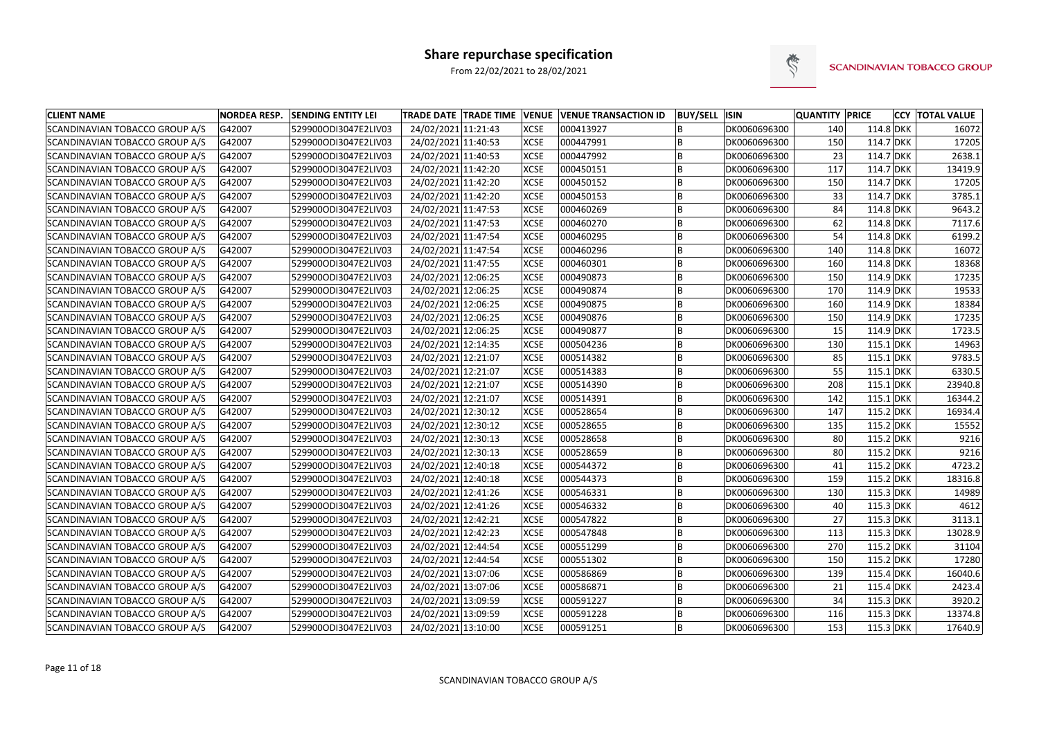

| <b>CLIENT NAME</b>             | <b>NORDEA RESP.</b> | <b>SENDING ENTITY LEI</b> |                     |             | <b>TRADE DATE TRADE TIME VENUE VENUE TRANSACTION ID</b> | <b>BUY/SELL ISIN</b> |              | QUANTITY PRICE |             | <b>CCY  TOTAL VALUE</b> |
|--------------------------------|---------------------|---------------------------|---------------------|-------------|---------------------------------------------------------|----------------------|--------------|----------------|-------------|-------------------------|
| SCANDINAVIAN TOBACCO GROUP A/S | G42007              | 529900ODI3047E2LIV03      | 24/02/2021 11:21:43 | <b>XCSE</b> | 000413927                                               |                      | DK0060696300 | 140            | 114.8 DKK   | 16072                   |
| SCANDINAVIAN TOBACCO GROUP A/S | G42007              | 529900ODI3047E2LIV03      | 24/02/2021 11:40:53 | <b>XCSE</b> | 000447991                                               | ΙB                   | DK0060696300 | 150            | $114.7$ DKK | 17205                   |
| SCANDINAVIAN TOBACCO GROUP A/S | G42007              | 529900ODI3047E2LIV03      | 24/02/2021 11:40:53 | <b>XCSE</b> | 000447992                                               | ΙB                   | DK0060696300 | 23             | 114.7 DKK   | 2638.1                  |
| SCANDINAVIAN TOBACCO GROUP A/S | G42007              | 529900ODI3047E2LIV03      | 24/02/2021 11:42:20 | <b>XCSE</b> | 000450151                                               | B                    | DK0060696300 | 117            | 114.7 DKK   | 13419.9                 |
| SCANDINAVIAN TOBACCO GROUP A/S | G42007              | 529900ODI3047E2LIV03      | 24/02/2021 11:42:20 | <b>XCSE</b> | 000450152                                               | B                    | DK0060696300 | 150            | $114.7$ DKK | 17205                   |
| SCANDINAVIAN TOBACCO GROUP A/S | G42007              | 529900ODI3047E2LIV03      | 24/02/2021 11:42:20 | <b>XCSE</b> | 000450153                                               | B                    | DK0060696300 | 33             | 114.7 DKK   | 3785.1                  |
| SCANDINAVIAN TOBACCO GROUP A/S | G42007              | 529900ODI3047E2LIV03      | 24/02/2021 11:47:53 | <b>XCSE</b> | 000460269                                               | ΙB                   | DK0060696300 | 84             | 114.8 DKK   | 9643.2                  |
| SCANDINAVIAN TOBACCO GROUP A/S | G42007              | 529900ODI3047E2LIV03      | 24/02/2021 11:47:53 | <b>XCSE</b> | 000460270                                               | ΙB                   | DK0060696300 | 62             | $114.8$ DKK | 7117.6                  |
| SCANDINAVIAN TOBACCO GROUP A/S | G42007              | 529900ODI3047E2LIV03      | 24/02/2021 11:47:54 | <b>XCSE</b> | 000460295                                               | ΙB                   | DK0060696300 | 54             | $114.8$ DKK | 6199.2                  |
| SCANDINAVIAN TOBACCO GROUP A/S | G42007              | 529900ODI3047E2LIV03      | 24/02/2021 11:47:54 | <b>XCSE</b> | 000460296                                               | B                    | DK0060696300 | 140            | $114.8$ DKK | 16072                   |
| SCANDINAVIAN TOBACCO GROUP A/S | G42007              | 529900ODI3047E2LIV03      | 24/02/2021 11:47:55 | <b>XCSE</b> | 000460301                                               | ΙB                   | DK0060696300 | 160            | $114.8$ DKK | 18368                   |
| SCANDINAVIAN TOBACCO GROUP A/S | G42007              | 529900ODI3047E2LIV03      | 24/02/2021 12:06:25 | <b>XCSE</b> | 000490873                                               | ΙB                   | DK0060696300 | 150            | $114.9$ DKK | 17235                   |
| SCANDINAVIAN TOBACCO GROUP A/S | G42007              | 529900ODI3047E2LIV03      | 24/02/2021 12:06:25 | <b>XCSE</b> | 000490874                                               | l B                  | DK0060696300 | 170            | $114.9$ DKK | 19533                   |
| SCANDINAVIAN TOBACCO GROUP A/S | G42007              | 529900ODI3047E2LIV03      | 24/02/2021 12:06:25 | <b>XCSE</b> | 000490875                                               | ΙB                   | DK0060696300 | 160            | $114.9$ DKK | 18384                   |
| SCANDINAVIAN TOBACCO GROUP A/S | G42007              | 529900ODI3047E2LIV03      | 24/02/2021 12:06:25 | <b>XCSE</b> | 000490876                                               | B                    | DK0060696300 | 150            | $114.9$ DKK | 17235                   |
| SCANDINAVIAN TOBACCO GROUP A/S | G42007              | 529900ODI3047E2LIV03      | 24/02/2021 12:06:25 | <b>XCSE</b> | 000490877                                               | B                    | DK0060696300 | 15             | $114.9$ DKK | 1723.5                  |
| SCANDINAVIAN TOBACCO GROUP A/S | G42007              | 529900ODI3047E2LIV03      | 24/02/2021 12:14:35 | <b>XCSE</b> | 000504236                                               | ΙB                   | DK0060696300 | 130            | $115.1$ DKK | 14963                   |
| SCANDINAVIAN TOBACCO GROUP A/S | G42007              | 529900ODI3047E2LIV03      | 24/02/2021 12:21:07 | <b>XCSE</b> | 000514382                                               | ΙB                   | DK0060696300 | 85             | $115.1$ DKK | 9783.5                  |
| SCANDINAVIAN TOBACCO GROUP A/S | G42007              | 529900ODI3047E2LIV03      | 24/02/2021 12:21:07 | <b>XCSE</b> | 000514383                                               |                      | DK0060696300 | 55             | $115.1$ DKK | 6330.5                  |
| SCANDINAVIAN TOBACCO GROUP A/S | G42007              | 529900ODI3047E2LIV03      | 24/02/2021 12:21:07 | <b>XCSE</b> | 000514390                                               | İΒ                   | DK0060696300 | 208            | $115.1$ DKK | 23940.8                 |
| SCANDINAVIAN TOBACCO GROUP A/S | G42007              | 529900ODI3047E2LIV03      | 24/02/2021 12:21:07 | <b>XCSE</b> | 000514391                                               | ΙB                   | DK0060696300 | 142            | $115.1$ DKK | 16344.2                 |
| SCANDINAVIAN TOBACCO GROUP A/S | G42007              | 529900ODI3047E2LIV03      | 24/02/2021 12:30:12 | <b>XCSE</b> | 000528654                                               | ΙB                   | DK0060696300 | 147            | 115.2 DKK   | 16934.4                 |
| SCANDINAVIAN TOBACCO GROUP A/S | G42007              | 529900ODI3047E2LIV03      | 24/02/2021 12:30:12 | <b>XCSE</b> | 000528655                                               | B                    | DK0060696300 | 135            | 115.2 DKK   | 15552                   |
| SCANDINAVIAN TOBACCO GROUP A/S | G42007              | 529900ODI3047E2LIV03      | 24/02/2021 12:30:13 | <b>XCSE</b> | 000528658                                               | B                    | DK0060696300 | 80             | $115.2$ DKK | 9216                    |
| SCANDINAVIAN TOBACCO GROUP A/S | G42007              | 529900ODI3047E2LIV03      | 24/02/2021 12:30:13 | <b>XCSE</b> | 000528659                                               | ΙB                   | DK0060696300 | 80             | $115.2$ DKK | 9216                    |
| SCANDINAVIAN TOBACCO GROUP A/S | G42007              | 529900ODI3047E2LIV03      | 24/02/2021 12:40:18 | <b>XCSE</b> | 000544372                                               | ΙB                   | DK0060696300 | 41             | $115.2$ DKK | 4723.2                  |
| SCANDINAVIAN TOBACCO GROUP A/S | G42007              | 529900ODI3047E2LIV03      | 24/02/2021 12:40:18 | <b>XCSE</b> | 000544373                                               | l B                  | DK0060696300 | 159            | $115.2$ DKK | 18316.8                 |
| SCANDINAVIAN TOBACCO GROUP A/S | G42007              | 529900ODI3047E2LIV03      | 24/02/2021 12:41:26 | <b>XCSE</b> | 000546331                                               | ΙB                   | DK0060696300 | 130            | 115.3 DKK   | 14989                   |
| SCANDINAVIAN TOBACCO GROUP A/S | G42007              | 529900ODI3047E2LIV03      | 24/02/2021 12:41:26 | <b>XCSE</b> | 000546332                                               |                      | DK0060696300 | 40             | 115.3 DKK   | 4612                    |
| SCANDINAVIAN TOBACCO GROUP A/S | G42007              | 529900ODI3047E2LIV03      | 24/02/2021 12:42:21 | <b>XCSE</b> | 000547822                                               |                      | DK0060696300 | 27             | 115.3 DKK   | 3113.1                  |
| SCANDINAVIAN TOBACCO GROUP A/S | G42007              | 529900ODI3047E2LIV03      | 24/02/2021 12:42:23 | <b>XCSE</b> | 000547848                                               | B                    | DK0060696300 | 113            | 115.3 DKK   | 13028.9                 |
| SCANDINAVIAN TOBACCO GROUP A/S | G42007              | 529900ODI3047E2LIV03      | 24/02/2021 12:44:54 | <b>XCSE</b> | 000551299                                               | B                    | DK0060696300 | 270            | $115.2$ DKK | 31104                   |
| SCANDINAVIAN TOBACCO GROUP A/S | G42007              | 529900ODI3047E2LIV03      | 24/02/2021 12:44:54 | <b>XCSE</b> | 000551302                                               | B                    | DK0060696300 | 150            | $115.2$ DKK | 17280                   |
| SCANDINAVIAN TOBACCO GROUP A/S | G42007              | 529900ODI3047E2LIV03      | 24/02/2021 13:07:06 | <b>XCSE</b> | 000586869                                               | İΒ                   | DK0060696300 | 139            | 115.4 DKK   | 16040.6                 |
| SCANDINAVIAN TOBACCO GROUP A/S | G42007              | 529900ODI3047E2LIV03      | 24/02/2021 13:07:06 | <b>XCSE</b> | 000586871                                               | B                    | DK0060696300 | 21             | 115.4 DKK   | 2423.4                  |
| SCANDINAVIAN TOBACCO GROUP A/S | G42007              | 529900ODI3047E2LIV03      | 24/02/2021 13:09:59 | <b>XCSE</b> | 000591227                                               | B                    | DK0060696300 | 34             | 115.3 DKK   | 3920.2                  |
| SCANDINAVIAN TOBACCO GROUP A/S | G42007              | 529900ODI3047E2LIV03      | 24/02/2021 13:09:59 | <b>XCSE</b> | 000591228                                               | B                    | DK0060696300 | 116            | 115.3 DKK   | 13374.8                 |
| SCANDINAVIAN TOBACCO GROUP A/S | G42007              | 529900ODI3047E2LIV03      | 24/02/2021 13:10:00 | <b>XCSE</b> | 000591251                                               | B                    | DK0060696300 | 153            | 115.3 DKK   | 17640.9                 |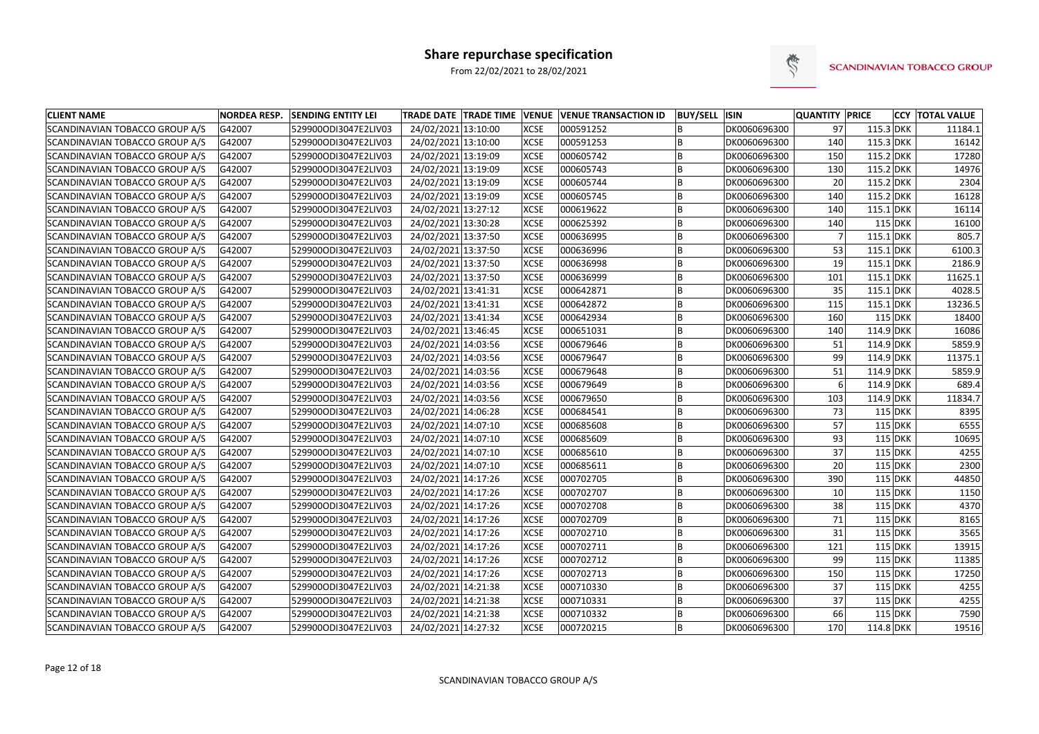

| <b>CLIENT NAME</b>                    | <b>NORDEA RESP.</b> | <b>SENDING ENTITY LEI</b> | TRADE DATE TRADE TIME VENUE |             | <b>VENUE TRANSACTION ID</b> | <b>BUY/SELL ISIN</b> |              | <b>QUANTITY PRICE</b> |             |           | <b>CCY TOTAL VALUE</b> |
|---------------------------------------|---------------------|---------------------------|-----------------------------|-------------|-----------------------------|----------------------|--------------|-----------------------|-------------|-----------|------------------------|
| SCANDINAVIAN TOBACCO GROUP A/S        | G42007              | 529900ODI3047E2LIV03      | 24/02/2021 13:10:00         | <b>XCSE</b> | 000591252                   |                      | DK0060696300 | 97                    | 115.3 DKK   |           | 11184.1                |
| SCANDINAVIAN TOBACCO GROUP A/S        | G42007              | 529900ODI3047E2LIV03      | 24/02/2021 13:10:00         | <b>XCSE</b> | 000591253                   |                      | DK0060696300 | 140                   | 115.3 DKK   |           | 16142                  |
| SCANDINAVIAN TOBACCO GROUP A/S        | G42007              | 529900ODI3047E2LIV03      | 24/02/2021 13:19:09         | <b>XCSE</b> | 000605742                   | lΒ                   | DK0060696300 | 150                   | $115.2$ DKK |           | 17280                  |
| <b>SCANDINAVIAN TOBACCO GROUP A/S</b> | G42007              | 529900ODI3047E2LIV03      | 24/02/2021 13:19:09         | <b>XCSE</b> | 000605743                   | ΙB                   | DK0060696300 | 130                   | 115.2 DKK   |           | 14976                  |
| SCANDINAVIAN TOBACCO GROUP A/S        | G42007              | 529900ODI3047E2LIV03      | 24/02/2021 13:19:09         | <b>XCSE</b> | 000605744                   | lΒ                   | DK0060696300 | 20                    | $115.2$ DKK |           | 2304                   |
| SCANDINAVIAN TOBACCO GROUP A/S        | G42007              | 529900ODI3047E2LIV03      | 24/02/2021 13:19:09         | <b>XCSE</b> | 000605745                   |                      | DK0060696300 | 140                   | $115.2$ DKK |           | 16128                  |
| SCANDINAVIAN TOBACCO GROUP A/S        | G42007              | 529900ODI3047E2LIV03      | 24/02/2021 13:27:12         | <b>XCSE</b> | 000619622                   | lΒ                   | DK0060696300 | 140                   | $115.1$ DKK |           | 16114                  |
| SCANDINAVIAN TOBACCO GROUP A/S        | G42007              | 529900ODI3047E2LIV03      | 24/02/2021 13:30:28         | <b>XCSE</b> | 000625392                   | B                    | DK0060696300 | 140                   | $115$ DKK   |           | 16100                  |
| SCANDINAVIAN TOBACCO GROUP A/S        | G42007              | 529900ODI3047E2LIV03      | 24/02/2021 13:37:50         | <b>XCSE</b> | 000636995                   |                      | DK0060696300 |                       | $115.1$ DKK |           | 805.7                  |
| SCANDINAVIAN TOBACCO GROUP A/S        | G42007              | 529900ODI3047E2LIV03      | 24/02/2021 13:37:50         | <b>XCSE</b> | 000636996                   |                      | DK0060696300 | 53                    | $115.1$ DKK |           | 6100.3                 |
| SCANDINAVIAN TOBACCO GROUP A/S        | G42007              | 529900ODI3047E2LIV03      | 24/02/2021 13:37:50         | <b>XCSE</b> | 000636998                   | ΙB                   | DK0060696300 | 19                    | $115.1$ DKK |           | 2186.9                 |
| SCANDINAVIAN TOBACCO GROUP A/S        | G42007              | 529900ODI3047E2LIV03      | 24/02/2021 13:37:50         | <b>XCSE</b> | 000636999                   | lΒ                   | DK0060696300 | 101                   | $115.1$ DKK |           | 11625.1                |
| SCANDINAVIAN TOBACCO GROUP A/S        | G42007              | 529900ODI3047E2LIV03      | 24/02/2021 13:41:31         | <b>XCSE</b> | 000642871                   | lΒ                   | DK0060696300 | 35                    | $115.1$ DKK |           | 4028.5                 |
| <b>SCANDINAVIAN TOBACCO GROUP A/S</b> | G42007              | 529900ODI3047E2LIV03      | 24/02/2021 13:41:31         | <b>XCSE</b> | 000642872                   | ΙB                   | DK0060696300 | 115                   | $115.1$ DKK |           | 13236.5                |
| SCANDINAVIAN TOBACCO GROUP A/S        | G42007              | 529900ODI3047E2LIV03      | 24/02/2021 13:41:34         | <b>XCSE</b> | 000642934                   |                      | DK0060696300 | 160                   | $115$ DKK   |           | 18400                  |
| SCANDINAVIAN TOBACCO GROUP A/S        | G42007              | 529900ODI3047E2LIV03      | 24/02/2021 13:46:45         | <b>XCSE</b> | 000651031                   |                      | DK0060696300 | 140                   | $114.9$ DKK |           | 16086                  |
| SCANDINAVIAN TOBACCO GROUP A/S        | G42007              | 529900ODI3047E2LIV03      | 24/02/2021 14:03:56         | <b>XCSE</b> | 000679646                   | lΒ                   | DK0060696300 | 51                    | $114.9$ DKK |           | 5859.9                 |
| SCANDINAVIAN TOBACCO GROUP A/S        | G42007              | 529900ODI3047E2LIV03      | 24/02/2021 14:03:56         | <b>XCSE</b> | 000679647                   | ΙB                   | DK0060696300 | 99                    | $114.9$ DKK |           | 11375.1                |
| SCANDINAVIAN TOBACCO GROUP A/S        | G42007              | 529900ODI3047E2LIV03      | 24/02/2021 14:03:56         | <b>XCSE</b> | 000679648                   | lΒ                   | DK0060696300 | 51                    | $114.9$ DKK |           | 5859.9                 |
| SCANDINAVIAN TOBACCO GROUP A/S        | G42007              | 529900ODI3047E2LIV03      | 24/02/2021 14:03:56         | <b>XCSE</b> | 000679649                   |                      | DK0060696300 |                       | $114.9$ DKK |           | 689.4                  |
| SCANDINAVIAN TOBACCO GROUP A/S        | G42007              | 529900ODI3047E2LIV03      | 24/02/2021 14:03:56         | <b>XCSE</b> | 000679650                   | lΒ                   | DK0060696300 | 103                   | $114.9$ DKK |           | 11834.7                |
| SCANDINAVIAN TOBACCO GROUP A/S        | G42007              | 529900ODI3047E2LIV03      | 24/02/2021 14:06:28         | <b>XCSE</b> | 000684541                   |                      | DK0060696300 | 73                    | $115$ DKK   |           | 8395                   |
| SCANDINAVIAN TOBACCO GROUP A/S        | G42007              | 529900ODI3047E2LIV03      | 24/02/2021 14:07:10         | <b>XCSE</b> | 000685608                   |                      | DK0060696300 | 57                    | $115$ DKK   |           | 6555                   |
| SCANDINAVIAN TOBACCO GROUP A/S        | G42007              | 529900ODI3047E2LIV03      | 24/02/2021 14:07:10         | <b>XCSE</b> | 000685609                   |                      | DK0060696300 | 93                    | $115$ DKK   |           | 10695                  |
| SCANDINAVIAN TOBACCO GROUP A/S        | G42007              | 529900ODI3047E2LIV03      | 24/02/2021 14:07:10         | <b>XCSE</b> | 000685610                   | ΙB                   | DK0060696300 | 37                    | $115$ DKK   |           | 4255                   |
| SCANDINAVIAN TOBACCO GROUP A/S        | G42007              | 529900ODI3047E2LIV03      | 24/02/2021 14:07:10         | <b>XCSE</b> | 000685611                   | lB.                  | DK0060696300 | 20                    | $115$ DKK   |           | 2300                   |
| SCANDINAVIAN TOBACCO GROUP A/S        | G42007              | 529900ODI3047E2LIV03      | 24/02/2021 14:17:26         | <b>XCSE</b> | 000702705                   | B                    | DK0060696300 | 390                   | $115$ DKK   |           | 44850                  |
| <b>SCANDINAVIAN TOBACCO GROUP A/S</b> | G42007              | 529900ODI3047E2LIV03      | 24/02/2021 14:17:26         | <b>XCSE</b> | 000702707                   | l B                  | DK0060696300 | 10                    | $115$ DKK   |           | 1150                   |
| SCANDINAVIAN TOBACCO GROUP A/S        | G42007              | 529900ODI3047E2LIV03      | 24/02/2021 14:17:26         | <b>XCSE</b> | 000702708                   |                      | DK0060696300 | 38                    | $115$ DKK   |           | 4370                   |
| SCANDINAVIAN TOBACCO GROUP A/S        | G42007              | 529900ODI3047E2LIV03      | 24/02/2021 14:17:26         | <b>XCSE</b> | 000702709                   |                      | DK0060696300 | 71                    |             | $115$ DKK | 8165                   |
| SCANDINAVIAN TOBACCO GROUP A/S        | G42007              | 529900ODI3047E2LIV03      | 24/02/2021 14:17:26         | <b>XCSE</b> | 000702710                   | ΙB.                  | DK0060696300 | 31                    | $115$ DKK   |           | 3565                   |
| SCANDINAVIAN TOBACCO GROUP A/S        | G42007              | 529900ODI3047E2LIV03      | 24/02/2021 14:17:26         | <b>XCSE</b> | 000702711                   | ΙB                   | DK0060696300 | 121                   | $115$ DKK   |           | 13915                  |
| SCANDINAVIAN TOBACCO GROUP A/S        | G42007              | 529900ODI3047E2LIV03      | 24/02/2021 14:17:26         | <b>XCSE</b> | 000702712                   | IB.                  | DK0060696300 | 99                    | $115$ DKK   |           | 11385                  |
| SCANDINAVIAN TOBACCO GROUP A/S        | G42007              | 529900ODI3047E2LIV03      | 24/02/2021 14:17:26         | <b>XCSE</b> | 000702713                   | ΙB                   | DK0060696300 | 150                   | $115$ DKK   |           | 17250                  |
| SCANDINAVIAN TOBACCO GROUP A/S        | G42007              | 529900ODI3047E2LIV03      | 24/02/2021 14:21:38         | <b>XCSE</b> | 000710330                   | ΙB                   | DK0060696300 | 37                    | 115 DKK     |           | 4255                   |
| SCANDINAVIAN TOBACCO GROUP A/S        | G42007              | 529900ODI3047E2LIV03      | 24/02/2021 14:21:38         | <b>XCSE</b> | 000710331                   | ΙB                   | DK0060696300 | 37                    | $115$ DKK   |           | 4255                   |
| SCANDINAVIAN TOBACCO GROUP A/S        | G42007              | 529900ODI3047E2LIV03      | 24/02/2021 14:21:38         | <b>XCSE</b> | 000710332                   | ΙB                   | DK0060696300 | 66                    | $115$ DKK   |           | 7590                   |
| SCANDINAVIAN TOBACCO GROUP A/S        | G42007              | 529900ODI3047E2LIV03      | 24/02/2021 14:27:32         | <b>XCSE</b> | 000720215                   | ∣B                   | DK0060696300 | 170                   | 114.8 DKK   |           | 19516                  |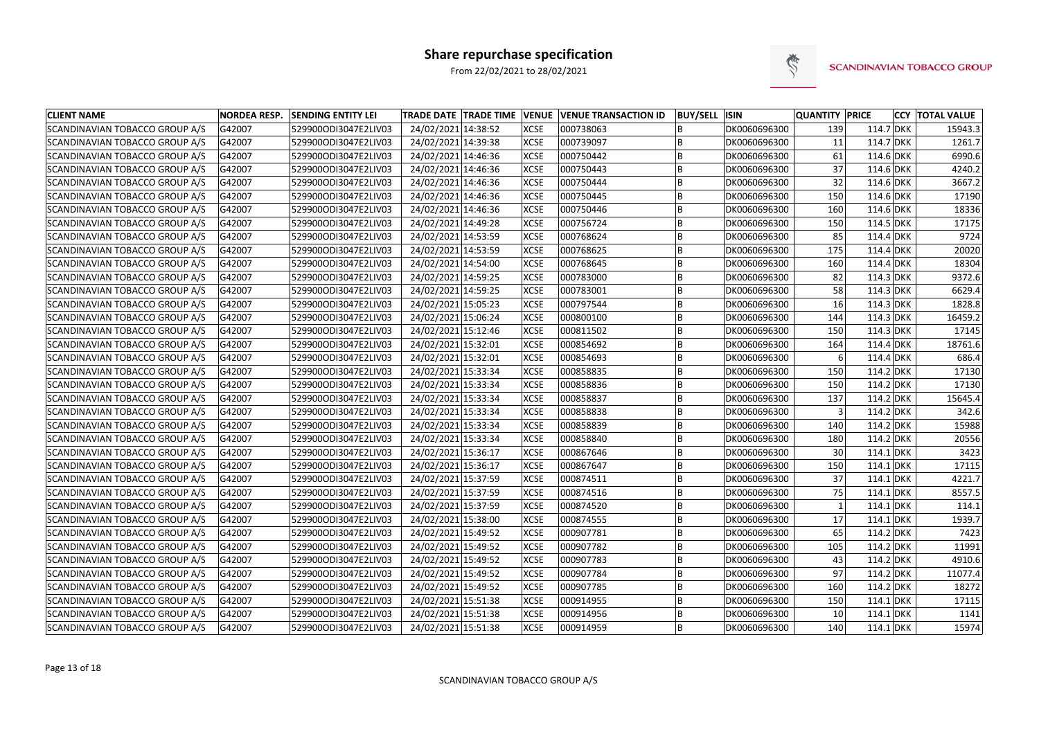

| <b>CLIENT NAME</b>                    | <b>NORDEA RESP.</b> | <b>SENDING ENTITY LEI</b> | TRADE DATE   TRADE TIME   VENUE   VENUE TRANSACTION ID |             |           | <b>BUY/SELL ISIN</b> |              | <b>QUANTITY PRICE</b> |             | <b>CCY TOTAL VALUE</b> |
|---------------------------------------|---------------------|---------------------------|--------------------------------------------------------|-------------|-----------|----------------------|--------------|-----------------------|-------------|------------------------|
| SCANDINAVIAN TOBACCO GROUP A/S        | G42007              | 529900ODI3047E2LIV03      | 24/02/2021 14:38:52                                    | <b>XCSE</b> | 000738063 |                      | DK0060696300 | 139                   | 114.7 DKK   | 15943.3                |
| SCANDINAVIAN TOBACCO GROUP A/S        | G42007              | 529900ODI3047E2LIV03      | 24/02/2021 14:39:38                                    | <b>XCSE</b> | 000739097 | ΙB                   | DK0060696300 | -11                   | 114.7 DKK   | 1261.7                 |
| <b>SCANDINAVIAN TOBACCO GROUP A/S</b> | G42007              | 529900ODI3047E2LIV03      | 24/02/2021 14:46:36                                    | <b>XCSE</b> | 000750442 | ΙB                   | DK0060696300 | 61                    | 114.6 DKK   | 6990.6                 |
| SCANDINAVIAN TOBACCO GROUP A/S        | G42007              | 529900ODI3047E2LIV03      | 24/02/2021 14:46:36                                    | <b>XCSE</b> | 000750443 | B                    | DK0060696300 | 37                    | 114.6 DKK   | 4240.2                 |
| SCANDINAVIAN TOBACCO GROUP A/S        | G42007              | 529900ODI3047E2LIV03      | 24/02/2021 14:46:36                                    | <b>XCSE</b> | 000750444 | B                    | DK0060696300 | 32                    | 114.6 DKK   | 3667.2                 |
| SCANDINAVIAN TOBACCO GROUP A/S        | G42007              | 529900ODI3047E2LIV03      | 24/02/2021 14:46:36                                    | <b>XCSE</b> | 000750445 | lΒ                   | DK0060696300 | 150                   | 114.6 DKK   | 17190                  |
| SCANDINAVIAN TOBACCO GROUP A/S        | G42007              | 529900ODI3047E2LIV03      | 24/02/2021 14:46:36                                    | <b>XCSE</b> | 000750446 | ΙB                   | DK0060696300 | 160                   | 114.6 DKK   | 18336                  |
| SCANDINAVIAN TOBACCO GROUP A/S        | G42007              | 529900ODI3047E2LIV03      | 24/02/2021 14:49:28                                    | <b>XCSE</b> | 000756724 | B                    | DK0060696300 | 150                   | 114.5 DKK   | 17175                  |
| SCANDINAVIAN TOBACCO GROUP A/S        | G42007              | 529900ODI3047E2LIV03      | 24/02/2021 14:53:59                                    | <b>XCSE</b> | 000768624 | B                    | DK0060696300 | 85                    | 114.4 DKK   | 9724                   |
| SCANDINAVIAN TOBACCO GROUP A/S        | G42007              | 529900ODI3047E2LIV03      | 24/02/2021 14:53:59                                    | <b>XCSE</b> | 000768625 | lB                   | DK0060696300 | 175                   | 114.4 DKK   | 20020                  |
| SCANDINAVIAN TOBACCO GROUP A/S        | G42007              | 529900ODI3047E2LIV03      | 24/02/2021 14:54:00                                    | <b>XCSE</b> | 000768645 | B                    | DK0060696300 | 160                   | 114.4 DKK   | 18304                  |
| SCANDINAVIAN TOBACCO GROUP A/S        | G42007              | 529900ODI3047E2LIV03      | 24/02/2021 14:59:25                                    | <b>XCSE</b> | 000783000 | lB                   | DK0060696300 | 82                    | 114.3 DKK   | 9372.6                 |
| SCANDINAVIAN TOBACCO GROUP A/S        | G42007              | 529900ODI3047E2LIV03      | 24/02/2021 14:59:25                                    | <b>XCSE</b> | 000783001 | ΙB                   | DK0060696300 | 58                    | 114.3 DKK   | 6629.4                 |
| SCANDINAVIAN TOBACCO GROUP A/S        | G42007              | 529900ODI3047E2LIV03      | 24/02/2021 15:05:23                                    | <b>XCSE</b> | 000797544 | B                    | DK0060696300 | 16                    | 114.3 DKK   | 1828.8                 |
| SCANDINAVIAN TOBACCO GROUP A/S        | G42007              | 529900ODI3047E2LIV03      | 24/02/2021 15:06:24                                    | <b>XCSE</b> | 000800100 |                      | DK0060696300 | 144                   | 114.3 DKK   | 16459.2                |
| SCANDINAVIAN TOBACCO GROUP A/S        | G42007              | 529900ODI3047E2LIV03      | 24/02/2021 15:12:46                                    | <b>XCSE</b> | 000811502 | B                    | DK0060696300 | 150                   | 114.3 DKK   | 17145                  |
| SCANDINAVIAN TOBACCO GROUP A/S        | G42007              | 529900ODI3047E2LIV03      | 24/02/2021 15:32:01                                    | <b>XCSE</b> | 000854692 | ΙB                   | DK0060696300 | 164                   | 114.4 DKK   | 18761.6                |
| SCANDINAVIAN TOBACCO GROUP A/S        | G42007              | 529900ODI3047E2LIV03      | 24/02/2021 15:32:01                                    | <b>XCSE</b> | 000854693 | lB                   | DK0060696300 |                       | 114.4 DKK   | 686.4                  |
| SCANDINAVIAN TOBACCO GROUP A/S        | G42007              | 529900ODI3047E2LIV03      | 24/02/2021 15:33:34                                    | <b>XCSE</b> | 000858835 |                      | DK0060696300 | 150                   | $114.2$ DKK | 17130                  |
| SCANDINAVIAN TOBACCO GROUP A/S        | G42007              | 529900ODI3047E2LIV03      | 24/02/2021 15:33:34                                    | <b>XCSE</b> | 000858836 | ΙB                   | DK0060696300 | 150                   | $114.2$ DKK | 17130                  |
| SCANDINAVIAN TOBACCO GROUP A/S        | G42007              | 529900ODI3047E2LIV03      | 24/02/2021 15:33:34                                    | <b>XCSE</b> | 000858837 | ΙB                   | DK0060696300 | 137                   | $114.2$ DKK | 15645.4                |
| SCANDINAVIAN TOBACCO GROUP A/S        | G42007              | 529900ODI3047E2LIV03      | 24/02/2021 15:33:34                                    | <b>XCSE</b> | 000858838 | B                    | DK0060696300 |                       | 114.2 DKK   | 342.6                  |
| SCANDINAVIAN TOBACCO GROUP A/S        | G42007              | 529900ODI3047E2LIV03      | 24/02/2021 15:33:34                                    | <b>XCSE</b> | 000858839 | ΙB                   | DK0060696300 | 140                   | 114.2 DKK   | 15988                  |
| SCANDINAVIAN TOBACCO GROUP A/S        | G42007              | 529900ODI3047E2LIV03      | 24/02/2021 15:33:34                                    | <b>XCSE</b> | 000858840 | B                    | DK0060696300 | 180                   | 114.2 DKK   | 20556                  |
| SCANDINAVIAN TOBACCO GROUP A/S        | G42007              | 529900ODI3047E2LIV03      | 24/02/2021 15:36:17                                    | <b>XCSE</b> | 000867646 | lΒ                   | DK0060696300 | 30                    | $114.1$ DKK | 3423                   |
| SCANDINAVIAN TOBACCO GROUP A/S        | G42007              | 529900ODI3047E2LIV03      | 24/02/2021 15:36:17                                    | <b>XCSE</b> | 000867647 | B                    | DK0060696300 | 150                   | $114.1$ DKK | 17115                  |
| SCANDINAVIAN TOBACCO GROUP A/S        | G42007              | 529900ODI3047E2LIV03      | 24/02/2021 15:37:59                                    | <b>XCSE</b> | 000874511 | ΙB                   | DK0060696300 | 37                    | 114.1 DKK   | 4221.7                 |
| SCANDINAVIAN TOBACCO GROUP A/S        | G42007              | 529900ODI3047E2LIV03      | 24/02/2021 15:37:59                                    | <b>XCSE</b> | 000874516 | B                    | DK0060696300 | 75                    | 114.1 DKK   | 8557.5                 |
| SCANDINAVIAN TOBACCO GROUP A/S        | G42007              | 529900ODI3047E2LIV03      | 24/02/2021 15:37:59                                    | <b>XCSE</b> | 000874520 | B                    | DK0060696300 |                       | $114.1$ DKK | 114.1                  |
| SCANDINAVIAN TOBACCO GROUP A/S        | G42007              | 529900ODI3047E2LIV03      | 24/02/2021 15:38:00                                    | <b>XCSE</b> | 000874555 |                      | DK0060696300 | 17                    | 114.1 DKK   | 1939.7                 |
| SCANDINAVIAN TOBACCO GROUP A/S        | G42007              | 529900ODI3047E2LIV03      | 24/02/2021 15:49:52                                    | <b>XCSE</b> | 000907781 | ΙB                   | DK0060696300 | 65                    | $114.2$ DKK | 7423                   |
| SCANDINAVIAN TOBACCO GROUP A/S        | G42007              | 529900ODI3047E2LIV03      | 24/02/2021 15:49:52                                    | <b>XCSE</b> | 000907782 | lΒ                   | DK0060696300 | 105                   | $114.2$ DKK | 11991                  |
| SCANDINAVIAN TOBACCO GROUP A/S        | G42007              | 529900ODI3047E2LIV03      | 24/02/2021 15:49:52                                    | <b>XCSE</b> | 000907783 | ΙB                   | DK0060696300 | 43                    | $114.2$ DKK | 4910.6                 |
| SCANDINAVIAN TOBACCO GROUP A/S        | G42007              | 529900ODI3047E2LIV03      | 24/02/2021 15:49:52                                    | <b>XCSE</b> | 000907784 | B                    | DK0060696300 | 97                    | 114.2 DKK   | 11077.4                |
| SCANDINAVIAN TOBACCO GROUP A/S        | G42007              | 529900ODI3047E2LIV03      | 24/02/2021 15:49:52                                    | <b>XCSE</b> | 000907785 | B                    | DK0060696300 | 160                   | 114.2 DKK   | 18272                  |
| SCANDINAVIAN TOBACCO GROUP A/S        | G42007              | 529900ODI3047E2LIV03      | 24/02/2021 15:51:38                                    | <b>XCSE</b> | 000914955 | B                    | DK0060696300 | 150                   | 114.1 DKK   | 17115                  |
| SCANDINAVIAN TOBACCO GROUP A/S        | G42007              | 529900ODI3047E2LIV03      | 24/02/2021 15:51:38                                    | <b>XCSE</b> | 000914956 | B                    | DK0060696300 | 10 <sup>1</sup>       | $114.1$ DKK | 1141                   |
| SCANDINAVIAN TOBACCO GROUP A/S        | G42007              | 529900ODI3047E2LIV03      | 24/02/2021 15:51:38                                    | <b>XCSE</b> | 000914959 | B.                   | DK0060696300 | 140                   | $114.1$ DKK | 15974                  |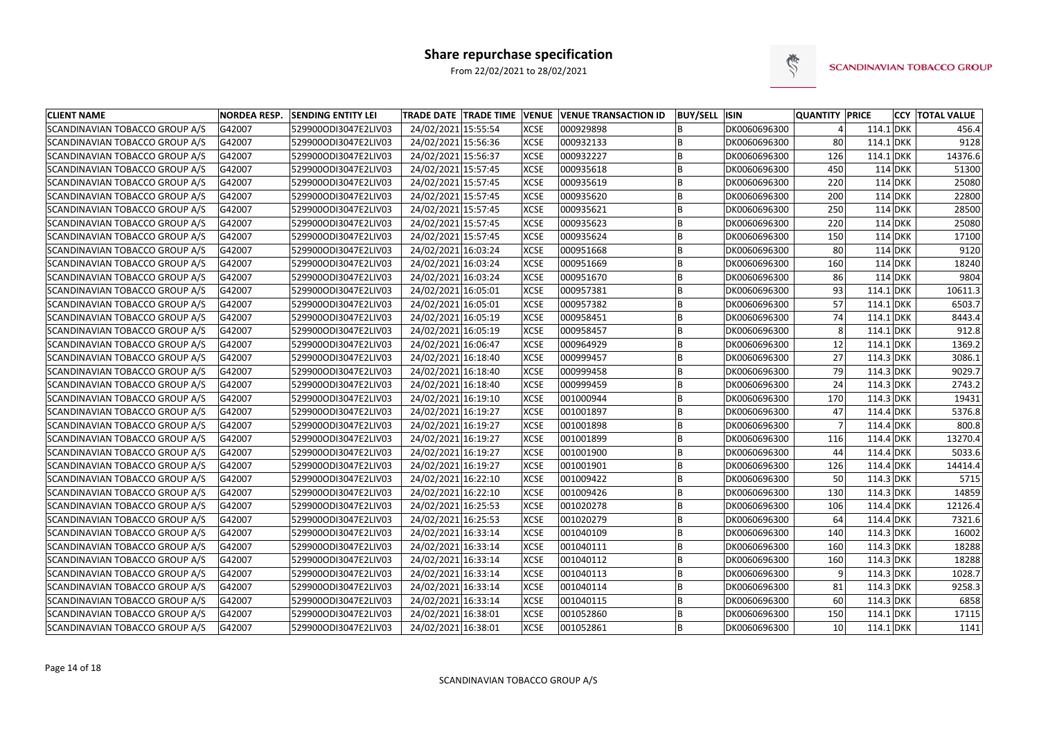

| <b>CLIENT NAME</b>             | <b>NORDEA RESP.</b> | <b>SENDING ENTITY LEI</b> | TRADE DATE TRADE TIME VENUE VENUE TRANSACTION ID |             |           | <b>BUY/SELL ISIN</b> |              | <b>QUANTITY PRICE</b> |             |           | <b>CCY TOTAL VALUE</b> |
|--------------------------------|---------------------|---------------------------|--------------------------------------------------|-------------|-----------|----------------------|--------------|-----------------------|-------------|-----------|------------------------|
| SCANDINAVIAN TOBACCO GROUP A/S | G42007              | 529900ODI3047E2LIV03      | 24/02/2021 15:55:54                              | <b>XCSE</b> | 000929898 |                      | DK0060696300 |                       | 114.1 DKK   |           | 456.4                  |
| SCANDINAVIAN TOBACCO GROUP A/S | G42007              | 529900ODI3047E2LIV03      | 24/02/2021 15:56:36                              | <b>XCSE</b> | 000932133 |                      | DK0060696300 | 80                    | 114.1 DKK   |           | 9128                   |
| SCANDINAVIAN TOBACCO GROUP A/S | G42007              | 529900ODI3047E2LIV03      | 24/02/2021 15:56:37                              | <b>XCSE</b> | 000932227 |                      | DK0060696300 | 126                   | 114.1 DKK   |           | 14376.6                |
| SCANDINAVIAN TOBACCO GROUP A/S | G42007              | 529900ODI3047E2LIV03      | 24/02/2021 15:57:45                              | <b>XCSE</b> | 000935618 | B                    | DK0060696300 | 450                   |             | 114 DKK   | 51300                  |
| SCANDINAVIAN TOBACCO GROUP A/S | G42007              | 529900ODI3047E2LIV03      | 24/02/2021 15:57:45                              | <b>XCSE</b> | 000935619 |                      | DK0060696300 | 220                   |             | 114 DKK   | 25080                  |
| SCANDINAVIAN TOBACCO GROUP A/S | G42007              | 529900ODI3047E2LIV03      | 24/02/2021 15:57:45                              | <b>XCSE</b> | 000935620 | B                    | DK0060696300 | 200                   |             | 114 DKK   | 22800                  |
| SCANDINAVIAN TOBACCO GROUP A/S | G42007              | 529900ODI3047E2LIV03      | 24/02/2021 15:57:45                              | <b>XCSE</b> | 000935621 | B                    | DK0060696300 | 250                   |             | $114$ DKK | 28500                  |
| SCANDINAVIAN TOBACCO GROUP A/S | G42007              | 529900ODI3047E2LIV03      | 24/02/2021 15:57:45                              | <b>XCSE</b> | 000935623 | B                    | DK0060696300 | 220                   |             | 114 DKK   | 25080                  |
| SCANDINAVIAN TOBACCO GROUP A/S | G42007              | 529900ODI3047E2LIV03      | 24/02/2021 15:57:45                              | <b>XCSE</b> | 000935624 | B                    | DK0060696300 | 150                   |             | 114 DKK   | 17100                  |
| SCANDINAVIAN TOBACCO GROUP A/S | G42007              | 529900ODI3047E2LIV03      | 24/02/2021 16:03:24                              | <b>XCSE</b> | 000951668 |                      | DK0060696300 | 80                    |             | 114 DKK   | 9120                   |
| SCANDINAVIAN TOBACCO GROUP A/S | G42007              | 529900ODI3047E2LIV03      | 24/02/2021 16:03:24                              | <b>XCSE</b> | 000951669 | B                    | DK0060696300 | 160                   |             | 114 DKK   | 18240                  |
| SCANDINAVIAN TOBACCO GROUP A/S | G42007              | 529900ODI3047E2LIV03      | 24/02/2021 16:03:24                              | <b>XCSE</b> | 000951670 | B                    | DK0060696300 | 86                    |             | 114 DKK   | 9804                   |
| SCANDINAVIAN TOBACCO GROUP A/S | G42007              | 529900ODI3047E2LIV03      | 24/02/2021 16:05:01                              | <b>XCSE</b> | 000957381 | B                    | DK0060696300 | 93                    | $114.1$ DKK |           | 10611.3                |
| SCANDINAVIAN TOBACCO GROUP A/S | G42007              | 529900ODI3047E2LIV03      | 24/02/2021 16:05:01                              | <b>XCSE</b> | 000957382 | B                    | DK0060696300 | 57                    | $114.1$ DKK |           | 6503.7                 |
| SCANDINAVIAN TOBACCO GROUP A/S | G42007              | 529900ODI3047E2LIV03      | 24/02/2021 16:05:19                              | <b>XCSE</b> | 000958451 |                      | DK0060696300 | 74                    | $114.1$ DKK |           | 8443.4                 |
| SCANDINAVIAN TOBACCO GROUP A/S | G42007              | 529900ODI3047E2LIV03      | 24/02/2021 16:05:19                              | <b>XCSE</b> | 000958457 | B                    | DK0060696300 |                       | 114.1 DKK   |           | 912.8                  |
| SCANDINAVIAN TOBACCO GROUP A/S | G42007              | 529900ODI3047E2LIV03      | 24/02/2021 16:06:47                              | <b>XCSE</b> | 000964929 | B                    | DK0060696300 | 12                    | $114.1$ DKK |           | 1369.2                 |
| SCANDINAVIAN TOBACCO GROUP A/S | G42007              | 529900ODI3047E2LIV03      | 24/02/2021 16:18:40                              | <b>XCSE</b> | 000999457 | B                    | DK0060696300 | 27                    | $114.3$ DKK |           | 3086.1                 |
| SCANDINAVIAN TOBACCO GROUP A/S | G42007              | 529900ODI3047E2LIV03      | 24/02/2021 16:18:40                              | <b>XCSE</b> | 000999458 |                      | DK0060696300 | 79                    | $114.3$ DKK |           | 9029.7                 |
| SCANDINAVIAN TOBACCO GROUP A/S | G42007              | 529900ODI3047E2LIV03      | 24/02/2021 16:18:40                              | <b>XCSE</b> | 000999459 | B                    | DK0060696300 | 24                    | $114.3$ DKK |           | 2743.2                 |
| SCANDINAVIAN TOBACCO GROUP A/S | G42007              | 529900ODI3047E2LIV03      | 24/02/2021 16:19:10                              | <b>XCSE</b> | 001000944 | B                    | DK0060696300 | 170                   | 114.3 DKK   |           | 19431                  |
| SCANDINAVIAN TOBACCO GROUP A/S | G42007              | 529900ODI3047E2LIV03      | 24/02/2021 16:19:27                              | <b>XCSE</b> | 001001897 |                      | DK0060696300 | 47                    | 114.4 DKK   |           | 5376.8                 |
| SCANDINAVIAN TOBACCO GROUP A/S | G42007              | 529900ODI3047E2LIV03      | 24/02/2021 16:19:27                              | <b>XCSE</b> | 001001898 | B                    | DK0060696300 |                       | 114.4 DKK   |           | 800.8                  |
| SCANDINAVIAN TOBACCO GROUP A/S | G42007              | 529900ODI3047E2LIV03      | 24/02/2021 16:19:27                              | <b>XCSE</b> | 001001899 | <b>B</b>             | DK0060696300 | 116                   | 114.4 DKK   |           | 13270.4                |
| SCANDINAVIAN TOBACCO GROUP A/S | G42007              | 529900ODI3047E2LIV03      | 24/02/2021 16:19:27                              | <b>XCSE</b> | 001001900 | B                    | DK0060696300 | 44                    | 114.4 DKK   |           | 5033.6                 |
| SCANDINAVIAN TOBACCO GROUP A/S | G42007              | 529900ODI3047E2LIV03      | 24/02/2021 16:19:27                              | <b>XCSE</b> | 001001901 | B                    | DK0060696300 | 126                   | 114.4 DKK   |           | 14414.4                |
| SCANDINAVIAN TOBACCO GROUP A/S | G42007              | 529900ODI3047E2LIV03      | 24/02/2021 16:22:10                              | <b>XCSE</b> | 001009422 | B                    | DK0060696300 | 50                    | $114.3$ DKK |           | 5715                   |
| SCANDINAVIAN TOBACCO GROUP A/S | G42007              | 529900ODI3047E2LIV03      | 24/02/2021 16:22:10                              | <b>XCSE</b> | 001009426 |                      | DK0060696300 | 130                   | $114.3$ DKK |           | 14859                  |
| SCANDINAVIAN TOBACCO GROUP A/S | G42007              | 529900ODI3047E2LIV03      | 24/02/2021 16:25:53                              | <b>XCSE</b> | 001020278 |                      | DK0060696300 | 106                   | 114.4 DKK   |           | 12126.4                |
| SCANDINAVIAN TOBACCO GROUP A/S | G42007              | 529900ODI3047E2LIV03      | 24/02/2021 16:25:53                              | <b>XCSE</b> | 001020279 |                      | DK0060696300 | 64                    | 114.4 DKK   |           | 7321.6                 |
| SCANDINAVIAN TOBACCO GROUP A/S | G42007              | 529900ODI3047E2LIV03      | 24/02/2021 16:33:14                              | <b>XCSE</b> | 001040109 | B                    | DK0060696300 | 140                   | 114.3 DKK   |           | 16002                  |
| SCANDINAVIAN TOBACCO GROUP A/S | G42007              | 529900ODI3047E2LIV03      | 24/02/2021 16:33:14                              | <b>XCSE</b> | 001040111 | B                    | DK0060696300 | 160                   | $114.3$ DKK |           | 18288                  |
| SCANDINAVIAN TOBACCO GROUP A/S | G42007              | 529900ODI3047E2LIV03      | 24/02/2021 16:33:14                              | <b>XCSE</b> | 001040112 | B                    | DK0060696300 | 160                   | 114.3 DKK   |           | 18288                  |
| SCANDINAVIAN TOBACCO GROUP A/S | G42007              | 529900ODI3047E2LIV03      | 24/02/2021 16:33:14                              | <b>XCSE</b> | 001040113 | B                    | DK0060696300 |                       | 114.3 DKK   |           | 1028.7                 |
| SCANDINAVIAN TOBACCO GROUP A/S | G42007              | 529900ODI3047E2LIV03      | 24/02/2021 16:33:14                              | <b>XCSE</b> | 001040114 | B                    | DK0060696300 | 81                    | $114.3$ DKK |           | 9258.3                 |
| SCANDINAVIAN TOBACCO GROUP A/S | G42007              | 529900ODI3047E2LIV03      | 24/02/2021 16:33:14                              | <b>XCSE</b> | 001040115 | B                    | DK0060696300 | 60                    | 114.3 DKK   |           | 6858                   |
| SCANDINAVIAN TOBACCO GROUP A/S | G42007              | 529900ODI3047E2LIV03      | 24/02/2021 16:38:01                              | <b>XCSE</b> | 001052860 | B                    | DK0060696300 | 150                   | $114.1$ DKK |           | 17115                  |
| SCANDINAVIAN TOBACCO GROUP A/S | G42007              | 529900ODI3047E2LIV03      | 24/02/2021 16:38:01                              | <b>XCSE</b> | 001052861 | İΒ.                  | DK0060696300 | 10                    | $114.1$ DKK |           | 1141                   |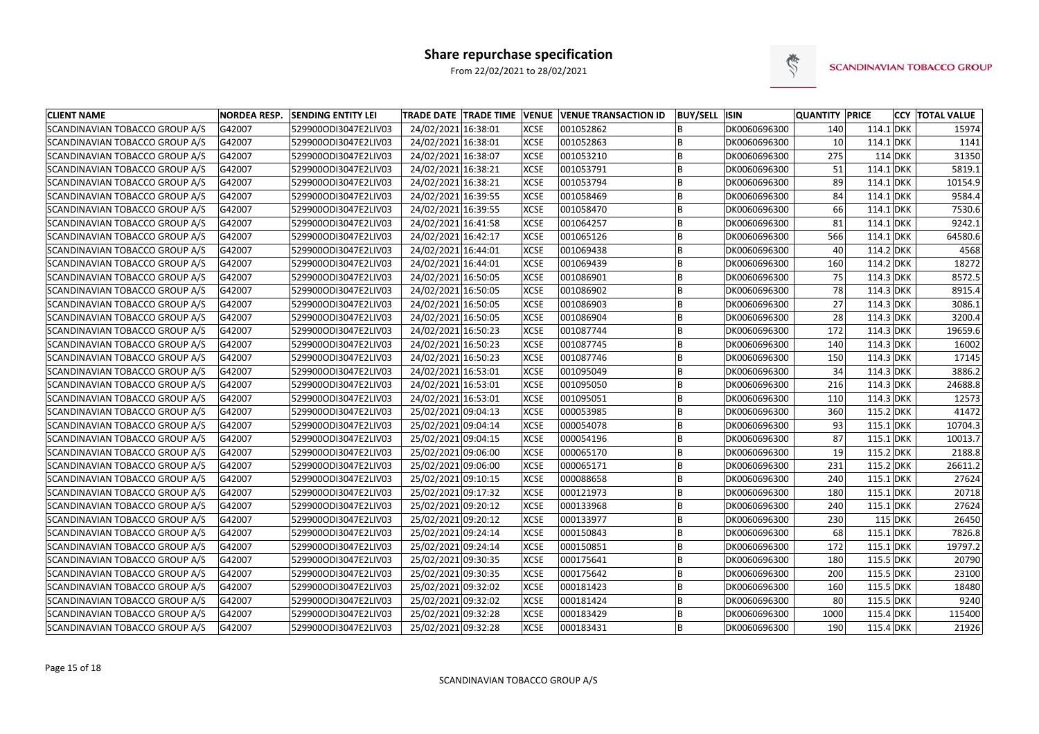

| <b>CLIENT NAME</b>             | <b>NORDEA RESP.</b> | <b>SENDING ENTITY LEI</b> |                     | <b>TRADE DATE TRADE TIME VENUE</b> |             | <b>VENUE TRANSACTION ID</b> | <b>BUY/SELL ISIN</b> |              | <b>QUANTITY PRICE</b> |             | <b>CCY TOTAL VALUE</b> |
|--------------------------------|---------------------|---------------------------|---------------------|------------------------------------|-------------|-----------------------------|----------------------|--------------|-----------------------|-------------|------------------------|
| SCANDINAVIAN TOBACCO GROUP A/S | G42007              | 529900ODI3047E2LIV03      | 24/02/2021 16:38:01 |                                    | <b>XCSE</b> | 001052862                   |                      | DK0060696300 | 140                   | $114.1$ DKK | 15974                  |
| SCANDINAVIAN TOBACCO GROUP A/S | G42007              | 529900ODI3047E2LIV03      | 24/02/2021 16:38:01 |                                    | <b>XCSE</b> | 001052863                   |                      | DK0060696300 | 10 <sup>1</sup>       | $114.1$ DKK | 1141                   |
| SCANDINAVIAN TOBACCO GROUP A/S | G42007              | 529900ODI3047E2LIV03      | 24/02/2021 16:38:07 |                                    | <b>XCSE</b> | 001053210                   |                      | DK0060696300 | 275                   | 114 DKK     | 31350                  |
| SCANDINAVIAN TOBACCO GROUP A/S | G42007              | 529900ODI3047E2LIV03      | 24/02/2021 16:38:21 |                                    | <b>XCSE</b> | 001053791                   | B                    | DK0060696300 | 51                    | $114.1$ DKK | 5819.1                 |
| SCANDINAVIAN TOBACCO GROUP A/S | G42007              | 529900ODI3047E2LIV03      | 24/02/2021 16:38:21 |                                    | <b>XCSE</b> | 001053794                   | B                    | DK0060696300 | 89                    | $114.1$ DKK | 10154.9                |
| SCANDINAVIAN TOBACCO GROUP A/S | G42007              | 529900ODI3047E2LIV03      | 24/02/2021 16:39:55 |                                    | <b>XCSE</b> | 001058469                   |                      | DK0060696300 | 84                    | $114.1$ DKK | 9584.4                 |
| SCANDINAVIAN TOBACCO GROUP A/S | G42007              | 529900ODI3047E2LIV03      | 24/02/2021 16:39:55 |                                    | <b>XCSE</b> | 001058470                   |                      | DK0060696300 | 66                    | $114.1$ DKK | 7530.6                 |
| SCANDINAVIAN TOBACCO GROUP A/S | G42007              | 529900ODI3047E2LIV03      | 24/02/2021 16:41:58 |                                    | <b>XCSE</b> | 001064257                   |                      | DK0060696300 | 81                    | $114.1$ DKK | 9242.1                 |
| SCANDINAVIAN TOBACCO GROUP A/S | G42007              | 529900ODI3047E2LIV03      | 24/02/2021 16:42:17 |                                    | <b>XCSE</b> | 001065126                   |                      | DK0060696300 | 566                   | $114.1$ DKK | 64580.6                |
| SCANDINAVIAN TOBACCO GROUP A/S | G42007              | 529900ODI3047E2LIV03      | 24/02/2021 16:44:01 |                                    | <b>XCSE</b> | 001069438                   |                      | DK0060696300 | 40                    | $114.2$ DKK | 4568                   |
| SCANDINAVIAN TOBACCO GROUP A/S | G42007              | 529900ODI3047E2LIV03      | 24/02/2021 16:44:01 |                                    | <b>XCSE</b> | 001069439                   |                      | DK0060696300 | 160                   | $114.2$ DKK | 18272                  |
| SCANDINAVIAN TOBACCO GROUP A/S | G42007              | 529900ODI3047E2LIV03      | 24/02/2021 16:50:05 |                                    | <b>XCSE</b> | 001086901                   |                      | DK0060696300 | 75                    | 114.3 DKK   | 8572.5                 |
| SCANDINAVIAN TOBACCO GROUP A/S | G42007              | 529900ODI3047E2LIV03      | 24/02/2021 16:50:05 |                                    | <b>XCSE</b> | 001086902                   | B                    | DK0060696300 | 78                    | 114.3 DKK   | 8915.4                 |
| SCANDINAVIAN TOBACCO GROUP A/S | G42007              | 529900ODI3047E2LIV03      | 24/02/2021 16:50:05 |                                    | <b>XCSE</b> | 001086903                   |                      | DK0060696300 | 27                    | 114.3 DKK   | 3086.1                 |
| SCANDINAVIAN TOBACCO GROUP A/S | G42007              | 529900ODI3047E2LIV03      | 24/02/2021 16:50:05 |                                    | <b>XCSE</b> | 001086904                   |                      | DK0060696300 | 28                    | 114.3 DKK   | 3200.4                 |
| SCANDINAVIAN TOBACCO GROUP A/S | G42007              | 529900ODI3047E2LIV03      | 24/02/2021 16:50:23 |                                    | <b>XCSE</b> | 001087744                   |                      | DK0060696300 | 172                   | 114.3 DKK   | 19659.6                |
| SCANDINAVIAN TOBACCO GROUP A/S | G42007              | 529900ODI3047E2LIV03      | 24/02/2021 16:50:23 |                                    | <b>XCSE</b> | 001087745                   | B                    | DK0060696300 | 140                   | 114.3 DKK   | 16002                  |
| SCANDINAVIAN TOBACCO GROUP A/S | G42007              | 529900ODI3047E2LIV03      | 24/02/2021 16:50:23 |                                    | <b>XCSE</b> | 001087746                   | B                    | DK0060696300 | 150                   | 114.3 DKK   | 17145                  |
| SCANDINAVIAN TOBACCO GROUP A/S | G42007              | 529900ODI3047E2LIV03      | 24/02/2021 16:53:01 |                                    | <b>XCSE</b> | 001095049                   | B                    | DK0060696300 | 34                    | 114.3 DKK   | 3886.2                 |
| SCANDINAVIAN TOBACCO GROUP A/S | G42007              | 529900ODI3047E2LIV03      | 24/02/2021 16:53:01 |                                    | <b>XCSE</b> | 001095050                   |                      | DK0060696300 | 216                   | 114.3 DKK   | 24688.8                |
| SCANDINAVIAN TOBACCO GROUP A/S | G42007              | 529900ODI3047E2LIV03      | 24/02/2021 16:53:01 |                                    | <b>XCSE</b> | 001095051                   |                      | DK0060696300 | 110                   | 114.3 DKK   | 12573                  |
| SCANDINAVIAN TOBACCO GROUP A/S | G42007              | 529900ODI3047E2LIV03      | 25/02/2021 09:04:13 |                                    | <b>XCSE</b> | 000053985                   |                      | DK0060696300 | 360                   | $115.2$ DKK | 41472                  |
| SCANDINAVIAN TOBACCO GROUP A/S | G42007              | 529900ODI3047E2LIV03      | 25/02/2021 09:04:14 |                                    | <b>XCSE</b> | 000054078                   |                      | DK0060696300 | 93                    | $115.1$ DKK | 10704.3                |
| SCANDINAVIAN TOBACCO GROUP A/S | G42007              | 529900ODI3047E2LIV03      | 25/02/2021 09:04:15 |                                    | <b>XCSE</b> | 000054196                   |                      | DK0060696300 | 87                    | $115.1$ DKK | 10013.7                |
| SCANDINAVIAN TOBACCO GROUP A/S | G42007              | 529900ODI3047E2LIV03      | 25/02/2021 09:06:00 |                                    | <b>XCSE</b> | 000065170                   |                      | DK0060696300 | 19                    | $115.2$ DKK | 2188.8                 |
| SCANDINAVIAN TOBACCO GROUP A/S | G42007              | 529900ODI3047E2LIV03      | 25/02/2021 09:06:00 |                                    | <b>XCSE</b> | 000065171                   | B                    | DK0060696300 | 231                   | $115.2$ DKK | 26611.2                |
| SCANDINAVIAN TOBACCO GROUP A/S | G42007              | 529900ODI3047E2LIV03      | 25/02/2021 09:10:15 |                                    | <b>XCSE</b> | 000088658                   |                      | DK0060696300 | 240                   | $115.1$ DKK | 27624                  |
| SCANDINAVIAN TOBACCO GROUP A/S | G42007              | 529900ODI3047E2LIV03      | 25/02/2021 09:17:32 |                                    | <b>XCSE</b> | 000121973                   |                      | DK0060696300 | 180                   | $115.1$ DKK | 20718                  |
| SCANDINAVIAN TOBACCO GROUP A/S | G42007              | 529900ODI3047E2LIV03      | 25/02/2021 09:20:12 |                                    | <b>XCSE</b> | 000133968                   |                      | DK0060696300 | 240                   | $115.1$ DKK | 27624                  |
| SCANDINAVIAN TOBACCO GROUP A/S | G42007              | 529900ODI3047E2LIV03      | 25/02/2021 09:20:12 |                                    | <b>XCSE</b> | 000133977                   |                      | DK0060696300 | 230                   | 115 DKK     | 26450                  |
| SCANDINAVIAN TOBACCO GROUP A/S | G42007              | 529900ODI3047E2LIV03      | 25/02/2021 09:24:14 |                                    | <b>XCSE</b> | 000150843                   | B                    | DK0060696300 | 68                    | 115.1 DKK   | 7826.8                 |
| SCANDINAVIAN TOBACCO GROUP A/S | G42007              | 529900ODI3047E2LIV03      | 25/02/2021 09:24:14 |                                    | <b>XCSE</b> | 000150851                   | ΙB                   | DK0060696300 | 172                   | $115.1$ DKK | 19797.2                |
| SCANDINAVIAN TOBACCO GROUP A/S | G42007              | 529900ODI3047E2LIV03      | 25/02/2021 09:30:35 |                                    | <b>XCSE</b> | 000175641                   | ΙB.                  | DK0060696300 | 180                   | 115.5 DKK   | 20790                  |
| SCANDINAVIAN TOBACCO GROUP A/S | G42007              | 529900ODI3047E2LIV03      | 25/02/2021 09:30:35 |                                    | <b>XCSE</b> | 000175642                   | lB.                  | DK0060696300 | 200                   | 115.5 DKK   | 23100                  |
| SCANDINAVIAN TOBACCO GROUP A/S | G42007              | 529900ODI3047E2LIV03      | 25/02/2021 09:32:02 |                                    | <b>XCSE</b> | 000181423                   | ΙB.                  | DK0060696300 | 160                   | 115.5 DKK   | 18480                  |
| SCANDINAVIAN TOBACCO GROUP A/S | G42007              | 529900ODI3047E2LIV03      | 25/02/2021 09:32:02 |                                    | <b>XCSE</b> | 000181424                   | ΙB.                  | DK0060696300 | 80                    | 115.5 DKK   | 9240                   |
| SCANDINAVIAN TOBACCO GROUP A/S | G42007              | 529900ODI3047E2LIV03      | 25/02/2021 09:32:28 |                                    | <b>XCSE</b> | 000183429                   | ΙB                   | DK0060696300 | 1000                  | 115.4 DKK   | 115400                 |
| SCANDINAVIAN TOBACCO GROUP A/S | G42007              | 529900ODI3047E2LIV03      | 25/02/2021 09:32:28 |                                    | <b>XCSE</b> | 000183431                   | B                    | DK0060696300 | 190                   | 115.4 DKK   | 21926                  |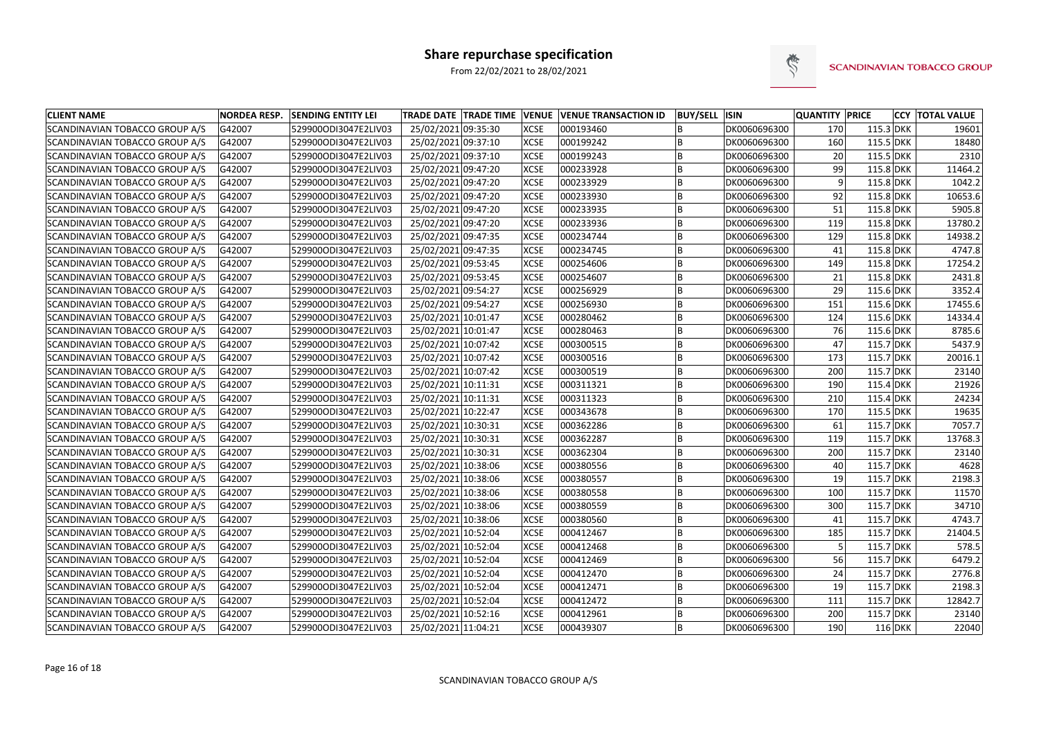

| <b>CLIENT NAME</b>                    | <b>NORDEA RESP.</b> | <b>SENDING ENTITY LEI</b> | TRADE DATE TRADE TIME VENUE VENUE TRANSACTION ID |             |           | <b>BUY/SELL ISIN</b> |              | <b>QUANTITY PRICE</b> |             | <b>CCY TOTAL VALUE</b> |
|---------------------------------------|---------------------|---------------------------|--------------------------------------------------|-------------|-----------|----------------------|--------------|-----------------------|-------------|------------------------|
| SCANDINAVIAN TOBACCO GROUP A/S        | G42007              | 529900ODI3047E2LIV03      | 25/02/2021 09:35:30                              | <b>XCSE</b> | 000193460 |                      | DK0060696300 | 170                   | 115.3 DKK   | 19601                  |
| SCANDINAVIAN TOBACCO GROUP A/S        | G42007              | 529900ODI3047E2LIV03      | 25/02/2021 09:37:10                              | <b>XCSE</b> | 000199242 |                      | DK0060696300 | 160                   | 115.5 DKK   | 18480                  |
| SCANDINAVIAN TOBACCO GROUP A/S        | G42007              | 529900ODI3047E2LIV03      | 25/02/2021 09:37:10                              | <b>XCSE</b> | 000199243 | <b>B</b>             | DK0060696300 | 20                    | 115.5 DKK   | 2310                   |
| SCANDINAVIAN TOBACCO GROUP A/S        | G42007              | 529900ODI3047E2LIV03      | 25/02/2021 09:47:20                              | <b>XCSE</b> | 000233928 |                      | DK0060696300 | 99                    | $115.8$ DKK | 11464.2                |
| SCANDINAVIAN TOBACCO GROUP A/S        | G42007              | 529900ODI3047E2LIV03      | 25/02/2021 09:47:20                              | <b>XCSE</b> | 000233929 |                      | DK0060696300 | 9                     | $115.8$ DKK | 1042.2                 |
| SCANDINAVIAN TOBACCO GROUP A/S        | G42007              | 529900ODI3047E2LIV03      | 25/02/2021 09:47:20                              | <b>XCSE</b> | 000233930 |                      | DK0060696300 | 92                    | $115.8$ DKK | 10653.6                |
| SCANDINAVIAN TOBACCO GROUP A/S        | G42007              | 529900ODI3047E2LIV03      | 25/02/2021 09:47:20                              | <b>XCSE</b> | 000233935 | B                    | DK0060696300 | 51                    | $115.8$ DKK | 5905.8                 |
| SCANDINAVIAN TOBACCO GROUP A/S        | G42007              | 529900ODI3047E2LIV03      | 25/02/2021 09:47:20                              | <b>XCSE</b> | 000233936 |                      | DK0060696300 | 119                   | $115.8$ DKK | 13780.2                |
| SCANDINAVIAN TOBACCO GROUP A/S        | G42007              | 529900ODI3047E2LIV03      | 25/02/2021 09:47:35                              | <b>XCSE</b> | 000234744 | B                    | DK0060696300 | 129                   | $115.8$ DKK | 14938.2                |
| SCANDINAVIAN TOBACCO GROUP A/S        | G42007              | 529900ODI3047E2LIV03      | 25/02/2021 09:47:35                              | <b>XCSE</b> | 000234745 |                      | DK0060696300 | 41                    | $115.8$ DKK | 4747.8                 |
| SCANDINAVIAN TOBACCO GROUP A/S        | G42007              | 529900ODI3047E2LIV03      | 25/02/2021 09:53:45                              | <b>XCSE</b> | 000254606 | B                    | DK0060696300 | 149                   | $115.8$ DKK | 17254.2                |
| SCANDINAVIAN TOBACCO GROUP A/S        | G42007              | 529900ODI3047E2LIV03      | 25/02/2021 09:53:45                              | <b>XCSE</b> | 000254607 | B                    | DK0060696300 | 21                    | $115.8$ DKK | 2431.8                 |
| SCANDINAVIAN TOBACCO GROUP A/S        | G42007              | 529900ODI3047E2LIV03      | 25/02/2021 09:54:27                              | <b>XCSE</b> | 000256929 |                      | DK0060696300 | 29                    | 115.6 DKK   | 3352.4                 |
| SCANDINAVIAN TOBACCO GROUP A/S        | G42007              | 529900ODI3047E2LIV03      | 25/02/2021 09:54:27                              | <b>XCSE</b> | 000256930 |                      | DK0060696300 | 151                   | 115.6 DKK   | 17455.6                |
| SCANDINAVIAN TOBACCO GROUP A/S        | G42007              | 529900ODI3047E2LIV03      | 25/02/2021 10:01:47                              | <b>XCSE</b> | 000280462 |                      | DK0060696300 | 124                   | 115.6 DKK   | 14334.4                |
| SCANDINAVIAN TOBACCO GROUP A/S        | G42007              | 529900ODI3047E2LIV03      | 25/02/2021 10:01:47                              | <b>XCSE</b> | 000280463 | <b>B</b>             | DK0060696300 | 76                    | 115.6 DKK   | 8785.6                 |
| SCANDINAVIAN TOBACCO GROUP A/S        | G42007              | 529900ODI3047E2LIV03      | 25/02/2021 10:07:42                              | <b>XCSE</b> | 000300515 |                      | DK0060696300 | 47                    | 115.7 DKK   | 5437.9                 |
| SCANDINAVIAN TOBACCO GROUP A/S        | G42007              | 529900ODI3047E2LIV03      | 25/02/2021 10:07:42                              | <b>XCSE</b> | 000300516 |                      | DK0060696300 | 173                   | 115.7 DKK   | 20016.1                |
| SCANDINAVIAN TOBACCO GROUP A/S        | G42007              | 529900ODI3047E2LIV03      | 25/02/2021 10:07:42                              | <b>XCSE</b> | 000300519 |                      | DK0060696300 | 200                   | 115.7 DKK   | 23140                  |
| SCANDINAVIAN TOBACCO GROUP A/S        | G42007              | 529900ODI3047E2LIV03      | 25/02/2021 10:11:31                              | <b>XCSE</b> | 000311321 | B                    | DK0060696300 | 190                   | 115.4 DKK   | 21926                  |
| SCANDINAVIAN TOBACCO GROUP A/S        | G42007              | 529900ODI3047E2LIV03      | 25/02/2021 10:11:31                              | <b>XCSE</b> | 000311323 | B                    | DK0060696300 | 210                   | 115.4 DKK   | 24234                  |
| SCANDINAVIAN TOBACCO GROUP A/S        | G42007              | 529900ODI3047E2LIV03      | 25/02/2021 10:22:47                              | <b>XCSE</b> | 000343678 |                      | DK0060696300 | 170                   | 115.5 DKK   | 19635                  |
| SCANDINAVIAN TOBACCO GROUP A/S        | G42007              | 529900ODI3047E2LIV03      | 25/02/2021 10:30:31                              | <b>XCSE</b> | 000362286 | B                    | DK0060696300 | 61                    | 115.7 DKK   | 7057.7                 |
| SCANDINAVIAN TOBACCO GROUP A/S        | G42007              | 529900ODI3047E2LIV03      | 25/02/2021 10:30:31                              | <b>XCSE</b> | 000362287 | <b>B</b>             | DK0060696300 | 119                   | 115.7 DKK   | 13768.3                |
| SCANDINAVIAN TOBACCO GROUP A/S        | G42007              | 529900ODI3047E2LIV03      | 25/02/2021 10:30:31                              | <b>XCSE</b> | 000362304 |                      | DK0060696300 | 200                   | 115.7 DKK   | 23140                  |
| SCANDINAVIAN TOBACCO GROUP A/S        | G42007              | 529900ODI3047E2LIV03      | 25/02/2021 10:38:06                              | <b>XCSE</b> | 000380556 |                      | DK0060696300 | 40                    | $115.7$ DKK | 4628                   |
| SCANDINAVIAN TOBACCO GROUP A/S        | G42007              | 529900ODI3047E2LIV03      | 25/02/2021 10:38:06                              | <b>XCSE</b> | 000380557 |                      | DK0060696300 | 19                    | 115.7 DKK   | 2198.3                 |
| SCANDINAVIAN TOBACCO GROUP A/S        | G42007              | 529900ODI3047E2LIV03      | 25/02/2021 10:38:06                              | <b>XCSE</b> | 000380558 |                      | DK0060696300 | 100                   | 115.7 DKK   | 11570                  |
| SCANDINAVIAN TOBACCO GROUP A/S        | G42007              | 529900ODI3047E2LIV03      | 25/02/2021 10:38:06                              | <b>XCSE</b> | 000380559 |                      | DK0060696300 | 300                   | 115.7 DKK   | 34710                  |
| SCANDINAVIAN TOBACCO GROUP A/S        | G42007              | 529900ODI3047E2LIV03      | 25/02/2021 10:38:06                              | <b>XCSE</b> | 000380560 |                      | DK0060696300 | 41                    | 115.7 DKK   | 4743.7                 |
| SCANDINAVIAN TOBACCO GROUP A/S        | G42007              | 529900ODI3047E2LIV03      | 25/02/2021 10:52:04                              | <b>XCSE</b> | 000412467 | <b>B</b>             | DK0060696300 | 185                   | 115.7 DKK   | 21404.5                |
| SCANDINAVIAN TOBACCO GROUP A/S        | G42007              | 529900ODI3047E2LIV03      | 25/02/2021 10:52:04                              | <b>XCSE</b> | 000412468 | B                    | DK0060696300 | 5                     | $115.7$ DKK | 578.5                  |
| SCANDINAVIAN TOBACCO GROUP A/S        | G42007              | 529900ODI3047E2LIV03      | 25/02/2021 10:52:04                              | <b>XCSE</b> | 000412469 | B                    | DK0060696300 | 56                    | $115.7$ DKK | 6479.2                 |
| SCANDINAVIAN TOBACCO GROUP A/S        | G42007              | 529900ODI3047E2LIV03      | 25/02/2021 10:52:04                              | <b>XCSE</b> | 000412470 | B                    | DK0060696300 | 24                    | 115.7 DKK   | 2776.8                 |
| SCANDINAVIAN TOBACCO GROUP A/S        | G42007              | 529900ODI3047E2LIV03      | 25/02/2021 10:52:04                              | <b>XCSE</b> | 000412471 | ΙB                   | DK0060696300 | 19                    | 115.7 DKK   | 2198.3                 |
| SCANDINAVIAN TOBACCO GROUP A/S        | G42007              | 529900ODI3047E2LIV03      | 25/02/2021 10:52:04                              | <b>XCSE</b> | 000412472 | B                    | DK0060696300 | 111                   | 115.7 DKK   | 12842.7                |
| <b>SCANDINAVIAN TOBACCO GROUP A/S</b> | G42007              | 529900ODI3047E2LIV03      | 25/02/2021 10:52:16                              | <b>XCSE</b> | 000412961 | B                    | DK0060696300 | 200                   | 115.7 DKK   | 23140                  |
| SCANDINAVIAN TOBACCO GROUP A/S        | G42007              | 529900ODI3047E2LIV03      | 25/02/2021 11:04:21                              | <b>XCSE</b> | 000439307 | B                    | DK0060696300 | 190                   | $116$ DKK   | 22040                  |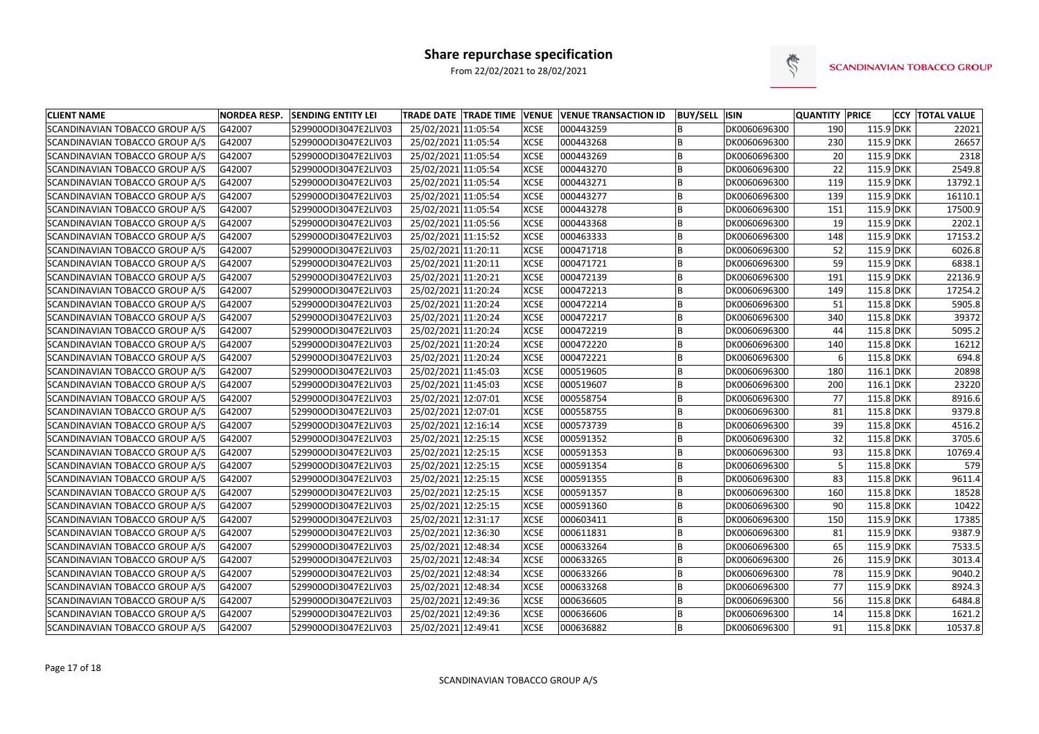

| <b>CLIENT NAME</b>             | <b>NORDEA RESP.</b> | <b>SENDING ENTITY LEI</b> |                     |             | TRADE DATE TRADE TIME VENUE VENUE TRANSACTION ID | <b>BUY/SELL ISIN</b> |              | <b>QUANTITY PRICE</b> |             | <b>CCY TOTAL VALUE</b> |
|--------------------------------|---------------------|---------------------------|---------------------|-------------|--------------------------------------------------|----------------------|--------------|-----------------------|-------------|------------------------|
| SCANDINAVIAN TOBACCO GROUP A/S | G42007              | 529900ODI3047E2LIV03      | 25/02/2021 11:05:54 | <b>XCSE</b> | 000443259                                        |                      | DK0060696300 | 190                   | 115.9 DKK   | 22021                  |
| SCANDINAVIAN TOBACCO GROUP A/S | G42007              | 529900ODI3047E2LIV03      | 25/02/2021 11:05:54 | <b>XCSE</b> | 000443268                                        |                      | DK0060696300 | 230                   | 115.9 DKK   | 26657                  |
| SCANDINAVIAN TOBACCO GROUP A/S | G42007              | 529900ODI3047E2LIV03      | 25/02/2021 11:05:54 | <b>XCSE</b> | 000443269                                        |                      | DK0060696300 | 20                    | 115.9 DKK   | 2318                   |
| SCANDINAVIAN TOBACCO GROUP A/S | G42007              | 529900ODI3047E2LIV03      | 25/02/2021 11:05:54 | <b>XCSE</b> | 000443270                                        |                      | DK0060696300 | 22                    | 115.9 DKK   | 2549.8                 |
| SCANDINAVIAN TOBACCO GROUP A/S | G42007              | 529900ODI3047E2LIV03      | 25/02/2021 11:05:54 | <b>XCSE</b> | 000443271                                        | B                    | DK0060696300 | 119                   | 115.9 DKK   | 13792.1                |
| SCANDINAVIAN TOBACCO GROUP A/S | G42007              | 529900ODI3047E2LIV03      | 25/02/2021 11:05:54 | <b>XCSE</b> | 000443277                                        |                      | DK0060696300 | 139                   | 115.9 DKK   | 16110.1                |
| SCANDINAVIAN TOBACCO GROUP A/S | G42007              | 529900ODI3047E2LIV03      | 25/02/2021 11:05:54 | <b>XCSE</b> | 000443278                                        |                      | DK0060696300 | 151                   | 115.9 DKK   | 17500.9                |
| SCANDINAVIAN TOBACCO GROUP A/S | G42007              | 529900ODI3047E2LIV03      | 25/02/2021 11:05:56 | <b>XCSE</b> | 000443368                                        |                      | DK0060696300 | 19                    | 115.9 DKK   | 2202.1                 |
| SCANDINAVIAN TOBACCO GROUP A/S | G42007              | 529900ODI3047E2LIV03      | 25/02/2021 11:15:52 | <b>XCSE</b> | 000463333                                        |                      | DK0060696300 | 148                   | 115.9 DKK   | 17153.2                |
| SCANDINAVIAN TOBACCO GROUP A/S | G42007              | 529900ODI3047E2LIV03      | 25/02/2021 11:20:11 | <b>XCSE</b> | 000471718                                        |                      | DK0060696300 | 52                    | 115.9 DKK   | 6026.8                 |
| SCANDINAVIAN TOBACCO GROUP A/S | G42007              | 529900ODI3047E2LIV03      | 25/02/2021 11:20:11 | <b>XCSE</b> | 000471721                                        |                      | DK0060696300 | 59                    | $115.9$ DKK | 6838.1                 |
| SCANDINAVIAN TOBACCO GROUP A/S | G42007              | 529900ODI3047E2LIV03      | 25/02/2021 11:20:21 | <b>XCSE</b> | 000472139                                        | B                    | DK0060696300 | 191                   | 115.9 DKK   | 22136.9                |
| SCANDINAVIAN TOBACCO GROUP A/S | G42007              | 529900ODI3047E2LIV03      | 25/02/2021 11:20:24 | <b>XCSE</b> | 000472213                                        |                      | DK0060696300 | 149                   | 115.8 DKK   | 17254.2                |
| SCANDINAVIAN TOBACCO GROUP A/S | G42007              | 529900ODI3047E2LIV03      | 25/02/2021 11:20:24 | <b>XCSE</b> | 000472214                                        |                      | DK0060696300 | 51                    | 115.8 DKK   | 5905.8                 |
| SCANDINAVIAN TOBACCO GROUP A/S | G42007              | 529900ODI3047E2LIV03      | 25/02/2021 11:20:24 | <b>XCSE</b> | 000472217                                        |                      | DK0060696300 | 340                   | 115.8 DKK   | 39372                  |
| SCANDINAVIAN TOBACCO GROUP A/S | G42007              | 529900ODI3047E2LIV03      | 25/02/2021 11:20:24 | <b>XCSE</b> | 000472219                                        |                      | DK0060696300 | 44                    | 115.8 DKK   | 5095.2                 |
| SCANDINAVIAN TOBACCO GROUP A/S | G42007              | 529900ODI3047E2LIV03      | 25/02/2021 11:20:24 | <b>XCSE</b> | 000472220                                        | B                    | DK0060696300 | 140                   | 115.8 DKK   | 16212                  |
| SCANDINAVIAN TOBACCO GROUP A/S | G42007              | 529900ODI3047E2LIV03      | 25/02/2021 11:20:24 | <b>XCSE</b> | 000472221                                        |                      | DK0060696300 |                       | 115.8 DKK   | 694.8                  |
| SCANDINAVIAN TOBACCO GROUP A/S | G42007              | 529900ODI3047E2LIV03      | 25/02/2021 11:45:03 | <b>XCSE</b> | 000519605                                        | B                    | DK0060696300 | 180                   | $116.1$ DKK | 20898                  |
| SCANDINAVIAN TOBACCO GROUP A/S | G42007              | 529900ODI3047E2LIV03      | 25/02/2021 11:45:03 | <b>XCSE</b> | 000519607                                        |                      | DK0060696300 | 200                   | $116.1$ DKK | 23220                  |
| SCANDINAVIAN TOBACCO GROUP A/S | G42007              | 529900ODI3047E2LIV03      | 25/02/2021 12:07:01 | <b>XCSE</b> | 000558754                                        |                      | DK0060696300 | 77                    | 115.8 DKK   | 8916.6                 |
| SCANDINAVIAN TOBACCO GROUP A/S | G42007              | 529900ODI3047E2LIV03      | 25/02/2021 12:07:01 | <b>XCSE</b> | 000558755                                        |                      | DK0060696300 | 81                    | 115.8 DKK   | 9379.8                 |
| SCANDINAVIAN TOBACCO GROUP A/S | G42007              | 529900ODI3047E2LIV03      | 25/02/2021 12:16:14 | <b>XCSE</b> | 000573739                                        |                      | DK0060696300 | 39                    | 115.8 DKK   | 4516.2                 |
| SCANDINAVIAN TOBACCO GROUP A/S | G42007              | 529900ODI3047E2LIV03      | 25/02/2021 12:25:15 | <b>XCSE</b> | 000591352                                        |                      | DK0060696300 | 32                    | 115.8 DKK   | 3705.6                 |
| SCANDINAVIAN TOBACCO GROUP A/S | G42007              | 529900ODI3047E2LIV03      | 25/02/2021 12:25:15 | <b>XCSE</b> | 000591353                                        |                      | DK0060696300 | 93                    | 115.8 DKK   | 10769.4                |
| SCANDINAVIAN TOBACCO GROUP A/S | G42007              | 529900ODI3047E2LIV03      | 25/02/2021 12:25:15 | <b>XCSE</b> | 000591354                                        | B                    | DK0060696300 |                       | 115.8 DKK   | 579                    |
| SCANDINAVIAN TOBACCO GROUP A/S | G42007              | 529900ODI3047E2LIV03      | 25/02/2021 12:25:15 | <b>XCSE</b> | 000591355                                        |                      | DK0060696300 | 83                    | 115.8 DKK   | 9611.4                 |
| SCANDINAVIAN TOBACCO GROUP A/S | G42007              | 529900ODI3047E2LIV03      | 25/02/2021 12:25:15 | <b>XCSE</b> | 000591357                                        | B                    | DK0060696300 | 160                   | 115.8 DKK   | 18528                  |
| SCANDINAVIAN TOBACCO GROUP A/S | G42007              | 529900ODI3047E2LIV03      | 25/02/2021 12:25:15 | <b>XCSE</b> | 000591360                                        |                      | DK0060696300 | 90 <sub>l</sub>       | 115.8 DKK   | 10422                  |
| SCANDINAVIAN TOBACCO GROUP A/S | G42007              | 529900ODI3047E2LIV03      | 25/02/2021 12:31:17 | <b>XCSE</b> | 000603411                                        |                      | DK0060696300 | 150                   | 115.9 DKK   | 17385                  |
| SCANDINAVIAN TOBACCO GROUP A/S | G42007              | 529900ODI3047E2LIV03      | 25/02/2021 12:36:30 | <b>XCSE</b> | 000611831                                        | B                    | DK0060696300 | 81                    | 115.9 DKK   | 9387.9                 |
| SCANDINAVIAN TOBACCO GROUP A/S | G42007              | 529900ODI3047E2LIV03      | 25/02/2021 12:48:34 | <b>XCSE</b> | 000633264                                        | B                    | DK0060696300 | 65                    | 115.9 DKK   | 7533.5                 |
| SCANDINAVIAN TOBACCO GROUP A/S | G42007              | 529900ODI3047E2LIV03      | 25/02/2021 12:48:34 | <b>XCSE</b> | 000633265                                        | B                    | DK0060696300 | 26                    | 115.9 DKK   | 3013.4                 |
| SCANDINAVIAN TOBACCO GROUP A/S | G42007              | 529900ODI3047E2LIV03      | 25/02/2021 12:48:34 | <b>XCSE</b> | 000633266                                        | B                    | DK0060696300 | 78                    | 115.9 DKK   | 9040.2                 |
| SCANDINAVIAN TOBACCO GROUP A/S | G42007              | 529900ODI3047E2LIV03      | 25/02/2021 12:48:34 | <b>XCSE</b> | 000633268                                        | B                    | DK0060696300 | 77                    | 115.9 DKK   | 8924.3                 |
| SCANDINAVIAN TOBACCO GROUP A/S | G42007              | 529900ODI3047E2LIV03      | 25/02/2021 12:49:36 | <b>XCSE</b> | 000636605                                        | B                    | DK0060696300 | 56                    | 115.8 DKK   | 6484.8                 |
| SCANDINAVIAN TOBACCO GROUP A/S | G42007              | 529900ODI3047E2LIV03      | 25/02/2021 12:49:36 | <b>XCSE</b> | 000636606                                        | B                    | DK0060696300 | 14                    | 115.8 DKK   | 1621.2                 |
| SCANDINAVIAN TOBACCO GROUP A/S | G42007              | 529900ODI3047E2LIV03      | 25/02/2021 12:49:41 | <b>XCSE</b> | 000636882                                        | B                    | DK0060696300 | 91                    | 115.8 DKK   | 10537.8                |